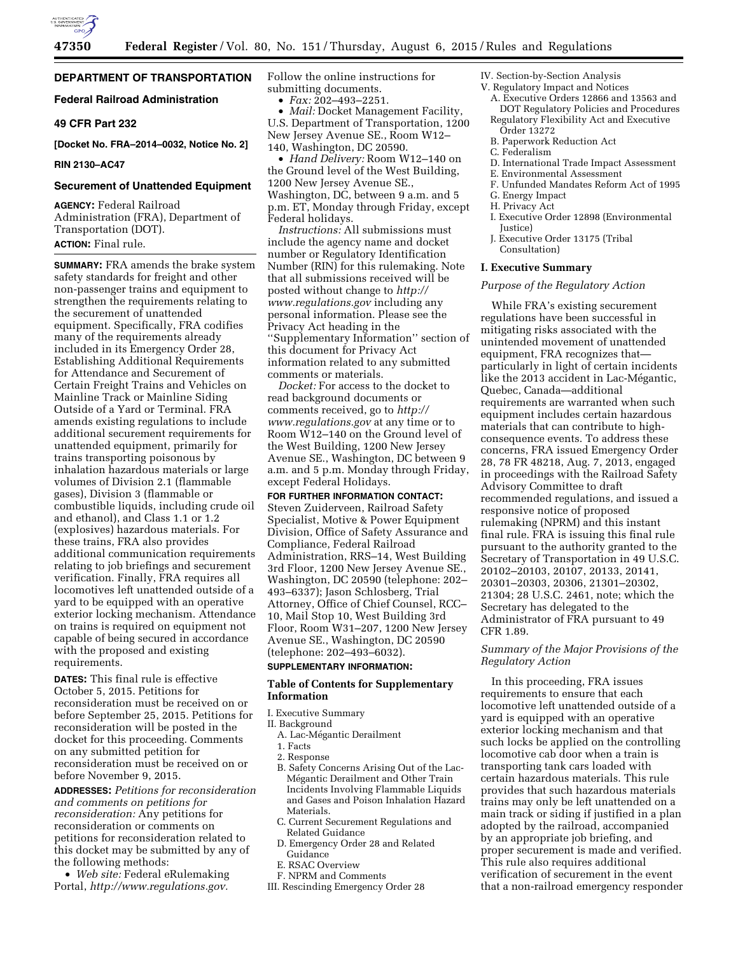

# **DEPARTMENT OF TRANSPORTATION**

## **Federal Railroad Administration**

## **49 CFR Part 232**

**[Docket No. FRA–2014–0032, Notice No. 2]** 

#### **RIN 2130–AC47**

#### **Securement of Unattended Equipment**

**AGENCY:** Federal Railroad Administration (FRA), Department of Transportation (DOT). **ACTION:** Final rule.

**SUMMARY:** FRA amends the brake system safety standards for freight and other non-passenger trains and equipment to strengthen the requirements relating to the securement of unattended equipment. Specifically, FRA codifies many of the requirements already included in its Emergency Order 28, Establishing Additional Requirements for Attendance and Securement of Certain Freight Trains and Vehicles on Mainline Track or Mainline Siding Outside of a Yard or Terminal. FRA amends existing regulations to include additional securement requirements for unattended equipment, primarily for trains transporting poisonous by inhalation hazardous materials or large volumes of Division 2.1 (flammable gases), Division 3 (flammable or combustible liquids, including crude oil and ethanol), and Class 1.1 or 1.2 (explosives) hazardous materials. For these trains, FRA also provides additional communication requirements relating to job briefings and securement verification. Finally, FRA requires all locomotives left unattended outside of a yard to be equipped with an operative exterior locking mechanism. Attendance on trains is required on equipment not capable of being secured in accordance with the proposed and existing requirements.

**DATES:** This final rule is effective October 5, 2015. Petitions for reconsideration must be received on or before September 25, 2015. Petitions for reconsideration will be posted in the docket for this proceeding. Comments on any submitted petition for reconsideration must be received on or before November 9, 2015.

**ADDRESSES:** *Petitions for reconsideration and comments on petitions for reconsideration:* Any petitions for reconsideration or comments on petitions for reconsideration related to this docket may be submitted by any of the following methods:

• *Web site:* Federal eRulemaking Portal, *[http://www.regulations.gov.](http://www.regulations.gov)* 

Follow the online instructions for submitting documents.

• *Fax:* 202–493–2251.

• *Mail:* Docket Management Facility, U.S. Department of Transportation, 1200 New Jersey Avenue SE., Room W12– 140, Washington, DC 20590.

• *Hand Delivery:* Room W12–140 on the Ground level of the West Building, 1200 New Jersey Avenue SE., Washington, DC, between 9 a.m. and 5 p.m. ET, Monday through Friday, except Federal holidays.

*Instructions:* All submissions must include the agency name and docket number or Regulatory Identification Number (RIN) for this rulemaking. Note that all submissions received will be posted without change to *[http://](http://www.regulations.gov) [www.regulations.gov](http://www.regulations.gov)* including any personal information. Please see the Privacy Act heading in the ''Supplementary Information'' section of this document for Privacy Act information related to any submitted comments or materials.

*Docket:* For access to the docket to read background documents or comments received, go to *[http://](http://www.regulations.gov) [www.regulations.gov](http://www.regulations.gov)* at any time or to Room W12–140 on the Ground level of the West Building, 1200 New Jersey Avenue SE., Washington, DC between 9 a.m. and 5 p.m. Monday through Friday, except Federal Holidays.

## **FOR FURTHER INFORMATION CONTACT:**

Steven Zuiderveen, Railroad Safety Specialist, Motive & Power Equipment Division, Office of Safety Assurance and Compliance, Federal Railroad Administration, RRS–14, West Building 3rd Floor, 1200 New Jersey Avenue SE., Washington, DC 20590 (telephone: 202– 493–6337); Jason Schlosberg, Trial Attorney, Office of Chief Counsel, RCC– 10, Mail Stop 10, West Building 3rd Floor, Room W31–207, 1200 New Jersey Avenue SE., Washington, DC 20590 (telephone: 202–493–6032).

# **SUPPLEMENTARY INFORMATION:**

## **Table of Contents for Supplementary Information**

- I. Executive Summary
- II. Background
- A. Lac-Mégantic Derailment
- 1. Facts
- 2. Response
- B. Safety Concerns Arising Out of the Lac-Mégantic Derailment and Other Train Incidents Involving Flammable Liquids and Gases and Poison Inhalation Hazard Materials.
- C. Current Securement Regulations and Related Guidance
- D. Emergency Order 28 and Related Guidance
- E. RSAC Overview
- F. NPRM and Comments
- III. Rescinding Emergency Order 28

IV. Section-by-Section Analysis

- V. Regulatory Impact and Notices
	- A. Executive Orders 12866 and 13563 and DOT Regulatory Policies and Procedures Regulatory Flexibility Act and Executive
	- Order 13272
	- B. Paperwork Reduction Act
	- C. Federalism
	- D. International Trade Impact Assessment
	- E. Environmental Assessment
	- F. Unfunded Mandates Reform Act of 1995
	- G. Energy Impact
	- H. Privacy Act
	- I. Executive Order 12898 (Environmental Justice)
	- J. Executive Order 13175 (Tribal Consultation)

## **I. Executive Summary**

## *Purpose of the Regulatory Action*

While FRA's existing securement regulations have been successful in mitigating risks associated with the unintended movement of unattended equipment, FRA recognizes that particularly in light of certain incidents like the 2013 accident in Lac-Mégantic, Quebec, Canada—additional requirements are warranted when such equipment includes certain hazardous materials that can contribute to highconsequence events. To address these concerns, FRA issued Emergency Order 28, 78 FR 48218, Aug. 7, 2013, engaged in proceedings with the Railroad Safety Advisory Committee to draft recommended regulations, and issued a responsive notice of proposed rulemaking (NPRM) and this instant final rule. FRA is issuing this final rule pursuant to the authority granted to the Secretary of Transportation in 49 U.S.C. 20102–20103, 20107, 20133, 20141, 20301–20303, 20306, 21301–20302, 21304; 28 U.S.C. 2461, note; which the Secretary has delegated to the Administrator of FRA pursuant to 49 CFR 1.89.

## *Summary of the Major Provisions of the Regulatory Action*

In this proceeding, FRA issues requirements to ensure that each locomotive left unattended outside of a yard is equipped with an operative exterior locking mechanism and that such locks be applied on the controlling locomotive cab door when a train is transporting tank cars loaded with certain hazardous materials. This rule provides that such hazardous materials trains may only be left unattended on a main track or siding if justified in a plan adopted by the railroad, accompanied by an appropriate job briefing, and proper securement is made and verified. This rule also requires additional verification of securement in the event that a non-railroad emergency responder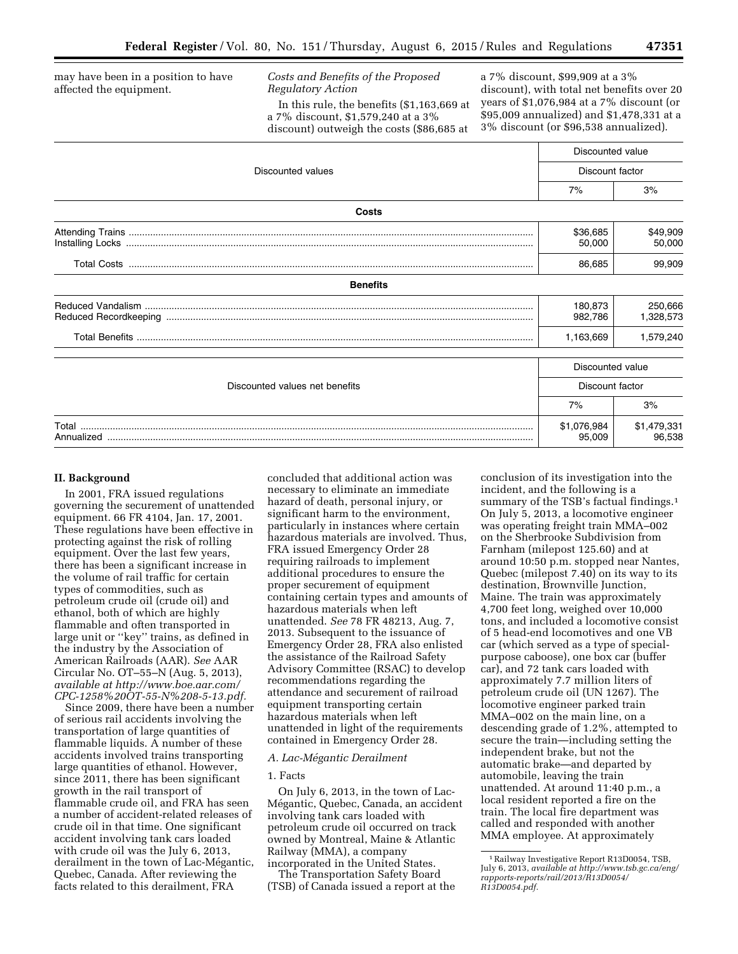may have been in a position to have affected the equipment.

*Costs and Benefits of the Proposed Regulatory Action* 

In this rule, the benefits (\$1,163,669 at a 7% discount, \$1,579,240 at a 3% discount) outweigh the costs (\$86,685 at

a 7% discount, \$99,909 at a 3% discount), with total net benefits over 20 years of \$1,076,984 at a 7% discount (or \$95,009 annualized) and \$1,478,331 at a 3% discount (or \$96,538 annualized).

|                                |                       | Discounted value      |  |  |
|--------------------------------|-----------------------|-----------------------|--|--|
| Discounted values              | Discount factor       |                       |  |  |
|                                | 7%                    | 3%                    |  |  |
| Costs                          |                       |                       |  |  |
|                                | \$36,685<br>50,000    | \$49,909<br>50,000    |  |  |
|                                |                       | 99,909                |  |  |
| <b>Benefits</b>                |                       |                       |  |  |
|                                | 180,873<br>982,786    | 250,666<br>1,328,573  |  |  |
|                                | 1,163,669             | 1,579,240             |  |  |
|                                | Discounted value      |                       |  |  |
| Discounted values net benefits | Discount factor       |                       |  |  |
|                                | 7%                    | 3%                    |  |  |
| Total                          | \$1,076,984<br>95,009 | \$1,479,331<br>96.538 |  |  |

## **II. Background**

In 2001, FRA issued regulations governing the securement of unattended equipment. 66 FR 4104, Jan. 17, 2001. These regulations have been effective in protecting against the risk of rolling equipment. Over the last few years, there has been a significant increase in the volume of rail traffic for certain types of commodities, such as petroleum crude oil (crude oil) and ethanol, both of which are highly flammable and often transported in large unit or ''key'' trains, as defined in the industry by the Association of American Railroads (AAR). *See* AAR Circular No. OT–55–N (Aug. 5, 2013), *available at [http://www.boe.aar.com/](http://www.boe.aar.com/CPC-1258%20OT-55-N%208-5-13.pdf) [CPC-1258%20OT-55-N%208-5-13.pdf.](http://www.boe.aar.com/CPC-1258%20OT-55-N%208-5-13.pdf)* 

Since 2009, there have been a number of serious rail accidents involving the transportation of large quantities of flammable liquids. A number of these accidents involved trains transporting large quantities of ethanol. However, since 2011, there has been significant growth in the rail transport of flammable crude oil, and FRA has seen a number of accident-related releases of crude oil in that time. One significant accident involving tank cars loaded with crude oil was the July 6, 2013, derailment in the town of Lac-Mégantic, Quebec, Canada. After reviewing the facts related to this derailment, FRA

concluded that additional action was necessary to eliminate an immediate hazard of death, personal injury, or significant harm to the environment, particularly in instances where certain hazardous materials are involved. Thus, FRA issued Emergency Order 28 requiring railroads to implement additional procedures to ensure the proper securement of equipment containing certain types and amounts of hazardous materials when left unattended. *See* 78 FR 48213, Aug. 7, 2013. Subsequent to the issuance of Emergency Order 28, FRA also enlisted the assistance of the Railroad Safety Advisory Committee (RSAC) to develop recommendations regarding the attendance and securement of railroad equipment transporting certain hazardous materials when left unattended in light of the requirements contained in Emergency Order 28.

#### *A. Lac-Me´gantic Derailment*

### 1. Facts

On July 6, 2013, in the town of Lac-Mégantic, Quebec, Canada, an accident involving tank cars loaded with petroleum crude oil occurred on track owned by Montreal, Maine & Atlantic Railway (MMA), a company

incorporated in the United States. The Transportation Safety Board (TSB) of Canada issued a report at the conclusion of its investigation into the incident, and the following is a summary of the TSB's factual findings.<sup>1</sup> On July 5, 2013, a locomotive engineer was operating freight train MMA–002 on the Sherbrooke Subdivision from Farnham (milepost 125.60) and at around 10:50 p.m. stopped near Nantes, Quebec (milepost 7.40) on its way to its destination, Brownville Junction, Maine. The train was approximately 4,700 feet long, weighed over 10,000 tons, and included a locomotive consist of 5 head-end locomotives and one VB car (which served as a type of specialpurpose caboose), one box car (buffer car), and 72 tank cars loaded with approximately 7.7 million liters of petroleum crude oil (UN 1267). The locomotive engineer parked train MMA–002 on the main line, on a descending grade of 1.2%, attempted to secure the train—including setting the independent brake, but not the automatic brake—and departed by automobile, leaving the train unattended. At around 11:40 p.m., a local resident reported a fire on the train. The local fire department was called and responded with another MMA employee. At approximately

<sup>1</sup>Railway Investigative Report R13D0054, TSB, July 6, 2013, *available at [http://www.tsb.gc.ca/eng/](http://www.tsb.gc.ca/eng/rapports-reports/rail/2013/R13D0054/R13D0054.pdf) [rapports-reports/rail/2013/R13D0054/](http://www.tsb.gc.ca/eng/rapports-reports/rail/2013/R13D0054/R13D0054.pdf) [R13D0054.pdf.](http://www.tsb.gc.ca/eng/rapports-reports/rail/2013/R13D0054/R13D0054.pdf)*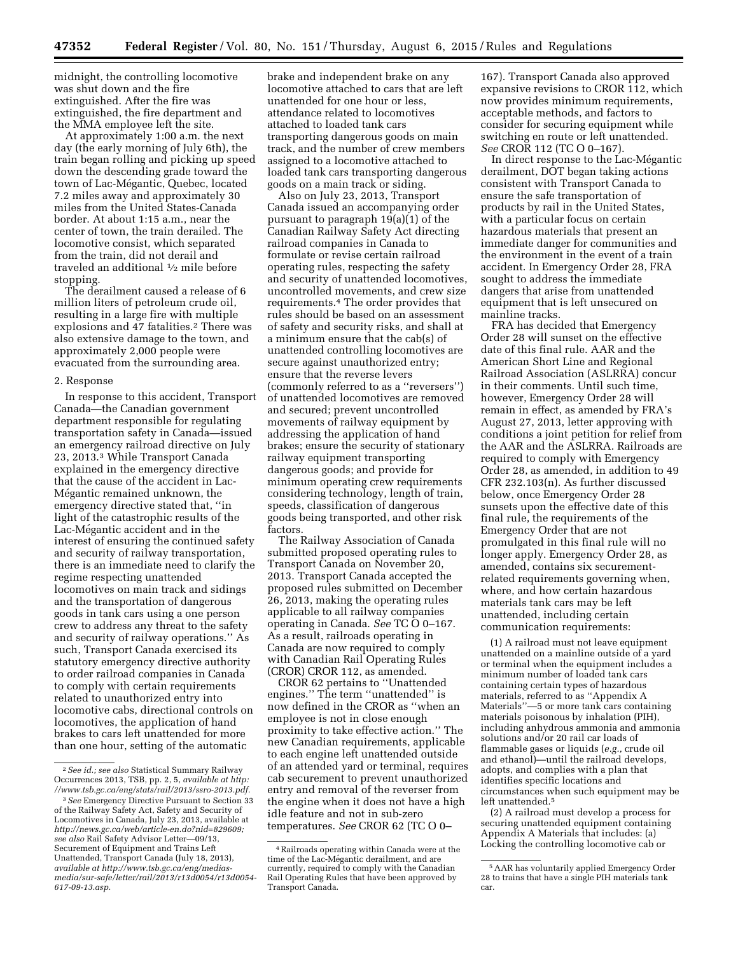midnight, the controlling locomotive was shut down and the fire extinguished. After the fire was extinguished, the fire department and the MMA employee left the site.

At approximately 1:00 a.m. the next day (the early morning of July 6th), the train began rolling and picking up speed down the descending grade toward the town of Lac-Mégantic, Quebec, located 7.2 miles away and approximately 30 miles from the United States-Canada border. At about 1:15 a.m., near the center of town, the train derailed. The locomotive consist, which separated from the train, did not derail and traveled an additional 1⁄2 mile before stopping.

The derailment caused a release of 6 million liters of petroleum crude oil, resulting in a large fire with multiple explosions and 47 fatalities.<sup>2</sup> There was also extensive damage to the town, and approximately 2,000 people were evacuated from the surrounding area.

#### 2. Response

In response to this accident, Transport Canada—the Canadian government department responsible for regulating transportation safety in Canada—issued an emergency railroad directive on July 23, 2013.3 While Transport Canada explained in the emergency directive that the cause of the accident in Lac-Mégantic remained unknown, the emergency directive stated that, ''in light of the catastrophic results of the Lac-Mégantic accident and in the interest of ensuring the continued safety and security of railway transportation, there is an immediate need to clarify the regime respecting unattended locomotives on main track and sidings and the transportation of dangerous goods in tank cars using a one person crew to address any threat to the safety and security of railway operations.'' As such, Transport Canada exercised its statutory emergency directive authority to order railroad companies in Canada to comply with certain requirements related to unauthorized entry into locomotive cabs, directional controls on locomotives, the application of hand brakes to cars left unattended for more than one hour, setting of the automatic

brake and independent brake on any locomotive attached to cars that are left unattended for one hour or less, attendance related to locomotives attached to loaded tank cars transporting dangerous goods on main track, and the number of crew members assigned to a locomotive attached to loaded tank cars transporting dangerous goods on a main track or siding.

Also on July 23, 2013, Transport Canada issued an accompanying order pursuant to paragraph 19(a)(1) of the Canadian Railway Safety Act directing railroad companies in Canada to formulate or revise certain railroad operating rules, respecting the safety and security of unattended locomotives, uncontrolled movements, and crew size requirements.4 The order provides that rules should be based on an assessment of safety and security risks, and shall at a minimum ensure that the cab(s) of unattended controlling locomotives are secure against unauthorized entry; ensure that the reverse levers (commonly referred to as a ''reversers'') of unattended locomotives are removed and secured; prevent uncontrolled movements of railway equipment by addressing the application of hand brakes; ensure the security of stationary railway equipment transporting dangerous goods; and provide for minimum operating crew requirements considering technology, length of train, speeds, classification of dangerous goods being transported, and other risk factors.

The Railway Association of Canada submitted proposed operating rules to Transport Canada on November 20, 2013. Transport Canada accepted the proposed rules submitted on December 26, 2013, making the operating rules applicable to all railway companies operating in Canada. *See* TC O 0–167. As a result, railroads operating in Canada are now required to comply with Canadian Rail Operating Rules (CROR) CROR 112, as amended.

CROR 62 pertains to ''Unattended engines.'' The term ''unattended'' is now defined in the CROR as ''when an employee is not in close enough proximity to take effective action.'' The new Canadian requirements, applicable to each engine left unattended outside of an attended yard or terminal, requires cab securement to prevent unauthorized entry and removal of the reverser from the engine when it does not have a high idle feature and not in sub-zero temperatures. *See* CROR 62 (TC O 0–

167). Transport Canada also approved expansive revisions to CROR 112, which now provides minimum requirements, acceptable methods, and factors to consider for securing equipment while switching en route or left unattended. *See* CROR 112 (TC O 0–167).

In direct response to the Lac-Mégantic derailment, DOT began taking actions consistent with Transport Canada to ensure the safe transportation of products by rail in the United States, with a particular focus on certain hazardous materials that present an immediate danger for communities and the environment in the event of a train accident. In Emergency Order 28, FRA sought to address the immediate dangers that arise from unattended equipment that is left unsecured on mainline tracks.

FRA has decided that Emergency Order 28 will sunset on the effective date of this final rule. AAR and the American Short Line and Regional Railroad Association (ASLRRA) concur in their comments. Until such time, however, Emergency Order 28 will remain in effect, as amended by FRA's August 27, 2013, letter approving with conditions a joint petition for relief from the AAR and the ASLRRA. Railroads are required to comply with Emergency Order 28, as amended, in addition to 49 CFR 232.103(n). As further discussed below, once Emergency Order 28 sunsets upon the effective date of this final rule, the requirements of the Emergency Order that are not promulgated in this final rule will no longer apply. Emergency Order 28, as amended, contains six securementrelated requirements governing when, where, and how certain hazardous materials tank cars may be left unattended, including certain communication requirements:

(1) A railroad must not leave equipment unattended on a mainline outside of a yard or terminal when the equipment includes a minimum number of loaded tank cars containing certain types of hazardous materials, referred to as ''Appendix A Materials''—5 or more tank cars containing materials poisonous by inhalation (PIH), including anhydrous ammonia and ammonia solutions and/or 20 rail car loads of flammable gases or liquids (*e.g.,* crude oil and ethanol)—until the railroad develops, adopts, and complies with a plan that identifies specific locations and circumstances when such equipment may be left unattended.5

(2) A railroad must develop a process for securing unattended equipment containing Appendix A Materials that includes: (a) Locking the controlling locomotive cab or

<sup>2</sup>*See id.; see also* Statistical Summary Railway Occurrences 2013, TSB, pp. 2, 5, *available at http: //www.tsb.gc.ca/eng/stats/rail/2013/ssro-2013.pdf.* 

<sup>3</sup>*See* Emergency Directive Pursuant to Section 33 of the Railway Safety Act, Safety and Security of Locomotives in Canada, July 23, 2013, available at *[http://news.gc.ca/web/article-en.do?nid=829609;](http://news.gc.ca/web/article-en.do?nid=829609) see also* Rail Safety Advisor Letter—09/13, Securement of Equipment and Trains Left Unattended, Transport Canada (July 18, 2013), *available at [http://www.tsb.gc.ca/eng/medias](http://www.tsb.gc.ca/eng/medias-media/sur-safe/letter/rail/2013/r13d0054/r13d0054-617-09-13.asp)[media/sur-safe/letter/rail/2013/r13d0054/r13d0054-](http://www.tsb.gc.ca/eng/medias-media/sur-safe/letter/rail/2013/r13d0054/r13d0054-617-09-13.asp) [617-09-13.asp.](http://www.tsb.gc.ca/eng/medias-media/sur-safe/letter/rail/2013/r13d0054/r13d0054-617-09-13.asp)* 

<sup>4</sup>Railroads operating within Canada were at the time of the Lac-Mégantic derailment, and are currently, required to comply with the Canadian Rail Operating Rules that have been approved by Transport Canada.

<sup>5</sup>AAR has voluntarily applied Emergency Order 28 to trains that have a single PIH materials tank car.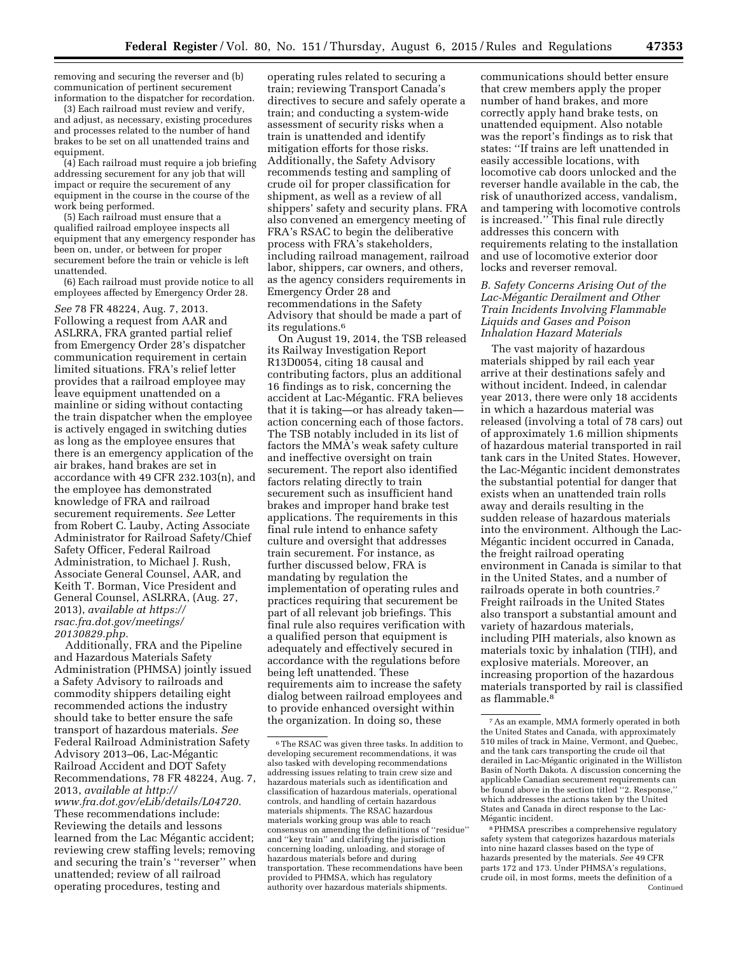removing and securing the reverser and (b) communication of pertinent securement information to the dispatcher for recordation.

(3) Each railroad must review and verify, and adjust, as necessary, existing procedures and processes related to the number of hand brakes to be set on all unattended trains and equipment.

(4) Each railroad must require a job briefing addressing securement for any job that will impact or require the securement of any equipment in the course in the course of the work being performed.

(5) Each railroad must ensure that a qualified railroad employee inspects all equipment that any emergency responder has been on, under, or between for proper securement before the train or vehicle is left unattended.

(6) Each railroad must provide notice to all employees affected by Emergency Order 28.

*See* 78 FR 48224, Aug. 7, 2013. Following a request from AAR and ASLRRA, FRA granted partial relief from Emergency Order 28's dispatcher communication requirement in certain limited situations. FRA's relief letter provides that a railroad employee may leave equipment unattended on a mainline or siding without contacting the train dispatcher when the employee is actively engaged in switching duties as long as the employee ensures that there is an emergency application of the air brakes, hand brakes are set in accordance with 49 CFR 232.103(n), and the employee has demonstrated knowledge of FRA and railroad securement requirements. *See* Letter from Robert C. Lauby, Acting Associate Administrator for Railroad Safety/Chief Safety Officer, Federal Railroad Administration, to Michael J. Rush, Associate General Counsel, AAR, and Keith T. Borman, Vice President and General Counsel, ASLRRA, (Aug. 27, 2013), *available at [https://](https://rsac.fra.dot.gov/meetings/20130829.php) [rsac.fra.dot.gov/meetings/](https://rsac.fra.dot.gov/meetings/20130829.php) [20130829.php.](https://rsac.fra.dot.gov/meetings/20130829.php)* 

Additionally, FRA and the Pipeline and Hazardous Materials Safety Administration (PHMSA) jointly issued a Safety Advisory to railroads and commodity shippers detailing eight recommended actions the industry should take to better ensure the safe transport of hazardous materials. *See*  Federal Railroad Administration Safety Advisory 2013-06, Lac-Mégantic Railroad Accident and DOT Safety Recommendations, 78 FR 48224, Aug. 7, 2013, *available at [http://](http://www.fra.dot.gov/eLib/details/L04720) [www.fra.dot.gov/eLib/details/L04720.](http://www.fra.dot.gov/eLib/details/L04720)*  These recommendations include: Reviewing the details and lessons learned from the Lac Mégantic accident; reviewing crew staffing levels; removing and securing the train's ''reverser'' when unattended; review of all railroad operating procedures, testing and

operating rules related to securing a train; reviewing Transport Canada's directives to secure and safely operate a train; and conducting a system-wide assessment of security risks when a train is unattended and identify mitigation efforts for those risks. Additionally, the Safety Advisory recommends testing and sampling of crude oil for proper classification for shipment, as well as a review of all shippers' safety and security plans. FRA also convened an emergency meeting of FRA's RSAC to begin the deliberative process with FRA's stakeholders, including railroad management, railroad labor, shippers, car owners, and others, as the agency considers requirements in Emergency Order 28 and recommendations in the Safety Advisory that should be made a part of its regulations.6

On August 19, 2014, the TSB released its Railway Investigation Report R13D0054, citing 18 causal and contributing factors, plus an additional 16 findings as to risk, concerning the accident at Lac-Mégantic. FRA believes that it is taking—or has already taken action concerning each of those factors. The TSB notably included in its list of factors the MMA's weak safety culture and ineffective oversight on train securement. The report also identified factors relating directly to train securement such as insufficient hand brakes and improper hand brake test applications. The requirements in this final rule intend to enhance safety culture and oversight that addresses train securement. For instance, as further discussed below, FRA is mandating by regulation the implementation of operating rules and practices requiring that securement be part of all relevant job briefings. This final rule also requires verification with a qualified person that equipment is adequately and effectively secured in accordance with the regulations before being left unattended. These requirements aim to increase the safety dialog between railroad employees and to provide enhanced oversight within the organization. In doing so, these

communications should better ensure that crew members apply the proper number of hand brakes, and more correctly apply hand brake tests, on unattended equipment. Also notable was the report's findings as to risk that states: ''If trains are left unattended in easily accessible locations, with locomotive cab doors unlocked and the reverser handle available in the cab, the risk of unauthorized access, vandalism, and tampering with locomotive controls is increased.'' This final rule directly addresses this concern with requirements relating to the installation and use of locomotive exterior door locks and reverser removal.

## *B. Safety Concerns Arising Out of the Lac-Me´gantic Derailment and Other Train Incidents Involving Flammable Liquids and Gases and Poison Inhalation Hazard Materials*

The vast majority of hazardous materials shipped by rail each year arrive at their destinations safely and without incident. Indeed, in calendar year 2013, there were only 18 accidents in which a hazardous material was released (involving a total of 78 cars) out of approximately 1.6 million shipments of hazardous material transported in rail tank cars in the United States. However, the Lac-Mégantic incident demonstrates the substantial potential for danger that exists when an unattended train rolls away and derails resulting in the sudden release of hazardous materials into the environment. Although the Lac-Mégantic incident occurred in Canada, the freight railroad operating environment in Canada is similar to that in the United States, and a number of railroads operate in both countries.7 Freight railroads in the United States also transport a substantial amount and variety of hazardous materials, including PIH materials, also known as materials toxic by inhalation (TIH), and explosive materials. Moreover, an increasing proportion of the hazardous materials transported by rail is classified as flammable.8

<sup>6</sup>The RSAC was given three tasks. In addition to developing securement recommendations, it was also tasked with developing recommendations addressing issues relating to train crew size and hazardous materials such as identification and classification of hazardous materials, operational controls, and handling of certain hazardous materials shipments. The RSAC hazardous materials working group was able to reach consensus on amending the definitions of ''residue'' and ''key train'' and clarifying the jurisdiction concerning loading, unloading, and storage of hazardous materials before and during transportation. These recommendations have been provided to PHMSA, which has regulatory authority over hazardous materials shipments.

<sup>7</sup>As an example, MMA formerly operated in both the United States and Canada, with approximately 510 miles of track in Maine, Vermont, and Quebec, and the tank cars transporting the crude oil that derailed in Lac-Mégantic originated in the Williston Basin of North Dakota. A discussion concerning the applicable Canadian securement requirements can be found above in the section titled "2. Response, which addresses the actions taken by the United States and Canada in direct response to the Lac-Mégantic incident.

<sup>8</sup>PHMSA prescribes a comprehensive regulatory safety system that categorizes hazardous materials into nine hazard classes based on the type of hazards presented by the materials. *See* 49 CFR parts 172 and 173. Under PHMSA's regulations, crude oil, in most forms, meets the definition of a Continued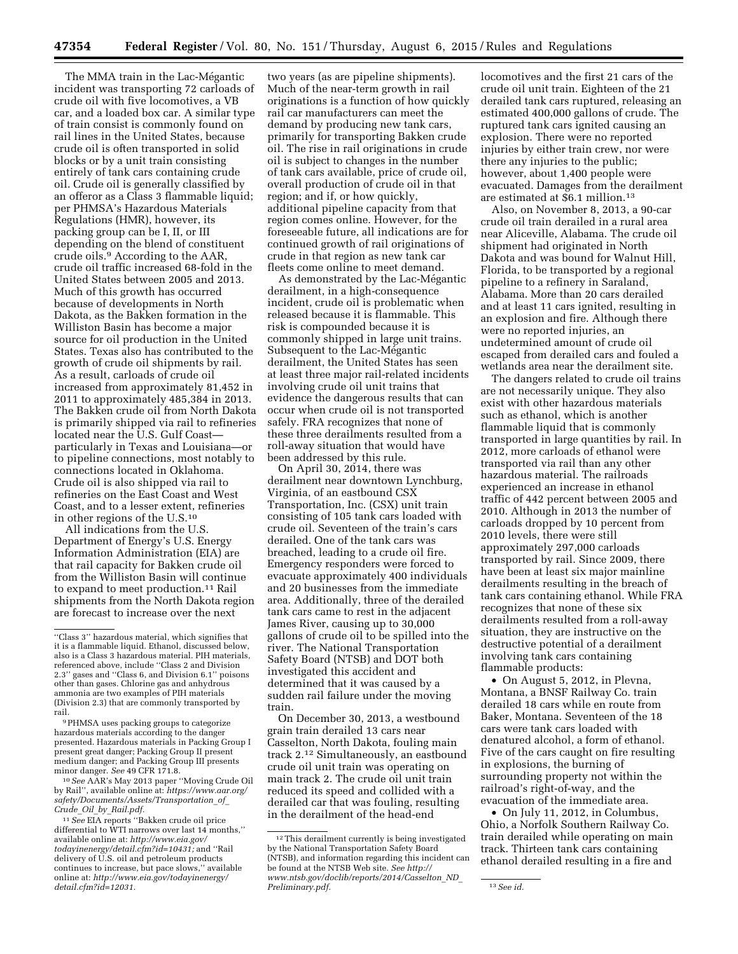The MMA train in the Lac-Mégantic incident was transporting 72 carloads of crude oil with five locomotives, a VB car, and a loaded box car. A similar type of train consist is commonly found on rail lines in the United States, because crude oil is often transported in solid blocks or by a unit train consisting entirely of tank cars containing crude oil. Crude oil is generally classified by an offeror as a Class 3 flammable liquid; per PHMSA's Hazardous Materials Regulations (HMR), however, its packing group can be I, II, or III depending on the blend of constituent crude oils.9 According to the AAR, crude oil traffic increased 68-fold in the United States between 2005 and 2013. Much of this growth has occurred because of developments in North Dakota, as the Bakken formation in the Williston Basin has become a major source for oil production in the United States. Texas also has contributed to the growth of crude oil shipments by rail. As a result, carloads of crude oil increased from approximately 81,452 in 2011 to approximately 485,384 in 2013. The Bakken crude oil from North Dakota is primarily shipped via rail to refineries located near the U.S. Gulf Coast particularly in Texas and Louisiana—or to pipeline connections, most notably to connections located in Oklahoma. Crude oil is also shipped via rail to refineries on the East Coast and West Coast, and to a lesser extent, refineries in other regions of the U.S.10

All indications from the U.S. Department of Energy's U.S. Energy Information Administration (EIA) are that rail capacity for Bakken crude oil from the Williston Basin will continue to expand to meet production.11 Rail shipments from the North Dakota region are forecast to increase over the next

10*See* AAR's May 2013 paper ''Moving Crude Oil by Rail'', available online at: *[https://www.aar.org/](https://www.aar.org/safety/Documents/Assets/Transportation_of_Crude_Oil_by_Rail.pdf) [safety/Documents/Assets/Transportation](https://www.aar.org/safety/Documents/Assets/Transportation_of_Crude_Oil_by_Rail.pdf)*\_*of*\_ *Crude*\_*Oil*\_*by*\_*[Rail.pdf.](https://www.aar.org/safety/Documents/Assets/Transportation_of_Crude_Oil_by_Rail.pdf)* 

11*See* EIA reports ''Bakken crude oil price differential to WTI narrows over last 14 months,'' available online at: *[http://www.eia.gov/](http://www.eia.gov/todayinenergy/detail.cfm?id=10431) [todayinenergy/detail.cfm?id=10431;](http://www.eia.gov/todayinenergy/detail.cfm?id=10431)* and ''Rail delivery of U.S. oil and petroleum products continues to increase, but pace slows,'' available online at: *[http://www.eia.gov/todayinenergy/](http://www.eia.gov/todayinenergy/detail.cfm?id=12031) [detail.cfm?id=12031.](http://www.eia.gov/todayinenergy/detail.cfm?id=12031)* 

two years (as are pipeline shipments). Much of the near-term growth in rail originations is a function of how quickly rail car manufacturers can meet the demand by producing new tank cars, primarily for transporting Bakken crude oil. The rise in rail originations in crude oil is subject to changes in the number of tank cars available, price of crude oil, overall production of crude oil in that region; and if, or how quickly, additional pipeline capacity from that region comes online. However, for the foreseeable future, all indications are for continued growth of rail originations of crude in that region as new tank car fleets come online to meet demand.

As demonstrated by the Lac-Mégantic derailment, in a high-consequence incident, crude oil is problematic when released because it is flammable. This risk is compounded because it is commonly shipped in large unit trains. Subsequent to the Lac-Mégantic derailment, the United States has seen at least three major rail-related incidents involving crude oil unit trains that evidence the dangerous results that can occur when crude oil is not transported safely. FRA recognizes that none of these three derailments resulted from a roll-away situation that would have been addressed by this rule.

On April 30, 2014, there was derailment near downtown Lynchburg, Virginia, of an eastbound CSX Transportation, Inc. (CSX) unit train consisting of 105 tank cars loaded with crude oil. Seventeen of the train's cars derailed. One of the tank cars was breached, leading to a crude oil fire. Emergency responders were forced to evacuate approximately 400 individuals and 20 businesses from the immediate area. Additionally, three of the derailed tank cars came to rest in the adjacent James River, causing up to 30,000 gallons of crude oil to be spilled into the river. The National Transportation Safety Board (NTSB) and DOT both investigated this accident and determined that it was caused by a sudden rail failure under the moving train.

On December 30, 2013, a westbound grain train derailed 13 cars near Casselton, North Dakota, fouling main track 2.12 Simultaneously, an eastbound crude oil unit train was operating on main track 2. The crude oil unit train reduced its speed and collided with a derailed car that was fouling, resulting in the derailment of the head-end

locomotives and the first 21 cars of the crude oil unit train. Eighteen of the 21 derailed tank cars ruptured, releasing an estimated 400,000 gallons of crude. The ruptured tank cars ignited causing an explosion. There were no reported injuries by either train crew, nor were there any injuries to the public; however, about 1,400 people were evacuated. Damages from the derailment are estimated at \$6.1 million.13

Also, on November 8, 2013, a 90-car crude oil train derailed in a rural area near Aliceville, Alabama. The crude oil shipment had originated in North Dakota and was bound for Walnut Hill, Florida, to be transported by a regional pipeline to a refinery in Saraland, Alabama. More than 20 cars derailed and at least 11 cars ignited, resulting in an explosion and fire. Although there were no reported injuries, an undetermined amount of crude oil escaped from derailed cars and fouled a wetlands area near the derailment site.

The dangers related to crude oil trains are not necessarily unique. They also exist with other hazardous materials such as ethanol, which is another flammable liquid that is commonly transported in large quantities by rail. In 2012, more carloads of ethanol were transported via rail than any other hazardous material. The railroads experienced an increase in ethanol traffic of 442 percent between 2005 and 2010. Although in 2013 the number of carloads dropped by 10 percent from 2010 levels, there were still approximately 297,000 carloads transported by rail. Since 2009, there have been at least six major mainline derailments resulting in the breach of tank cars containing ethanol. While FRA recognizes that none of these six derailments resulted from a roll-away situation, they are instructive on the destructive potential of a derailment involving tank cars containing flammable products:

• On August 5, 2012, in Plevna, Montana, a BNSF Railway Co. train derailed 18 cars while en route from Baker, Montana. Seventeen of the 18 cars were tank cars loaded with denatured alcohol, a form of ethanol. Five of the cars caught on fire resulting in explosions, the burning of surrounding property not within the railroad's right-of-way, and the evacuation of the immediate area.

• On July 11, 2012, in Columbus, Ohio, a Norfolk Southern Railway Co. train derailed while operating on main track. Thirteen tank cars containing ethanol derailed resulting in a fire and

<sup>&#</sup>x27;'Class 3'' hazardous material, which signifies that it is a flammable liquid. Ethanol, discussed below, also is a Class 3 hazardous material. PIH materials, referenced above, include ''Class 2 and Division 2.3'' gases and ''Class 6, and Division 6.1'' poisons other than gases. Chlorine gas and anhydrous ammonia are two examples of PIH materials (Division 2.3) that are commonly transported by rail.

<sup>9</sup>PHMSA uses packing groups to categorize hazardous materials according to the danger presented. Hazardous materials in Packing Group I present great danger; Packing Group II present medium danger; and Packing Group III presents minor danger. *See* 49 CFR 171.8.

<sup>12</sup>This derailment currently is being investigated by the National Transportation Safety Board (NTSB), and information regarding this incident can be found at the NTSB Web site. *See [http://](http://www.ntsb.gov/doclib/reports/2014/Casselton_ND_Preliminary.pdf) [www.ntsb.gov/doclib/reports/2014/Casselton](http://www.ntsb.gov/doclib/reports/2014/Casselton_ND_Preliminary.pdf)*\_*ND*\_ *[Preliminary.pdf.](http://www.ntsb.gov/doclib/reports/2014/Casselton_ND_Preliminary.pdf)* 13*See id.*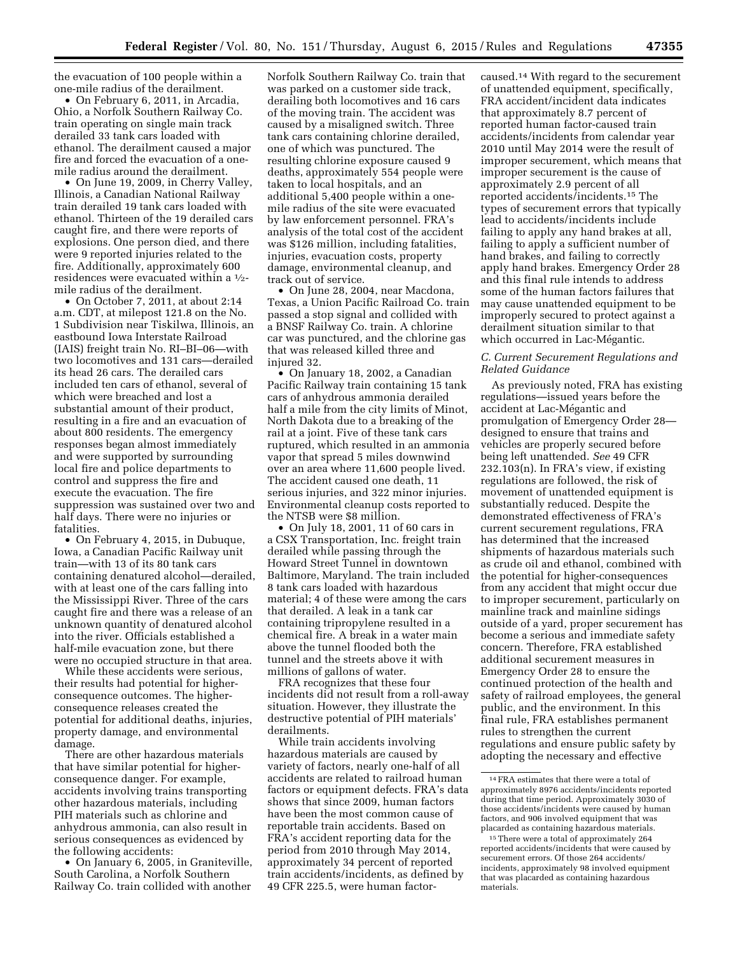the evacuation of 100 people within a one-mile radius of the derailment.

• On February 6, 2011, in Arcadia, Ohio, a Norfolk Southern Railway Co. train operating on single main track derailed 33 tank cars loaded with ethanol. The derailment caused a major fire and forced the evacuation of a onemile radius around the derailment.

• On June 19, 2009, in Cherry Valley, Illinois, a Canadian National Railway train derailed 19 tank cars loaded with ethanol. Thirteen of the 19 derailed cars caught fire, and there were reports of explosions. One person died, and there were 9 reported injuries related to the fire. Additionally, approximately 600 residences were evacuated within a 1⁄2 mile radius of the derailment.

• On October 7, 2011, at about 2:14 a.m. CDT, at milepost 121.8 on the No. 1 Subdivision near Tiskilwa, Illinois, an eastbound Iowa Interstate Railroad (IAIS) freight train No. RI–BI–06—with two locomotives and 131 cars—derailed its head 26 cars. The derailed cars included ten cars of ethanol, several of which were breached and lost a substantial amount of their product, resulting in a fire and an evacuation of about 800 residents. The emergency responses began almost immediately and were supported by surrounding local fire and police departments to control and suppress the fire and execute the evacuation. The fire suppression was sustained over two and half days. There were no injuries or fatalities.

• On February 4, 2015, in Dubuque, Iowa, a Canadian Pacific Railway unit train—with 13 of its 80 tank cars containing denatured alcohol—derailed, with at least one of the cars falling into the Mississippi River. Three of the cars caught fire and there was a release of an unknown quantity of denatured alcohol into the river. Officials established a half-mile evacuation zone, but there were no occupied structure in that area.

While these accidents were serious, their results had potential for higherconsequence outcomes. The higherconsequence releases created the potential for additional deaths, injuries, property damage, and environmental damage.

There are other hazardous materials that have similar potential for higherconsequence danger. For example, accidents involving trains transporting other hazardous materials, including PIH materials such as chlorine and anhydrous ammonia, can also result in serious consequences as evidenced by the following accidents:

• On January 6, 2005, in Graniteville, South Carolina, a Norfolk Southern Railway Co. train collided with another

Norfolk Southern Railway Co. train that was parked on a customer side track, derailing both locomotives and 16 cars of the moving train. The accident was caused by a misaligned switch. Three tank cars containing chlorine derailed, one of which was punctured. The resulting chlorine exposure caused 9 deaths, approximately 554 people were taken to local hospitals, and an additional 5,400 people within a onemile radius of the site were evacuated by law enforcement personnel. FRA's analysis of the total cost of the accident was \$126 million, including fatalities, injuries, evacuation costs, property damage, environmental cleanup, and track out of service.

• On June 28, 2004, near Macdona, Texas, a Union Pacific Railroad Co. train passed a stop signal and collided with a BNSF Railway Co. train. A chlorine car was punctured, and the chlorine gas that was released killed three and injured 32.

• On January 18, 2002, a Canadian Pacific Railway train containing 15 tank cars of anhydrous ammonia derailed half a mile from the city limits of Minot, North Dakota due to a breaking of the rail at a joint. Five of these tank cars ruptured, which resulted in an ammonia vapor that spread 5 miles downwind over an area where 11,600 people lived. The accident caused one death, 11 serious injuries, and 322 minor injuries. Environmental cleanup costs reported to the NTSB were \$8 million.

• On July 18, 2001, 11 of 60 cars in a CSX Transportation, Inc. freight train derailed while passing through the Howard Street Tunnel in downtown Baltimore, Maryland. The train included 8 tank cars loaded with hazardous material; 4 of these were among the cars that derailed. A leak in a tank car containing tripropylene resulted in a chemical fire. A break in a water main above the tunnel flooded both the tunnel and the streets above it with millions of gallons of water.

FRA recognizes that these four incidents did not result from a roll-away situation. However, they illustrate the destructive potential of PIH materials' derailments.

While train accidents involving hazardous materials are caused by variety of factors, nearly one-half of all accidents are related to railroad human factors or equipment defects. FRA's data shows that since 2009, human factors have been the most common cause of reportable train accidents. Based on FRA's accident reporting data for the period from 2010 through May 2014, approximately 34 percent of reported train accidents/incidents, as defined by 49 CFR 225.5, were human factorcaused.14 With regard to the securement of unattended equipment, specifically, FRA accident/incident data indicates that approximately 8.7 percent of reported human factor-caused train accidents/incidents from calendar year 2010 until May 2014 were the result of improper securement, which means that improper securement is the cause of approximately 2.9 percent of all reported accidents/incidents.15 The types of securement errors that typically lead to accidents/incidents include failing to apply any hand brakes at all, failing to apply a sufficient number of hand brakes, and failing to correctly apply hand brakes. Emergency Order 28 and this final rule intends to address some of the human factors failures that may cause unattended equipment to be improperly secured to protect against a derailment situation similar to that which occurred in Lac-Mégantic.

## *C. Current Securement Regulations and Related Guidance*

As previously noted, FRA has existing regulations—issued years before the accident at Lac-Mégantic and promulgation of Emergency Order 28 designed to ensure that trains and vehicles are properly secured before being left unattended. *See* 49 CFR 232.103(n). In FRA's view, if existing regulations are followed, the risk of movement of unattended equipment is substantially reduced. Despite the demonstrated effectiveness of FRA's current securement regulations, FRA has determined that the increased shipments of hazardous materials such as crude oil and ethanol, combined with the potential for higher-consequences from any accident that might occur due to improper securement, particularly on mainline track and mainline sidings outside of a yard, proper securement has become a serious and immediate safety concern. Therefore, FRA established additional securement measures in Emergency Order 28 to ensure the continued protection of the health and safety of railroad employees, the general public, and the environment. In this final rule, FRA establishes permanent rules to strengthen the current regulations and ensure public safety by adopting the necessary and effective

<sup>14</sup>FRA estimates that there were a total of approximately 8976 accidents/incidents reported during that time period. Approximately 3030 of those accidents/incidents were caused by human factors, and 906 involved equipment that was placarded as containing hazardous materials.

<sup>&</sup>lt;sup>15</sup> There were a total of approximately 264 reported accidents/incidents that were caused by securement errors. Of those 264 accidents/ incidents, approximately 98 involved equipment that was placarded as containing hazardous materials.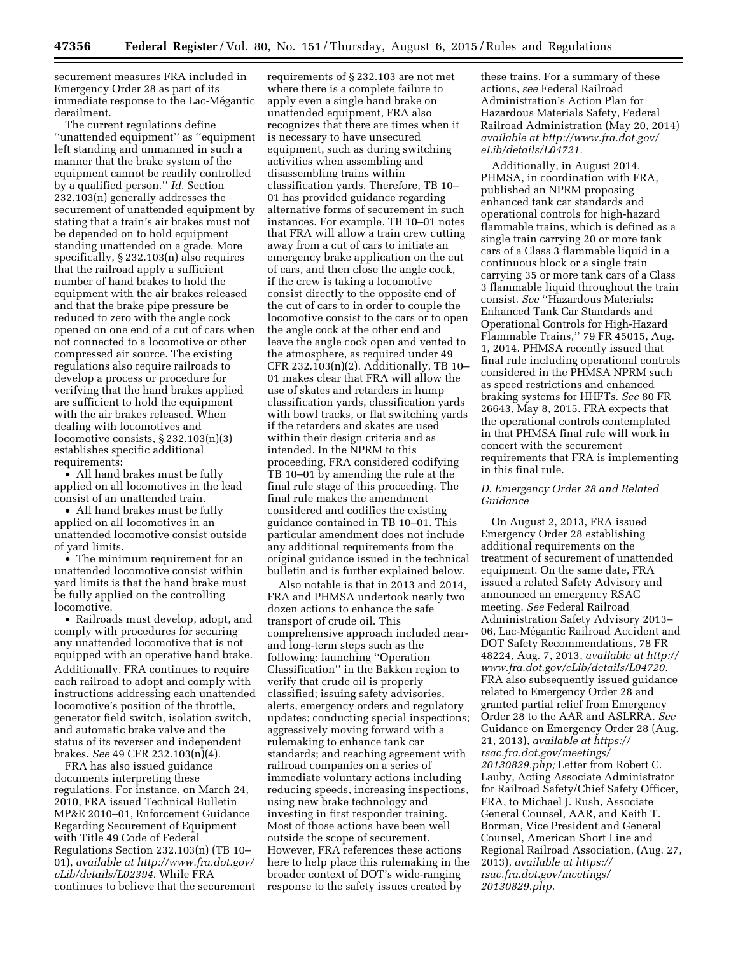securement measures FRA included in Emergency Order 28 as part of its immediate response to the Lac-Mégantic derailment.

The current regulations define ''unattended equipment'' as ''equipment left standing and unmanned in such a manner that the brake system of the equipment cannot be readily controlled by a qualified person.'' *Id.* Section 232.103(n) generally addresses the securement of unattended equipment by stating that a train's air brakes must not be depended on to hold equipment standing unattended on a grade. More specifically, § 232.103(n) also requires that the railroad apply a sufficient number of hand brakes to hold the equipment with the air brakes released and that the brake pipe pressure be reduced to zero with the angle cock opened on one end of a cut of cars when not connected to a locomotive or other compressed air source. The existing regulations also require railroads to develop a process or procedure for verifying that the hand brakes applied are sufficient to hold the equipment with the air brakes released. When dealing with locomotives and locomotive consists, § 232.103(n)(3) establishes specific additional requirements:

• All hand brakes must be fully applied on all locomotives in the lead consist of an unattended train.

• All hand brakes must be fully applied on all locomotives in an unattended locomotive consist outside of yard limits.

• The minimum requirement for an unattended locomotive consist within yard limits is that the hand brake must be fully applied on the controlling locomotive.

• Railroads must develop, adopt, and comply with procedures for securing any unattended locomotive that is not equipped with an operative hand brake. Additionally, FRA continues to require each railroad to adopt and comply with instructions addressing each unattended locomotive's position of the throttle, generator field switch, isolation switch, and automatic brake valve and the status of its reverser and independent brakes. *See* 49 CFR 232.103(n)(4).

FRA has also issued guidance documents interpreting these regulations. For instance, on March 24, 2010, FRA issued Technical Bulletin MP&E 2010–01, Enforcement Guidance Regarding Securement of Equipment with Title 49 Code of Federal Regulations Section 232.103(n) (TB 10– 01), *available at [http://www.fra.dot.gov/](http://www.fra.dot.gov/eLib/details/L02394)  [eLib/details/L02394.](http://www.fra.dot.gov/eLib/details/L02394)* While FRA continues to believe that the securement

requirements of § 232.103 are not met where there is a complete failure to apply even a single hand brake on unattended equipment, FRA also recognizes that there are times when it is necessary to have unsecured equipment, such as during switching activities when assembling and disassembling trains within classification yards. Therefore, TB 10– 01 has provided guidance regarding alternative forms of securement in such instances. For example, TB 10–01 notes that FRA will allow a train crew cutting away from a cut of cars to initiate an emergency brake application on the cut of cars, and then close the angle cock, if the crew is taking a locomotive consist directly to the opposite end of the cut of cars to in order to couple the locomotive consist to the cars or to open the angle cock at the other end and leave the angle cock open and vented to the atmosphere, as required under 49 CFR 232.103(n)(2). Additionally, TB 10– 01 makes clear that FRA will allow the use of skates and retarders in hump classification yards, classification yards with bowl tracks, or flat switching yards if the retarders and skates are used within their design criteria and as intended. In the NPRM to this proceeding, FRA considered codifying TB 10–01 by amending the rule at the final rule stage of this proceeding. The final rule makes the amendment considered and codifies the existing guidance contained in TB 10–01. This particular amendment does not include any additional requirements from the original guidance issued in the technical bulletin and is further explained below.

Also notable is that in 2013 and 2014, FRA and PHMSA undertook nearly two dozen actions to enhance the safe transport of crude oil. This comprehensive approach included nearand long-term steps such as the following: launching ''Operation Classification'' in the Bakken region to verify that crude oil is properly classified; issuing safety advisories, alerts, emergency orders and regulatory updates; conducting special inspections; aggressively moving forward with a rulemaking to enhance tank car standards; and reaching agreement with railroad companies on a series of immediate voluntary actions including reducing speeds, increasing inspections, using new brake technology and investing in first responder training. Most of those actions have been well outside the scope of securement. However, FRA references these actions here to help place this rulemaking in the broader context of DOT's wide-ranging response to the safety issues created by

these trains. For a summary of these actions, *see* Federal Railroad Administration's Action Plan for Hazardous Materials Safety, Federal Railroad Administration (May 20, 2014) *available at [http://www.fra.dot.gov/](http://www.fra.dot.gov/eLib/details/L04721) [eLib/details/L04721.](http://www.fra.dot.gov/eLib/details/L04721)* 

Additionally, in August 2014, PHMSA, in coordination with FRA, published an NPRM proposing enhanced tank car standards and operational controls for high-hazard flammable trains, which is defined as a single train carrying 20 or more tank cars of a Class 3 flammable liquid in a continuous block or a single train carrying 35 or more tank cars of a Class 3 flammable liquid throughout the train consist. *See* ''Hazardous Materials: Enhanced Tank Car Standards and Operational Controls for High-Hazard Flammable Trains,'' 79 FR 45015, Aug. 1, 2014. PHMSA recently issued that final rule including operational controls considered in the PHMSA NPRM such as speed restrictions and enhanced braking systems for HHFTs. *See* 80 FR 26643, May 8, 2015. FRA expects that the operational controls contemplated in that PHMSA final rule will work in concert with the securement requirements that FRA is implementing in this final rule.

## *D. Emergency Order 28 and Related Guidance*

On August 2, 2013, FRA issued Emergency Order 28 establishing additional requirements on the treatment of securement of unattended equipment. On the same date, FRA issued a related Safety Advisory and announced an emergency RSAC meeting. *See* Federal Railroad Administration Safety Advisory 2013– 06, Lac-Mégantic Railroad Accident and DOT Safety Recommendations, 78 FR 48224, Aug. 7, 2013, *available at [http://](http://www.fra.dot.gov/eLib/details/L04720) [www.fra.dot.gov/eLib/details/L04720.](http://www.fra.dot.gov/eLib/details/L04720)*  FRA also subsequently issued guidance related to Emergency Order 28 and granted partial relief from Emergency Order 28 to the AAR and ASLRRA. *See*  Guidance on Emergency Order 28 (Aug. 21, 2013), *available at [https://](https://rsac.fra.dot.gov/meetings/20130829.php) [rsac.fra.dot.gov/meetings/](https://rsac.fra.dot.gov/meetings/20130829.php) [20130829.php;](https://rsac.fra.dot.gov/meetings/20130829.php)* Letter from Robert C. Lauby, Acting Associate Administrator for Railroad Safety/Chief Safety Officer, FRA, to Michael J. Rush, Associate General Counsel, AAR, and Keith T. Borman, Vice President and General Counsel, American Short Line and Regional Railroad Association, (Aug. 27, 2013), *available at [https://](https://rsac.fra.dot.gov/meetings/20130829.php) [rsac.fra.dot.gov/meetings/](https://rsac.fra.dot.gov/meetings/20130829.php) [20130829.php.](https://rsac.fra.dot.gov/meetings/20130829.php)*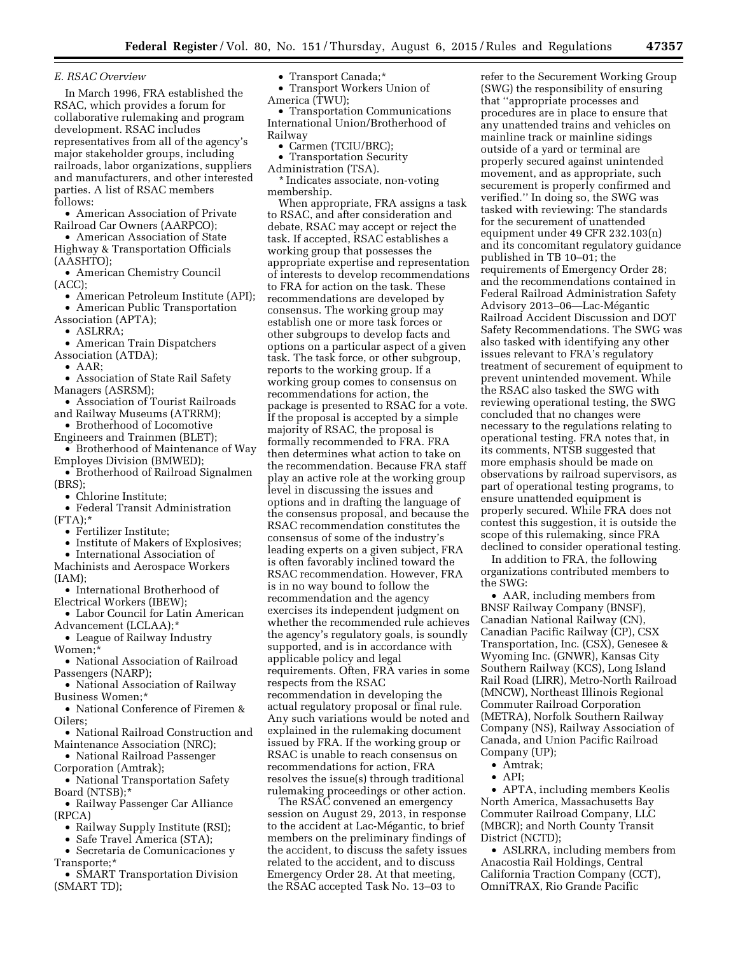*E. RSAC Overview* 

In March 1996, FRA established the RSAC, which provides a forum for collaborative rulemaking and program development. RSAC includes representatives from all of the agency's major stakeholder groups, including railroads, labor organizations, suppliers and manufacturers, and other interested parties. A list of RSAC members follows:

• American Association of Private Railroad Car Owners (AARPCO);

• American Association of State Highway & Transportation Officials (AASHTO);

• American Chemistry Council (ACC);

- American Petroleum Institute (API);
- American Public Transportation

Association (APTA);

• ASLRRA;

• American Train Dispatchers

Association (ATDA);

• AAR;

- Association of State Rail Safety Managers (ASRSM);
- Association of Tourist Railroads and Railway Museums (ATRRM);
- Brotherhood of Locomotive
- Engineers and Trainmen (BLET);
- Brotherhood of Maintenance of Way Employes Division (BMWED);
- Brotherhood of Railroad Signalmen

(BRS);

- Chlorine Institute;
- Federal Transit Administration  $(FTA):*$ 
	- Fertilizer Institute;
	- Institute of Makers of Explosives;

• International Association of Machinists and Aerospace Workers

 $[IAM]:$ 

- International Brotherhood of Electrical Workers (IBEW);
- Labor Council for Latin American Advancement (LCLAA);\*
- League of Railway Industry Women;\*
- National Association of Railroad Passengers (NARP);
- National Association of Railway Business Women;\*
- National Conference of Firemen & Oilers;
- National Railroad Construction and Maintenance Association (NRC);
- National Railroad Passenger
- Corporation (Amtrak);

• National Transportation Safety Board (NTSB);\*

• Railway Passenger Car Alliance (RPCA)

- Railway Supply Institute (RSI);
- Safe Travel America (STA);

• Secretaria de Comunicaciones y Transporte;\*

• SMART Transportation Division (SMART TD);

• Transport Canada;\*

• Transport Workers Union of America (TWU);

• Transportation Communications International Union/Brotherhood of Railway

- Carmen (TCIU/BRC);
- Transportation Security

Administration (TSA). \* Indicates associate, non-voting membership.

When appropriate, FRA assigns a task to RSAC, and after consideration and debate, RSAC may accept or reject the task. If accepted, RSAC establishes a working group that possesses the appropriate expertise and representation of interests to develop recommendations to FRA for action on the task. These recommendations are developed by consensus. The working group may establish one or more task forces or other subgroups to develop facts and options on a particular aspect of a given task. The task force, or other subgroup, reports to the working group. If a working group comes to consensus on recommendations for action, the package is presented to RSAC for a vote. If the proposal is accepted by a simple majority of RSAC, the proposal is formally recommended to FRA. FRA then determines what action to take on the recommendation. Because FRA staff play an active role at the working group level in discussing the issues and options and in drafting the language of the consensus proposal, and because the RSAC recommendation constitutes the consensus of some of the industry's leading experts on a given subject, FRA is often favorably inclined toward the RSAC recommendation. However, FRA is in no way bound to follow the recommendation and the agency exercises its independent judgment on whether the recommended rule achieves the agency's regulatory goals, is soundly supported, and is in accordance with applicable policy and legal requirements. Often, FRA varies in some respects from the RSAC recommendation in developing the actual regulatory proposal or final rule. Any such variations would be noted and explained in the rulemaking document issued by FRA. If the working group or RSAC is unable to reach consensus on recommendations for action, FRA resolves the issue(s) through traditional rulemaking proceedings or other action.

The RSAC convened an emergency session on August 29, 2013, in response to the accident at Lac-Mégantic, to brief members on the preliminary findings of the accident, to discuss the safety issues related to the accident, and to discuss Emergency Order 28. At that meeting, the RSAC accepted Task No. 13–03 to

refer to the Securement Working Group (SWG) the responsibility of ensuring that ''appropriate processes and procedures are in place to ensure that any unattended trains and vehicles on mainline track or mainline sidings outside of a yard or terminal are properly secured against unintended movement, and as appropriate, such securement is properly confirmed and verified.'' In doing so, the SWG was tasked with reviewing: The standards for the securement of unattended equipment under 49 CFR 232.103(n) and its concomitant regulatory guidance published in TB 10–01; the requirements of Emergency Order 28; and the recommendations contained in Federal Railroad Administration Safety Advisory 2013–06—Lac-Mégantic Railroad Accident Discussion and DOT Safety Recommendations. The SWG was also tasked with identifying any other issues relevant to FRA's regulatory treatment of securement of equipment to prevent unintended movement. While the RSAC also tasked the SWG with reviewing operational testing, the SWG concluded that no changes were necessary to the regulations relating to operational testing. FRA notes that, in its comments, NTSB suggested that more emphasis should be made on observations by railroad supervisors, as part of operational testing programs, to ensure unattended equipment is properly secured. While FRA does not contest this suggestion, it is outside the scope of this rulemaking, since FRA declined to consider operational testing.

In addition to FRA, the following organizations contributed members to the SWG:

• AAR, including members from BNSF Railway Company (BNSF), Canadian National Railway (CN), Canadian Pacific Railway (CP), CSX Transportation, Inc. (CSX), Genesee & Wyoming Inc. (GNWR), Kansas City Southern Railway (KCS), Long Island Rail Road (LIRR), Metro-North Railroad (MNCW), Northeast Illinois Regional Commuter Railroad Corporation (METRA), Norfolk Southern Railway Company (NS), Railway Association of Canada, and Union Pacific Railroad Company (UP);

- Amtrak;
- API;

• APTA, including members Keolis North America, Massachusetts Bay Commuter Railroad Company, LLC (MBCR); and North County Transit District (NCTD);

• ASLRRA, including members from Anacostia Rail Holdings, Central California Traction Company (CCT), OmniTRAX, Rio Grande Pacific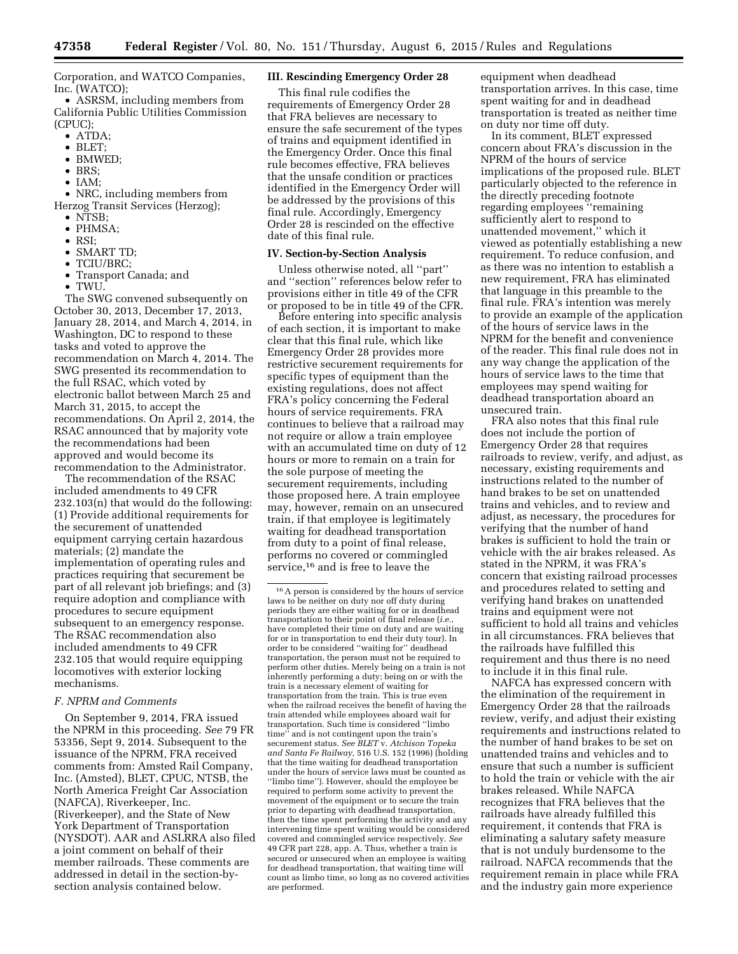Corporation, and WATCO Companies, Inc. (WATCO);

• ASRSM, including members from California Public Utilities Commission  $(CPIIC)$ :

- ATDA;
- BLET;
- BMWED;
- BRS;
- $\bullet$  TAM:

• NRC, including members from Herzog Transit Services (Herzog);

- NTSB:
- PHMSA;
- RSI;
- SMART TD;
- TCIU/BRC;
- Transport Canada; and
- TWU.

The SWG convened subsequently on October 30, 2013, December 17, 2013, January 28, 2014, and March 4, 2014, in Washington, DC to respond to these tasks and voted to approve the recommendation on March 4, 2014. The SWG presented its recommendation to the full RSAC, which voted by electronic ballot between March 25 and March 31, 2015, to accept the recommendations. On April 2, 2014, the RSAC announced that by majority vote the recommendations had been approved and would become its recommendation to the Administrator.

The recommendation of the RSAC included amendments to 49 CFR 232.103(n) that would do the following: (1) Provide additional requirements for the securement of unattended equipment carrying certain hazardous materials; (2) mandate the implementation of operating rules and practices requiring that securement be part of all relevant job briefings; and (3) require adoption and compliance with procedures to secure equipment subsequent to an emergency response. The RSAC recommendation also included amendments to 49 CFR 232.105 that would require equipping locomotives with exterior locking mechanisms.

### *F. NPRM and Comments*

On September 9, 2014, FRA issued the NPRM in this proceeding. *See* 79 FR 53356, Sept 9, 2014. Subsequent to the issuance of the NPRM, FRA received comments from: Amsted Rail Company, Inc. (Amsted), BLET, CPUC, NTSB, the North America Freight Car Association (NAFCA), Riverkeeper, Inc. (Riverkeeper), and the State of New York Department of Transportation (NYSDOT). AAR and ASLRRA also filed a joint comment on behalf of their member railroads. These comments are addressed in detail in the section-bysection analysis contained below.

# **III. Rescinding Emergency Order 28**

This final rule codifies the requirements of Emergency Order 28 that FRA believes are necessary to ensure the safe securement of the types of trains and equipment identified in the Emergency Order. Once this final rule becomes effective, FRA believes that the unsafe condition or practices identified in the Emergency Order will be addressed by the provisions of this final rule. Accordingly, Emergency Order 28 is rescinded on the effective date of this final rule.

#### **IV. Section-by-Section Analysis**

Unless otherwise noted, all ''part'' and ''section'' references below refer to provisions either in title 49 of the CFR or proposed to be in title 49 of the CFR.

Before entering into specific analysis of each section, it is important to make clear that this final rule, which like Emergency Order 28 provides more restrictive securement requirements for specific types of equipment than the existing regulations, does not affect FRA's policy concerning the Federal hours of service requirements. FRA continues to believe that a railroad may not require or allow a train employee with an accumulated time on duty of 12 hours or more to remain on a train for the sole purpose of meeting the securement requirements, including those proposed here. A train employee may, however, remain on an unsecured train, if that employee is legitimately waiting for deadhead transportation from duty to a point of final release, performs no covered or commingled service,<sup>16</sup> and is free to leave the

equipment when deadhead transportation arrives. In this case, time spent waiting for and in deadhead transportation is treated as neither time on duty nor time off duty.

In its comment, BLET expressed concern about FRA's discussion in the NPRM of the hours of service implications of the proposed rule. BLET particularly objected to the reference in the directly preceding footnote regarding employees ''remaining sufficiently alert to respond to unattended movement,'' which it viewed as potentially establishing a new requirement. To reduce confusion, and as there was no intention to establish a new requirement, FRA has eliminated that language in this preamble to the final rule. FRA's intention was merely to provide an example of the application of the hours of service laws in the NPRM for the benefit and convenience of the reader. This final rule does not in any way change the application of the hours of service laws to the time that employees may spend waiting for deadhead transportation aboard an unsecured train.

FRA also notes that this final rule does not include the portion of Emergency Order 28 that requires railroads to review, verify, and adjust, as necessary, existing requirements and instructions related to the number of hand brakes to be set on unattended trains and vehicles, and to review and adjust, as necessary, the procedures for verifying that the number of hand brakes is sufficient to hold the train or vehicle with the air brakes released. As stated in the NPRM, it was FRA's concern that existing railroad processes and procedures related to setting and verifying hand brakes on unattended trains and equipment were not sufficient to hold all trains and vehicles in all circumstances. FRA believes that the railroads have fulfilled this requirement and thus there is no need to include it in this final rule.

NAFCA has expressed concern with the elimination of the requirement in Emergency Order 28 that the railroads review, verify, and adjust their existing requirements and instructions related to the number of hand brakes to be set on unattended trains and vehicles and to ensure that such a number is sufficient to hold the train or vehicle with the air brakes released. While NAFCA recognizes that FRA believes that the railroads have already fulfilled this requirement, it contends that FRA is eliminating a salutary safety measure that is not unduly burdensome to the railroad. NAFCA recommends that the requirement remain in place while FRA and the industry gain more experience

<sup>16</sup>A person is considered by the hours of service laws to be neither on duty nor off duty during periods they are either waiting for or in deadhead transportation to their point of final release (*i.e.,*  have completed their time on duty and are waiting for or in transportation to end their duty tour). In order to be considered ''waiting for'' deadhead transportation, the person must not be required to perform other duties. Merely being on a train is not inherently performing a duty; being on or with the train is a necessary element of waiting for transportation from the train. This is true even when the railroad receives the benefit of having the train attended while employees aboard wait for transportation. Such time is considered ''limbo time'' and is not contingent upon the train's securement status. *See BLET* v. *Atchison Topeka and Santa Fe Railway,* 516 U.S. 152 (1996) (holding that the time waiting for deadhead transportation under the hours of service laws must be counted as ''limbo time''). However, should the employee be required to perform some activity to prevent the movement of the equipment or to secure the train prior to departing with deadhead transportation, then the time spent performing the activity and any intervening time spent waiting would be considered covered and commingled service respectively. *See*  49 CFR part 228, app. A. Thus, whether a train is secured or unsecured when an employee is waiting for deadhead transportation, that waiting time will count as limbo time, so long as no covered activities are performed.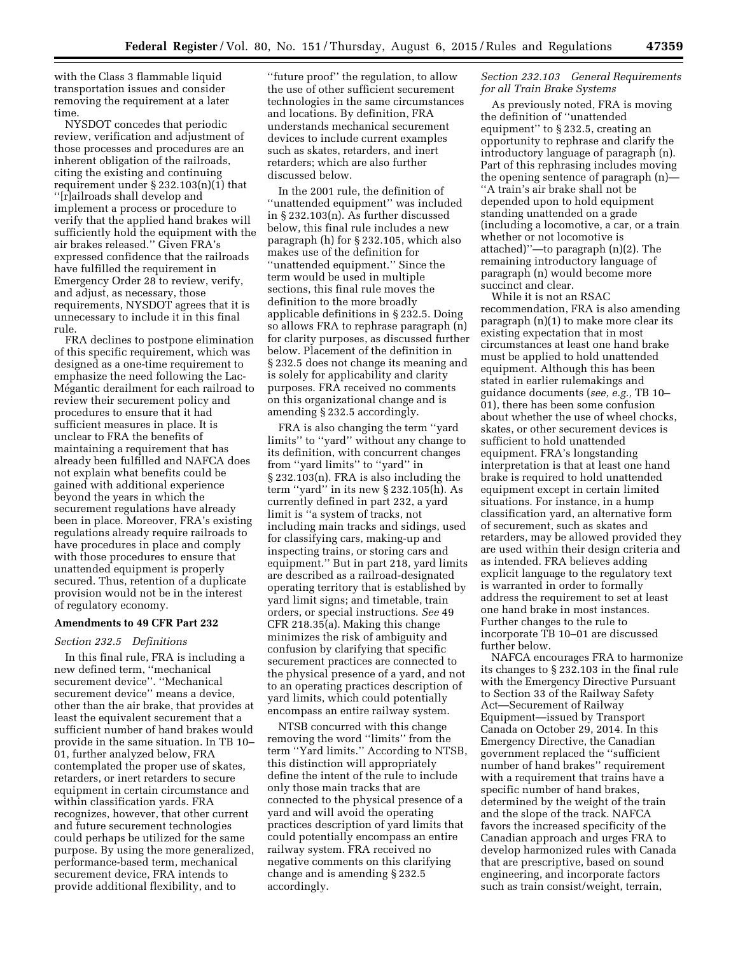with the Class 3 flammable liquid transportation issues and consider removing the requirement at a later time.

NYSDOT concedes that periodic review, verification and adjustment of those processes and procedures are an inherent obligation of the railroads, citing the existing and continuing requirement under  $\S 232.103(n)(1)$  that ''[r]ailroads shall develop and implement a process or procedure to verify that the applied hand brakes will sufficiently hold the equipment with the air brakes released.'' Given FRA's expressed confidence that the railroads have fulfilled the requirement in Emergency Order 28 to review, verify, and adjust, as necessary, those requirements, NYSDOT agrees that it is unnecessary to include it in this final rule.

FRA declines to postpone elimination of this specific requirement, which was designed as a one-time requirement to emphasize the need following the Lac-Mégantic derailment for each railroad to review their securement policy and procedures to ensure that it had sufficient measures in place. It is unclear to FRA the benefits of maintaining a requirement that has already been fulfilled and NAFCA does not explain what benefits could be gained with additional experience beyond the years in which the securement regulations have already been in place. Moreover, FRA's existing regulations already require railroads to have procedures in place and comply with those procedures to ensure that unattended equipment is properly secured. Thus, retention of a duplicate provision would not be in the interest of regulatory economy.

#### **Amendments to 49 CFR Part 232**

### *Section 232.5 Definitions*

In this final rule, FRA is including a new defined term, ''mechanical securement device''. ''Mechanical securement device'' means a device, other than the air brake, that provides at least the equivalent securement that a sufficient number of hand brakes would provide in the same situation. In TB 10– 01, further analyzed below, FRA contemplated the proper use of skates, retarders, or inert retarders to secure equipment in certain circumstance and within classification yards. FRA recognizes, however, that other current and future securement technologies could perhaps be utilized for the same purpose. By using the more generalized, performance-based term, mechanical securement device, FRA intends to provide additional flexibility, and to

''future proof'' the regulation, to allow the use of other sufficient securement technologies in the same circumstances and locations. By definition, FRA understands mechanical securement devices to include current examples such as skates, retarders, and inert retarders; which are also further discussed below.

In the 2001 rule, the definition of ''unattended equipment'' was included in § 232.103(n). As further discussed below, this final rule includes a new paragraph (h) for § 232.105, which also makes use of the definition for ''unattended equipment.'' Since the term would be used in multiple sections, this final rule moves the definition to the more broadly applicable definitions in § 232.5. Doing so allows FRA to rephrase paragraph (n) for clarity purposes, as discussed further below. Placement of the definition in § 232.5 does not change its meaning and is solely for applicability and clarity purposes. FRA received no comments on this organizational change and is amending § 232.5 accordingly.

FRA is also changing the term ''yard limits'' to ''yard'' without any change to its definition, with concurrent changes from ''yard limits'' to ''yard'' in § 232.103(n). FRA is also including the term ''yard'' in its new § 232.105(h). As currently defined in part 232, a yard limit is ''a system of tracks, not including main tracks and sidings, used for classifying cars, making-up and inspecting trains, or storing cars and equipment.'' But in part 218, yard limits are described as a railroad-designated operating territory that is established by yard limit signs; and timetable, train orders, or special instructions. *See* 49 CFR 218.35(a). Making this change minimizes the risk of ambiguity and confusion by clarifying that specific securement practices are connected to the physical presence of a yard, and not to an operating practices description of yard limits, which could potentially encompass an entire railway system.

NTSB concurred with this change removing the word ''limits'' from the term ''Yard limits.'' According to NTSB, this distinction will appropriately define the intent of the rule to include only those main tracks that are connected to the physical presence of a yard and will avoid the operating practices description of yard limits that could potentially encompass an entire railway system. FRA received no negative comments on this clarifying change and is amending § 232.5 accordingly.

### *Section 232.103 General Requirements for all Train Brake Systems*

As previously noted, FRA is moving the definition of ''unattended equipment'' to § 232.5, creating an opportunity to rephrase and clarify the introductory language of paragraph (n). Part of this rephrasing includes moving the opening sentence of paragraph (n)— ''A train's air brake shall not be depended upon to hold equipment standing unattended on a grade (including a locomotive, a car, or a train whether or not locomotive is attached)''—to paragraph (n)(2). The remaining introductory language of paragraph (n) would become more succinct and clear.

While it is not an RSAC recommendation, FRA is also amending paragraph (n)(1) to make more clear its existing expectation that in most circumstances at least one hand brake must be applied to hold unattended equipment. Although this has been stated in earlier rulemakings and guidance documents (*see, e.g.,* TB 10– 01), there has been some confusion about whether the use of wheel chocks, skates, or other securement devices is sufficient to hold unattended equipment. FRA's longstanding interpretation is that at least one hand brake is required to hold unattended equipment except in certain limited situations. For instance, in a hump classification yard, an alternative form of securement, such as skates and retarders, may be allowed provided they are used within their design criteria and as intended. FRA believes adding explicit language to the regulatory text is warranted in order to formally address the requirement to set at least one hand brake in most instances. Further changes to the rule to incorporate TB 10–01 are discussed further below.

NAFCA encourages FRA to harmonize its changes to § 232.103 in the final rule with the Emergency Directive Pursuant to Section 33 of the Railway Safety Act—Securement of Railway Equipment—issued by Transport Canada on October 29, 2014. In this Emergency Directive, the Canadian government replaced the ''sufficient number of hand brakes'' requirement with a requirement that trains have a specific number of hand brakes, determined by the weight of the train and the slope of the track. NAFCA favors the increased specificity of the Canadian approach and urges FRA to develop harmonized rules with Canada that are prescriptive, based on sound engineering, and incorporate factors such as train consist/weight, terrain,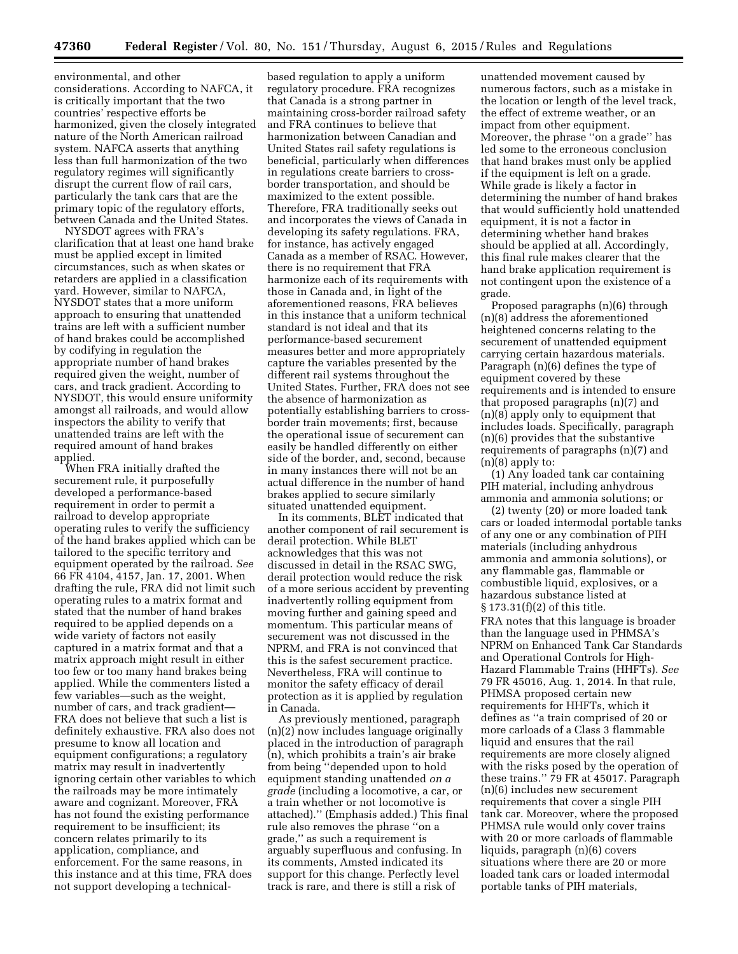environmental, and other considerations. According to NAFCA, it is critically important that the two countries' respective efforts be harmonized, given the closely integrated nature of the North American railroad system. NAFCA asserts that anything less than full harmonization of the two regulatory regimes will significantly disrupt the current flow of rail cars, particularly the tank cars that are the primary topic of the regulatory efforts, between Canada and the United States.

NYSDOT agrees with FRA's clarification that at least one hand brake must be applied except in limited circumstances, such as when skates or retarders are applied in a classification yard. However, similar to NAFCA, NYSDOT states that a more uniform approach to ensuring that unattended trains are left with a sufficient number of hand brakes could be accomplished by codifying in regulation the appropriate number of hand brakes required given the weight, number of cars, and track gradient. According to NYSDOT, this would ensure uniformity amongst all railroads, and would allow inspectors the ability to verify that unattended trains are left with the required amount of hand brakes applied.

When FRA initially drafted the securement rule, it purposefully developed a performance-based requirement in order to permit a railroad to develop appropriate operating rules to verify the sufficiency of the hand brakes applied which can be tailored to the specific territory and equipment operated by the railroad. *See*  66 FR 4104, 4157, Jan. 17, 2001. When drafting the rule, FRA did not limit such operating rules to a matrix format and stated that the number of hand brakes required to be applied depends on a wide variety of factors not easily captured in a matrix format and that a matrix approach might result in either too few or too many hand brakes being applied. While the commenters listed a few variables—such as the weight, number of cars, and track gradient— FRA does not believe that such a list is definitely exhaustive. FRA also does not presume to know all location and equipment configurations; a regulatory matrix may result in inadvertently ignoring certain other variables to which the railroads may be more intimately aware and cognizant. Moreover, FRA has not found the existing performance requirement to be insufficient; its concern relates primarily to its application, compliance, and enforcement. For the same reasons, in this instance and at this time, FRA does not support developing a technical-

based regulation to apply a uniform regulatory procedure. FRA recognizes that Canada is a strong partner in maintaining cross-border railroad safety and FRA continues to believe that harmonization between Canadian and United States rail safety regulations is beneficial, particularly when differences in regulations create barriers to crossborder transportation, and should be maximized to the extent possible. Therefore, FRA traditionally seeks out and incorporates the views of Canada in developing its safety regulations. FRA, for instance, has actively engaged Canada as a member of RSAC. However, there is no requirement that FRA harmonize each of its requirements with those in Canada and, in light of the aforementioned reasons, FRA believes in this instance that a uniform technical standard is not ideal and that its performance-based securement measures better and more appropriately capture the variables presented by the different rail systems throughout the United States. Further, FRA does not see the absence of harmonization as potentially establishing barriers to crossborder train movements; first, because the operational issue of securement can easily be handled differently on either side of the border, and, second, because in many instances there will not be an actual difference in the number of hand brakes applied to secure similarly situated unattended equipment.

In its comments, BLET indicated that another component of rail securement is derail protection. While BLET acknowledges that this was not discussed in detail in the RSAC SWG, derail protection would reduce the risk of a more serious accident by preventing inadvertently rolling equipment from moving further and gaining speed and momentum. This particular means of securement was not discussed in the NPRM, and FRA is not convinced that this is the safest securement practice. Nevertheless, FRA will continue to monitor the safety efficacy of derail protection as it is applied by regulation in Canada.

As previously mentioned, paragraph (n)(2) now includes language originally placed in the introduction of paragraph (n), which prohibits a train's air brake from being ''depended upon to hold equipment standing unattended *on a grade* (including a locomotive, a car, or a train whether or not locomotive is attached).'' (Emphasis added.) This final rule also removes the phrase ''on a grade,'' as such a requirement is arguably superfluous and confusing. In its comments, Amsted indicated its support for this change. Perfectly level track is rare, and there is still a risk of

unattended movement caused by numerous factors, such as a mistake in the location or length of the level track, the effect of extreme weather, or an impact from other equipment. Moreover, the phrase ''on a grade'' has led some to the erroneous conclusion that hand brakes must only be applied if the equipment is left on a grade. While grade is likely a factor in determining the number of hand brakes that would sufficiently hold unattended equipment, it is not a factor in determining whether hand brakes should be applied at all. Accordingly, this final rule makes clearer that the hand brake application requirement is not contingent upon the existence of a grade.

Proposed paragraphs (n)(6) through (n)(8) address the aforementioned heightened concerns relating to the securement of unattended equipment carrying certain hazardous materials. Paragraph (n)(6) defines the type of equipment covered by these requirements and is intended to ensure that proposed paragraphs (n)(7) and (n)(8) apply only to equipment that includes loads. Specifically, paragraph (n)(6) provides that the substantive requirements of paragraphs (n)(7) and  $(n)(8)$  apply to:

(1) Any loaded tank car containing PIH material, including anhydrous ammonia and ammonia solutions; or

(2) twenty (20) or more loaded tank cars or loaded intermodal portable tanks of any one or any combination of PIH materials (including anhydrous ammonia and ammonia solutions), or any flammable gas, flammable or combustible liquid, explosives, or a hazardous substance listed at § 173.31(f)(2) of this title.

FRA notes that this language is broader than the language used in PHMSA's NPRM on Enhanced Tank Car Standards and Operational Controls for High-Hazard Flammable Trains (HHFTs). *See*  79 FR 45016, Aug. 1, 2014. In that rule, PHMSA proposed certain new requirements for HHFTs, which it defines as ''a train comprised of 20 or more carloads of a Class 3 flammable liquid and ensures that the rail requirements are more closely aligned with the risks posed by the operation of these trains.'' 79 FR at 45017. Paragraph (n)(6) includes new securement requirements that cover a single PIH tank car. Moreover, where the proposed PHMSA rule would only cover trains with 20 or more carloads of flammable liquids, paragraph (n)(6) covers situations where there are 20 or more loaded tank cars or loaded intermodal portable tanks of PIH materials,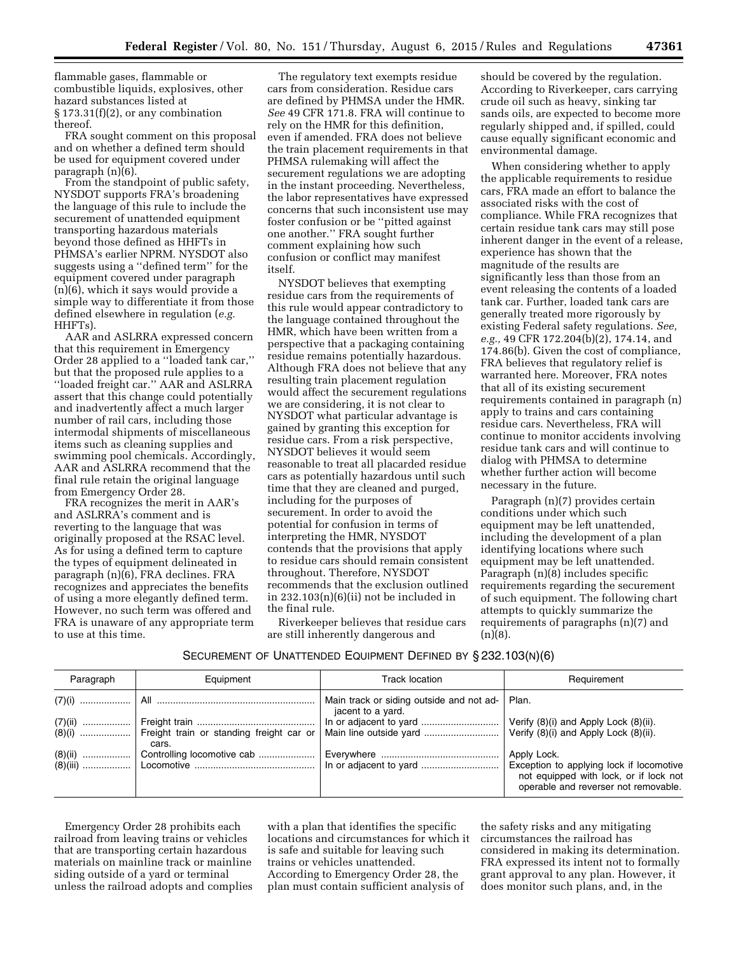flammable gases, flammable or combustible liquids, explosives, other hazard substances listed at  $\S 173.31(f)(2)$ , or any combination thereof.

FRA sought comment on this proposal and on whether a defined term should be used for equipment covered under paragraph  $(n)(6)$ .

From the standpoint of public safety, NYSDOT supports FRA's broadening the language of this rule to include the securement of unattended equipment transporting hazardous materials beyond those defined as HHFTs in PHMSA's earlier NPRM. NYSDOT also suggests using a ''defined term'' for the equipment covered under paragraph (n)(6), which it says would provide a simple way to differentiate it from those defined elsewhere in regulation (*e.g.*  HHFTs).

AAR and ASLRRA expressed concern that this requirement in Emergency Order 28 applied to a ''loaded tank car,'' but that the proposed rule applies to a ''loaded freight car.'' AAR and ASLRRA assert that this change could potentially and inadvertently affect a much larger number of rail cars, including those intermodal shipments of miscellaneous items such as cleaning supplies and swimming pool chemicals. Accordingly, AAR and ASLRRA recommend that the final rule retain the original language from Emergency Order 28.

FRA recognizes the merit in AAR's and ASLRRA's comment and is reverting to the language that was originally proposed at the RSAC level. As for using a defined term to capture the types of equipment delineated in paragraph (n)(6), FRA declines. FRA recognizes and appreciates the benefits of using a more elegantly defined term. However, no such term was offered and FRA is unaware of any appropriate term to use at this time.

The regulatory text exempts residue cars from consideration. Residue cars are defined by PHMSA under the HMR. *See* 49 CFR 171.8. FRA will continue to rely on the HMR for this definition, even if amended. FRA does not believe the train placement requirements in that PHMSA rulemaking will affect the securement regulations we are adopting in the instant proceeding. Nevertheless, the labor representatives have expressed concerns that such inconsistent use may foster confusion or be ''pitted against one another.'' FRA sought further comment explaining how such confusion or conflict may manifest itself.

NYSDOT believes that exempting residue cars from the requirements of this rule would appear contradictory to the language contained throughout the HMR, which have been written from a perspective that a packaging containing residue remains potentially hazardous. Although FRA does not believe that any resulting train placement regulation would affect the securement regulations we are considering, it is not clear to NYSDOT what particular advantage is gained by granting this exception for residue cars. From a risk perspective, NYSDOT believes it would seem reasonable to treat all placarded residue cars as potentially hazardous until such time that they are cleaned and purged, including for the purposes of securement. In order to avoid the potential for confusion in terms of interpreting the HMR, NYSDOT contends that the provisions that apply to residue cars should remain consistent throughout. Therefore, NYSDOT recommends that the exclusion outlined in 232.103(n)(6)(ii) not be included in the final rule.

Riverkeeper believes that residue cars are still inherently dangerous and

should be covered by the regulation. According to Riverkeeper, cars carrying crude oil such as heavy, sinking tar sands oils, are expected to become more regularly shipped and, if spilled, could cause equally significant economic and environmental damage.

When considering whether to apply the applicable requirements to residue cars, FRA made an effort to balance the associated risks with the cost of compliance. While FRA recognizes that certain residue tank cars may still pose inherent danger in the event of a release, experience has shown that the magnitude of the results are significantly less than those from an event releasing the contents of a loaded tank car. Further, loaded tank cars are generally treated more rigorously by existing Federal safety regulations. *See, e.g.,* 49 CFR 172.204(b)(2), 174.14, and 174.86(b). Given the cost of compliance, FRA believes that regulatory relief is warranted here. Moreover, FRA notes that all of its existing securement requirements contained in paragraph (n) apply to trains and cars containing residue cars. Nevertheless, FRA will continue to monitor accidents involving residue tank cars and will continue to dialog with PHMSA to determine whether further action will become necessary in the future.

Paragraph (n)(7) provides certain conditions under which such equipment may be left unattended, including the development of a plan identifying locations where such equipment may be left unattended. Paragraph (n)(8) includes specific requirements regarding the securement of such equipment. The following chart attempts to quickly summarize the requirements of paragraphs (n)(7) and  $(n)(8)$ .

## SECUREMENT OF UNATTENDED EQUIPMENT DEFINED BY § 232.103(N)(6)

| Paragraph | Equipment | Track location                                                | Requirement                                                                                                                               |
|-----------|-----------|---------------------------------------------------------------|-------------------------------------------------------------------------------------------------------------------------------------------|
|           |           | Main track or siding outside and not ad-<br>jacent to a yard. | Plan.                                                                                                                                     |
|           | cars.     |                                                               |                                                                                                                                           |
|           |           |                                                               | Apply Lock.<br>Exception to applying lock if locomotive<br>not equipped with lock, or if lock not<br>operable and reverser not removable. |

Emergency Order 28 prohibits each railroad from leaving trains or vehicles that are transporting certain hazardous materials on mainline track or mainline siding outside of a yard or terminal unless the railroad adopts and complies

with a plan that identifies the specific locations and circumstances for which it is safe and suitable for leaving such trains or vehicles unattended. According to Emergency Order 28, the plan must contain sufficient analysis of

the safety risks and any mitigating circumstances the railroad has considered in making its determination. FRA expressed its intent not to formally grant approval to any plan. However, it does monitor such plans, and, in the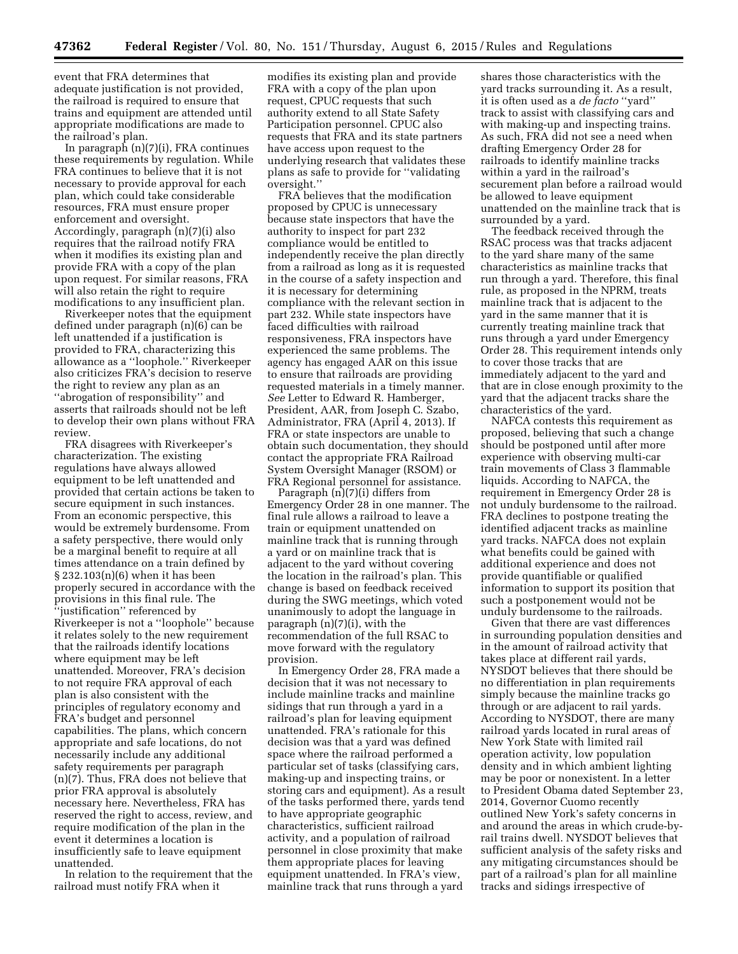event that FRA determines that adequate justification is not provided, the railroad is required to ensure that trains and equipment are attended until appropriate modifications are made to the railroad's plan.

In paragraph (n)(7)(i), FRA continues these requirements by regulation. While FRA continues to believe that it is not necessary to provide approval for each plan, which could take considerable resources, FRA must ensure proper enforcement and oversight. Accordingly, paragraph (n)(7)(i) also requires that the railroad notify FRA when it modifies its existing plan and provide FRA with a copy of the plan upon request. For similar reasons, FRA will also retain the right to require modifications to any insufficient plan.

Riverkeeper notes that the equipment defined under paragraph (n)(6) can be left unattended if a justification is provided to FRA, characterizing this allowance as a ''loophole.'' Riverkeeper also criticizes FRA's decision to reserve the right to review any plan as an ''abrogation of responsibility'' and asserts that railroads should not be left to develop their own plans without FRA review.

FRA disagrees with Riverkeeper's characterization. The existing regulations have always allowed equipment to be left unattended and provided that certain actions be taken to secure equipment in such instances. From an economic perspective, this would be extremely burdensome. From a safety perspective, there would only be a marginal benefit to require at all times attendance on a train defined by § 232.103(n)(6) when it has been properly secured in accordance with the provisions in this final rule. The ''justification'' referenced by Riverkeeper is not a ''loophole'' because it relates solely to the new requirement that the railroads identify locations where equipment may be left unattended. Moreover, FRA's decision to not require FRA approval of each plan is also consistent with the principles of regulatory economy and FRA's budget and personnel capabilities. The plans, which concern appropriate and safe locations, do not necessarily include any additional safety requirements per paragraph (n)(7). Thus, FRA does not believe that prior FRA approval is absolutely necessary here. Nevertheless, FRA has reserved the right to access, review, and require modification of the plan in the event it determines a location is insufficiently safe to leave equipment unattended.

In relation to the requirement that the railroad must notify FRA when it

modifies its existing plan and provide FRA with a copy of the plan upon request, CPUC requests that such authority extend to all State Safety Participation personnel. CPUC also requests that FRA and its state partners have access upon request to the underlying research that validates these plans as safe to provide for ''validating oversight.''

FRA believes that the modification proposed by CPUC is unnecessary because state inspectors that have the authority to inspect for part 232 compliance would be entitled to independently receive the plan directly from a railroad as long as it is requested in the course of a safety inspection and it is necessary for determining compliance with the relevant section in part 232. While state inspectors have faced difficulties with railroad responsiveness, FRA inspectors have experienced the same problems. The agency has engaged AAR on this issue to ensure that railroads are providing requested materials in a timely manner. *See* Letter to Edward R. Hamberger, President, AAR, from Joseph C. Szabo, Administrator, FRA (April 4, 2013). If FRA or state inspectors are unable to obtain such documentation, they should contact the appropriate FRA Railroad System Oversight Manager (RSOM) or FRA Regional personnel for assistance.

Paragraph (n)(7)(i) differs from Emergency Order 28 in one manner. The final rule allows a railroad to leave a train or equipment unattended on mainline track that is running through a yard or on mainline track that is adjacent to the yard without covering the location in the railroad's plan. This change is based on feedback received during the SWG meetings, which voted unanimously to adopt the language in paragraph (n)(7)(i), with the recommendation of the full RSAC to move forward with the regulatory provision.

In Emergency Order 28, FRA made a decision that it was not necessary to include mainline tracks and mainline sidings that run through a yard in a railroad's plan for leaving equipment unattended. FRA's rationale for this decision was that a yard was defined space where the railroad performed a particular set of tasks (classifying cars, making-up and inspecting trains, or storing cars and equipment). As a result of the tasks performed there, yards tend to have appropriate geographic characteristics, sufficient railroad activity, and a population of railroad personnel in close proximity that make them appropriate places for leaving equipment unattended. In FRA's view, mainline track that runs through a yard

shares those characteristics with the yard tracks surrounding it. As a result, it is often used as a *de facto* ''yard'' track to assist with classifying cars and with making-up and inspecting trains. As such, FRA did not see a need when drafting Emergency Order 28 for railroads to identify mainline tracks within a yard in the railroad's securement plan before a railroad would be allowed to leave equipment unattended on the mainline track that is surrounded by a yard.

The feedback received through the RSAC process was that tracks adjacent to the yard share many of the same characteristics as mainline tracks that run through a yard. Therefore, this final rule, as proposed in the NPRM, treats mainline track that is adjacent to the yard in the same manner that it is currently treating mainline track that runs through a yard under Emergency Order 28. This requirement intends only to cover those tracks that are immediately adjacent to the yard and that are in close enough proximity to the yard that the adjacent tracks share the characteristics of the yard.

NAFCA contests this requirement as proposed, believing that such a change should be postponed until after more experience with observing multi-car train movements of Class 3 flammable liquids. According to NAFCA, the requirement in Emergency Order 28 is not unduly burdensome to the railroad. FRA declines to postpone treating the identified adjacent tracks as mainline yard tracks. NAFCA does not explain what benefits could be gained with additional experience and does not provide quantifiable or qualified information to support its position that such a postponement would not be unduly burdensome to the railroads.

Given that there are vast differences in surrounding population densities and in the amount of railroad activity that takes place at different rail yards, NYSDOT believes that there should be no differentiation in plan requirements simply because the mainline tracks go through or are adjacent to rail yards. According to NYSDOT, there are many railroad yards located in rural areas of New York State with limited rail operation activity, low population density and in which ambient lighting may be poor or nonexistent. In a letter to President Obama dated September 23, 2014, Governor Cuomo recently outlined New York's safety concerns in and around the areas in which crude-byrail trains dwell. NYSDOT believes that sufficient analysis of the safety risks and any mitigating circumstances should be part of a railroad's plan for all mainline tracks and sidings irrespective of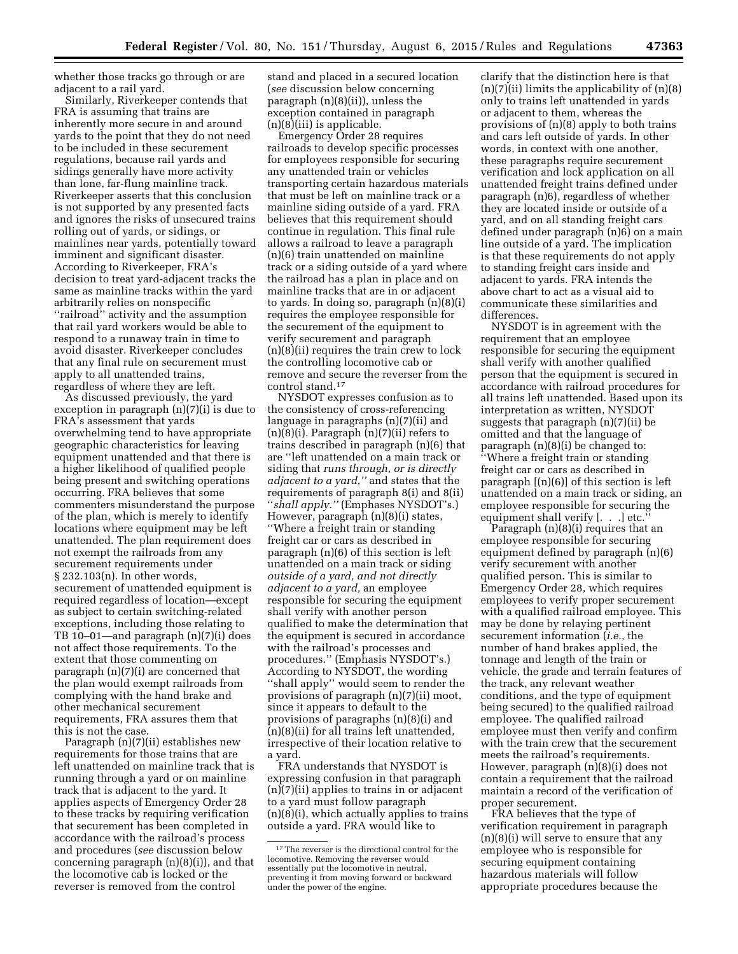whether those tracks go through or are adjacent to a rail yard.

Similarly, Riverkeeper contends that FRA is assuming that trains are inherently more secure in and around yards to the point that they do not need to be included in these securement regulations, because rail yards and sidings generally have more activity than lone, far-flung mainline track. Riverkeeper asserts that this conclusion is not supported by any presented facts and ignores the risks of unsecured trains rolling out of yards, or sidings, or mainlines near yards, potentially toward imminent and significant disaster. According to Riverkeeper, FRA's decision to treat yard-adjacent tracks the same as mainline tracks within the yard arbitrarily relies on nonspecific ''railroad'' activity and the assumption that rail yard workers would be able to respond to a runaway train in time to avoid disaster. Riverkeeper concludes that any final rule on securement must apply to all unattended trains, regardless of where they are left.

As discussed previously, the yard exception in paragraph (n)(7)(i) is due to FRA's assessment that yards overwhelming tend to have appropriate geographic characteristics for leaving equipment unattended and that there is a higher likelihood of qualified people being present and switching operations occurring. FRA believes that some commenters misunderstand the purpose of the plan, which is merely to identify locations where equipment may be left unattended. The plan requirement does not exempt the railroads from any securement requirements under § 232.103(n). In other words, securement of unattended equipment is required regardless of location—except as subject to certain switching-related exceptions, including those relating to TB 10–01—and paragraph (n)(7)(i) does not affect those requirements. To the extent that those commenting on paragraph (n)(7)(i) are concerned that the plan would exempt railroads from complying with the hand brake and other mechanical securement requirements, FRA assures them that this is not the case.

Paragraph (n)(7)(ii) establishes new requirements for those trains that are left unattended on mainline track that is running through a yard or on mainline track that is adjacent to the yard. It applies aspects of Emergency Order 28 to these tracks by requiring verification that securement has been completed in accordance with the railroad's process and procedures (*see* discussion below concerning paragraph (n)(8)(i)), and that the locomotive cab is locked or the reverser is removed from the control

stand and placed in a secured location (*see* discussion below concerning paragraph (n)(8)(ii)), unless the exception contained in paragraph (n)(8)(iii) is applicable.

Emergency Order 28 requires railroads to develop specific processes for employees responsible for securing any unattended train or vehicles transporting certain hazardous materials that must be left on mainline track or a mainline siding outside of a yard. FRA believes that this requirement should continue in regulation. This final rule allows a railroad to leave a paragraph (n)(6) train unattended on mainline track or a siding outside of a yard where the railroad has a plan in place and on mainline tracks that are in or adjacent to yards. In doing so, paragraph (n)(8)(i) requires the employee responsible for the securement of the equipment to verify securement and paragraph (n)(8)(ii) requires the train crew to lock the controlling locomotive cab or remove and secure the reverser from the control stand.17

NYSDOT expresses confusion as to the consistency of cross-referencing language in paragraphs (n)(7)(ii) and  $(n)(8)(i)$ . Paragraph  $(n)(7)(ii)$  refers to trains described in paragraph (n)(6) that are ''left unattended on a main track or siding that *runs through, or is directly adjacent to a yard,''* and states that the requirements of paragraph 8(i) and 8(ii) ''*shall apply.''* (Emphases NYSDOT's.) However, paragraph (n)(8)(i) states, ''Where a freight train or standing freight car or cars as described in paragraph (n)(6) of this section is left unattended on a main track or siding *outside of a yard, and not directly adjacent to a yard,* an employee responsible for securing the equipment shall verify with another person qualified to make the determination that the equipment is secured in accordance with the railroad's processes and procedures.'' (Emphasis NYSDOT's.) According to NYSDOT, the wording ''shall apply'' would seem to render the provisions of paragraph (n)(7)(ii) moot, since it appears to default to the provisions of paragraphs (n)(8)(i) and  $\bar{p}(n)(8)(ii)$  for all trains left unattended, irrespective of their location relative to a yard.

FRA understands that NYSDOT is expressing confusion in that paragraph (n)(7)(ii) applies to trains in or adjacent to a yard must follow paragraph (n)(8)(i), which actually applies to trains outside a yard. FRA would like to

clarify that the distinction here is that  $(n)(7)(ii)$  limits the applicability of  $(n)(8)$ only to trains left unattended in yards or adjacent to them, whereas the provisions of (n)(8) apply to both trains and cars left outside of yards. In other words, in context with one another, these paragraphs require securement verification and lock application on all unattended freight trains defined under paragraph (n)6), regardless of whether they are located inside or outside of a yard, and on all standing freight cars defined under paragraph (n)6) on a main line outside of a yard. The implication is that these requirements do not apply to standing freight cars inside and adjacent to yards. FRA intends the above chart to act as a visual aid to communicate these similarities and differences.

NYSDOT is in agreement with the requirement that an employee responsible for securing the equipment shall verify with another qualified person that the equipment is secured in accordance with railroad procedures for all trains left unattended. Based upon its interpretation as written, NYSDOT suggests that paragraph (n)(7)(ii) be omitted and that the language of paragraph (n)(8)(i) be changed to: ''Where a freight train or standing freight car or cars as described in paragraph [(n)(6)] of this section is left unattended on a main track or siding, an employee responsible for securing the equipment shall verify [. . .] etc.

Paragraph (n)(8)(i) requires that an employee responsible for securing equipment defined by paragraph (n)(6) verify securement with another qualified person. This is similar to Emergency Order 28, which requires employees to verify proper securement with a qualified railroad employee. This may be done by relaying pertinent securement information (*i.e.,* the number of hand brakes applied, the tonnage and length of the train or vehicle, the grade and terrain features of the track, any relevant weather conditions, and the type of equipment being secured) to the qualified railroad employee. The qualified railroad employee must then verify and confirm with the train crew that the securement meets the railroad's requirements. However, paragraph (n)(8)(i) does not contain a requirement that the railroad maintain a record of the verification of proper securement.

FRA believes that the type of verification requirement in paragraph (n)(8)(i) will serve to ensure that any employee who is responsible for securing equipment containing hazardous materials will follow appropriate procedures because the

<sup>&</sup>lt;sup>17</sup>The reverser is the directional control for the locomotive. Removing the reverser would essentially put the locomotive in neutral, preventing it from moving forward or backward under the power of the engine.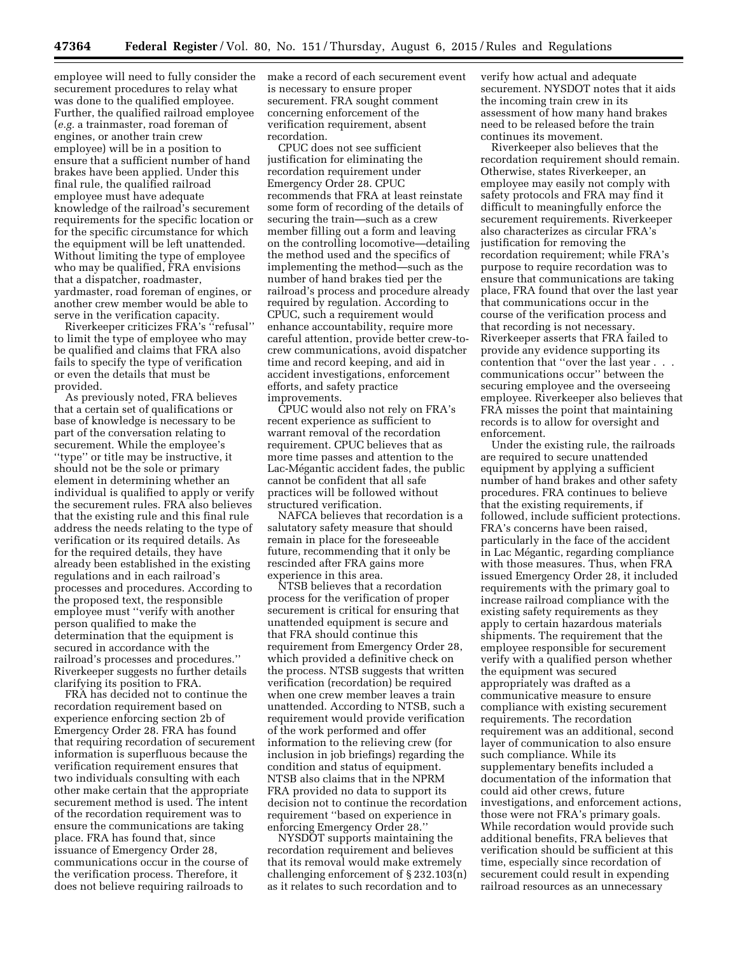employee will need to fully consider the securement procedures to relay what was done to the qualified employee. Further, the qualified railroad employee (*e.g.* a trainmaster, road foreman of engines, or another train crew employee) will be in a position to ensure that a sufficient number of hand brakes have been applied. Under this final rule, the qualified railroad employee must have adequate knowledge of the railroad's securement requirements for the specific location or for the specific circumstance for which the equipment will be left unattended. Without limiting the type of employee who may be qualified, FRA envisions that a dispatcher, roadmaster, yardmaster, road foreman of engines, or another crew member would be able to serve in the verification capacity.

Riverkeeper criticizes FRA's ''refusal'' to limit the type of employee who may be qualified and claims that FRA also fails to specify the type of verification or even the details that must be provided.

As previously noted, FRA believes that a certain set of qualifications or base of knowledge is necessary to be part of the conversation relating to securement. While the employee's ''type'' or title may be instructive, it should not be the sole or primary element in determining whether an individual is qualified to apply or verify the securement rules. FRA also believes that the existing rule and this final rule address the needs relating to the type of verification or its required details. As for the required details, they have already been established in the existing regulations and in each railroad's processes and procedures. According to the proposed text, the responsible employee must ''verify with another person qualified to make the determination that the equipment is secured in accordance with the railroad's processes and procedures.'' Riverkeeper suggests no further details clarifying its position to FRA.

FRA has decided not to continue the recordation requirement based on experience enforcing section 2b of Emergency Order 28. FRA has found that requiring recordation of securement information is superfluous because the verification requirement ensures that two individuals consulting with each other make certain that the appropriate securement method is used. The intent of the recordation requirement was to ensure the communications are taking place. FRA has found that, since issuance of Emergency Order 28, communications occur in the course of the verification process. Therefore, it does not believe requiring railroads to

make a record of each securement event is necessary to ensure proper securement. FRA sought comment concerning enforcement of the verification requirement, absent recordation.

CPUC does not see sufficient justification for eliminating the recordation requirement under Emergency Order 28. CPUC recommends that FRA at least reinstate some form of recording of the details of securing the train—such as a crew member filling out a form and leaving on the controlling locomotive—detailing the method used and the specifics of implementing the method—such as the number of hand brakes tied per the railroad's process and procedure already required by regulation. According to CPUC, such a requirement would enhance accountability, require more careful attention, provide better crew-tocrew communications, avoid dispatcher time and record keeping, and aid in accident investigations, enforcement efforts, and safety practice improvements.

CPUC would also not rely on FRA's recent experience as sufficient to warrant removal of the recordation requirement. CPUC believes that as more time passes and attention to the Lac-Mégantic accident fades, the public cannot be confident that all safe practices will be followed without structured verification.

NAFCA believes that recordation is a salutatory safety measure that should remain in place for the foreseeable future, recommending that it only be rescinded after FRA gains more experience in this area.

NTSB believes that a recordation process for the verification of proper securement is critical for ensuring that unattended equipment is secure and that FRA should continue this requirement from Emergency Order 28, which provided a definitive check on the process. NTSB suggests that written verification (recordation) be required when one crew member leaves a train unattended. According to NTSB, such a requirement would provide verification of the work performed and offer information to the relieving crew (for inclusion in job briefings) regarding the condition and status of equipment. NTSB also claims that in the NPRM FRA provided no data to support its decision not to continue the recordation requirement ''based on experience in enforcing Emergency Order 28.''

NYSDOT supports maintaining the recordation requirement and believes that its removal would make extremely challenging enforcement of § 232.103(n) as it relates to such recordation and to

verify how actual and adequate securement. NYSDOT notes that it aids the incoming train crew in its assessment of how many hand brakes need to be released before the train continues its movement.

Riverkeeper also believes that the recordation requirement should remain. Otherwise, states Riverkeeper, an employee may easily not comply with safety protocols and FRA may find it difficult to meaningfully enforce the securement requirements. Riverkeeper also characterizes as circular FRA's justification for removing the recordation requirement; while FRA's purpose to require recordation was to ensure that communications are taking place, FRA found that over the last year that communications occur in the course of the verification process and that recording is not necessary. Riverkeeper asserts that FRA failed to provide any evidence supporting its contention that ''over the last year . . . communications occur'' between the securing employee and the overseeing employee. Riverkeeper also believes that FRA misses the point that maintaining records is to allow for oversight and enforcement.

Under the existing rule, the railroads are required to secure unattended equipment by applying a sufficient number of hand brakes and other safety procedures. FRA continues to believe that the existing requirements, if followed, include sufficient protections. FRA's concerns have been raised, particularly in the face of the accident in Lac Mégantic, regarding compliance with those measures. Thus, when FRA issued Emergency Order 28, it included requirements with the primary goal to increase railroad compliance with the existing safety requirements as they apply to certain hazardous materials shipments. The requirement that the employee responsible for securement verify with a qualified person whether the equipment was secured appropriately was drafted as a communicative measure to ensure compliance with existing securement requirements. The recordation requirement was an additional, second layer of communication to also ensure such compliance. While its supplementary benefits included a documentation of the information that could aid other crews, future investigations, and enforcement actions, those were not FRA's primary goals. While recordation would provide such additional benefits, FRA believes that verification should be sufficient at this time, especially since recordation of securement could result in expending railroad resources as an unnecessary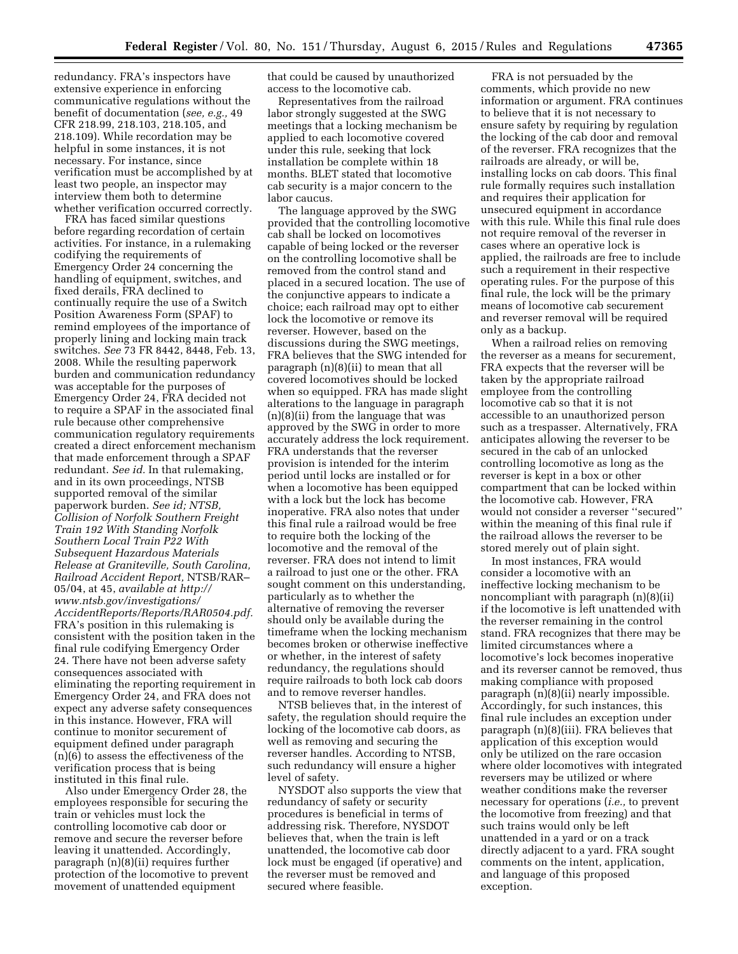redundancy. FRA's inspectors have extensive experience in enforcing communicative regulations without the benefit of documentation (*see, e.g.,* 49 CFR 218.99, 218.103, 218.105, and 218.109). While recordation may be helpful in some instances, it is not necessary. For instance, since verification must be accomplished by at least two people, an inspector may interview them both to determine whether verification occurred correctly.

FRA has faced similar questions before regarding recordation of certain activities. For instance, in a rulemaking codifying the requirements of Emergency Order 24 concerning the handling of equipment, switches, and fixed derails, FRA declined to continually require the use of a Switch Position Awareness Form (SPAF) to remind employees of the importance of properly lining and locking main track switches. *See* 73 FR 8442, 8448, Feb. 13, 2008. While the resulting paperwork burden and communication redundancy was acceptable for the purposes of Emergency Order 24, FRA decided not to require a SPAF in the associated final rule because other comprehensive communication regulatory requirements created a direct enforcement mechanism that made enforcement through a SPAF redundant. *See id.* In that rulemaking, and in its own proceedings, NTSB supported removal of the similar paperwork burden. *See id; NTSB, Collision of Norfolk Southern Freight Train 192 With Standing Norfolk Southern Local Train P22 With Subsequent Hazardous Materials Release at Graniteville, South Carolina, Railroad Accident Report,* NTSB/RAR– 05/04, at 45, *available at [http://](http://www.ntsb.gov/investigations/AccidentReports/Reports/RAR0504.pdf) [www.ntsb.gov/investigations/](http://www.ntsb.gov/investigations/AccidentReports/Reports/RAR0504.pdf) [AccidentReports/Reports/RAR0504.pdf.](http://www.ntsb.gov/investigations/AccidentReports/Reports/RAR0504.pdf)*  FRA's position in this rulemaking is consistent with the position taken in the final rule codifying Emergency Order 24. There have not been adverse safety consequences associated with eliminating the reporting requirement in Emergency Order 24, and FRA does not expect any adverse safety consequences in this instance. However, FRA will continue to monitor securement of equipment defined under paragraph (n)(6) to assess the effectiveness of the verification process that is being instituted in this final rule.

Also under Emergency Order 28, the employees responsible for securing the train or vehicles must lock the controlling locomotive cab door or remove and secure the reverser before leaving it unattended. Accordingly, paragraph (n)(8)(ii) requires further protection of the locomotive to prevent movement of unattended equipment

that could be caused by unauthorized access to the locomotive cab.

Representatives from the railroad labor strongly suggested at the SWG meetings that a locking mechanism be applied to each locomotive covered under this rule, seeking that lock installation be complete within 18 months. BLET stated that locomotive cab security is a major concern to the labor caucus.

The language approved by the SWG provided that the controlling locomotive cab shall be locked on locomotives capable of being locked or the reverser on the controlling locomotive shall be removed from the control stand and placed in a secured location. The use of the conjunctive appears to indicate a choice; each railroad may opt to either lock the locomotive or remove its reverser. However, based on the discussions during the SWG meetings, FRA believes that the SWG intended for paragraph (n)(8)(ii) to mean that all covered locomotives should be locked when so equipped. FRA has made slight alterations to the language in paragraph (n)(8)(ii) from the language that was approved by the SWG in order to more accurately address the lock requirement. FRA understands that the reverser provision is intended for the interim period until locks are installed or for when a locomotive has been equipped with a lock but the lock has become inoperative. FRA also notes that under this final rule a railroad would be free to require both the locking of the locomotive and the removal of the reverser. FRA does not intend to limit a railroad to just one or the other. FRA sought comment on this understanding, particularly as to whether the alternative of removing the reverser should only be available during the timeframe when the locking mechanism becomes broken or otherwise ineffective or whether, in the interest of safety redundancy, the regulations should require railroads to both lock cab doors and to remove reverser handles.

NTSB believes that, in the interest of safety, the regulation should require the locking of the locomotive cab doors, as well as removing and securing the reverser handles. According to NTSB, such redundancy will ensure a higher level of safety.

NYSDOT also supports the view that redundancy of safety or security procedures is beneficial in terms of addressing risk. Therefore, NYSDOT believes that, when the train is left unattended, the locomotive cab door lock must be engaged (if operative) and the reverser must be removed and secured where feasible.

FRA is not persuaded by the comments, which provide no new information or argument. FRA continues to believe that it is not necessary to ensure safety by requiring by regulation the locking of the cab door and removal of the reverser. FRA recognizes that the railroads are already, or will be, installing locks on cab doors. This final rule formally requires such installation and requires their application for unsecured equipment in accordance with this rule. While this final rule does not require removal of the reverser in cases where an operative lock is applied, the railroads are free to include such a requirement in their respective operating rules. For the purpose of this final rule, the lock will be the primary means of locomotive cab securement and reverser removal will be required only as a backup.

When a railroad relies on removing the reverser as a means for securement, FRA expects that the reverser will be taken by the appropriate railroad employee from the controlling locomotive cab so that it is not accessible to an unauthorized person such as a trespasser. Alternatively, FRA anticipates allowing the reverser to be secured in the cab of an unlocked controlling locomotive as long as the reverser is kept in a box or other compartment that can be locked within the locomotive cab. However, FRA would not consider a reverser ''secured'' within the meaning of this final rule if the railroad allows the reverser to be stored merely out of plain sight.

In most instances, FRA would consider a locomotive with an ineffective locking mechanism to be noncompliant with paragraph (n)(8)(ii) if the locomotive is left unattended with the reverser remaining in the control stand. FRA recognizes that there may be limited circumstances where a locomotive's lock becomes inoperative and its reverser cannot be removed, thus making compliance with proposed paragraph (n)(8)(ii) nearly impossible. Accordingly, for such instances, this final rule includes an exception under paragraph (n)(8)(iii). FRA believes that application of this exception would only be utilized on the rare occasion where older locomotives with integrated reversers may be utilized or where weather conditions make the reverser necessary for operations (*i.e.,* to prevent the locomotive from freezing) and that such trains would only be left unattended in a yard or on a track directly adjacent to a yard. FRA sought comments on the intent, application, and language of this proposed exception.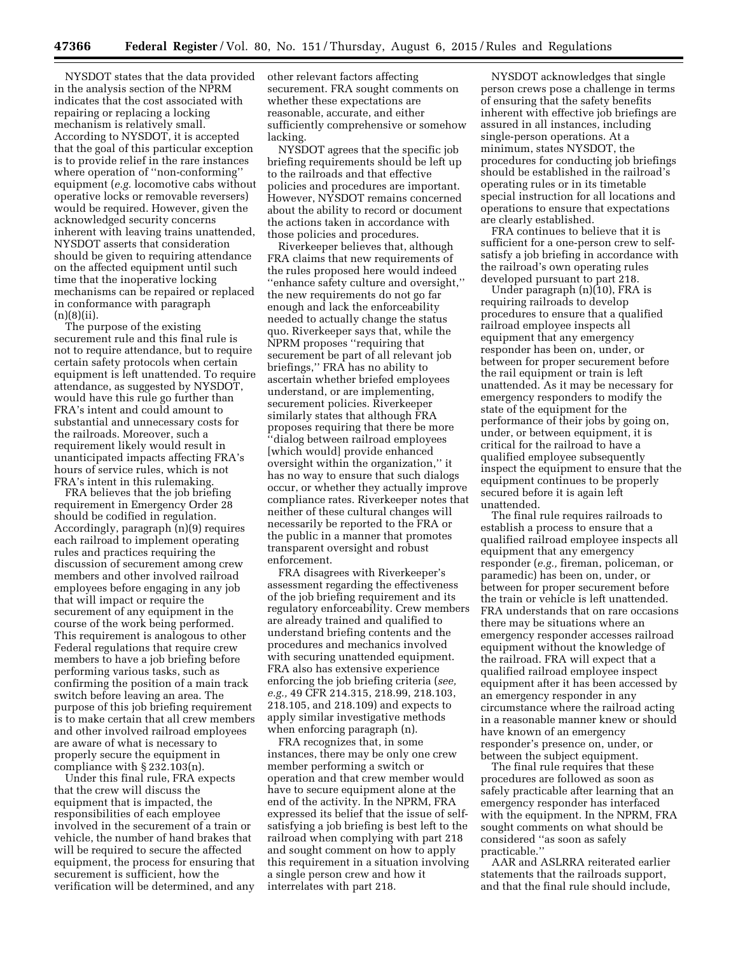NYSDOT states that the data provided in the analysis section of the NPRM indicates that the cost associated with repairing or replacing a locking mechanism is relatively small. According to NYSDOT, it is accepted that the goal of this particular exception is to provide relief in the rare instances where operation of ''non-conforming'' equipment (*e.g.* locomotive cabs without operative locks or removable reversers) would be required. However, given the acknowledged security concerns inherent with leaving trains unattended, NYSDOT asserts that consideration should be given to requiring attendance on the affected equipment until such time that the inoperative locking mechanisms can be repaired or replaced in conformance with paragraph  $(n)(8)(ii)$ .

The purpose of the existing securement rule and this final rule is not to require attendance, but to require certain safety protocols when certain equipment is left unattended. To require attendance, as suggested by NYSDOT, would have this rule go further than FRA's intent and could amount to substantial and unnecessary costs for the railroads. Moreover, such a requirement likely would result in unanticipated impacts affecting FRA's hours of service rules, which is not FRA's intent in this rulemaking.

FRA believes that the job briefing requirement in Emergency Order 28 should be codified in regulation. Accordingly, paragraph (n)(9) requires each railroad to implement operating rules and practices requiring the discussion of securement among crew members and other involved railroad employees before engaging in any job that will impact or require the securement of any equipment in the course of the work being performed. This requirement is analogous to other Federal regulations that require crew members to have a job briefing before performing various tasks, such as confirming the position of a main track switch before leaving an area. The purpose of this job briefing requirement is to make certain that all crew members and other involved railroad employees are aware of what is necessary to properly secure the equipment in compliance with  $\S 232.103(n)$ .

Under this final rule, FRA expects that the crew will discuss the equipment that is impacted, the responsibilities of each employee involved in the securement of a train or vehicle, the number of hand brakes that will be required to secure the affected equipment, the process for ensuring that securement is sufficient, how the verification will be determined, and any

other relevant factors affecting securement. FRA sought comments on whether these expectations are reasonable, accurate, and either sufficiently comprehensive or somehow lacking.

NYSDOT agrees that the specific job briefing requirements should be left up to the railroads and that effective policies and procedures are important. However, NYSDOT remains concerned about the ability to record or document the actions taken in accordance with those policies and procedures.

Riverkeeper believes that, although FRA claims that new requirements of the rules proposed here would indeed ''enhance safety culture and oversight,'' the new requirements do not go far enough and lack the enforceability needed to actually change the status quo. Riverkeeper says that, while the NPRM proposes ''requiring that securement be part of all relevant job briefings,'' FRA has no ability to ascertain whether briefed employees understand, or are implementing, securement policies. Riverkeeper similarly states that although FRA proposes requiring that there be more ''dialog between railroad employees [which would] provide enhanced oversight within the organization,'' it has no way to ensure that such dialogs occur, or whether they actually improve compliance rates. Riverkeeper notes that neither of these cultural changes will necessarily be reported to the FRA or the public in a manner that promotes transparent oversight and robust enforcement.

FRA disagrees with Riverkeeper's assessment regarding the effectiveness of the job briefing requirement and its regulatory enforceability. Crew members are already trained and qualified to understand briefing contents and the procedures and mechanics involved with securing unattended equipment. FRA also has extensive experience enforcing the job briefing criteria (*see, e.g.,* 49 CFR 214.315, 218.99, 218.103, 218.105, and 218.109) and expects to apply similar investigative methods when enforcing paragraph (n).

FRA recognizes that, in some instances, there may be only one crew member performing a switch or operation and that crew member would have to secure equipment alone at the end of the activity. In the NPRM, FRA expressed its belief that the issue of selfsatisfying a job briefing is best left to the railroad when complying with part 218 and sought comment on how to apply this requirement in a situation involving a single person crew and how it interrelates with part 218.

NYSDOT acknowledges that single person crews pose a challenge in terms of ensuring that the safety benefits inherent with effective job briefings are assured in all instances, including single-person operations. At a minimum, states NYSDOT, the procedures for conducting job briefings should be established in the railroad's operating rules or in its timetable special instruction for all locations and operations to ensure that expectations are clearly established.

FRA continues to believe that it is sufficient for a one-person crew to selfsatisfy a job briefing in accordance with the railroad's own operating rules developed pursuant to part 218.

Under paragraph (n)(10), FRA is requiring railroads to develop procedures to ensure that a qualified railroad employee inspects all equipment that any emergency responder has been on, under, or between for proper securement before the rail equipment or train is left unattended. As it may be necessary for emergency responders to modify the state of the equipment for the performance of their jobs by going on, under, or between equipment, it is critical for the railroad to have a qualified employee subsequently inspect the equipment to ensure that the equipment continues to be properly secured before it is again left unattended.

The final rule requires railroads to establish a process to ensure that a qualified railroad employee inspects all equipment that any emergency responder (*e.g.,* fireman, policeman, or paramedic) has been on, under, or between for proper securement before the train or vehicle is left unattended. FRA understands that on rare occasions there may be situations where an emergency responder accesses railroad equipment without the knowledge of the railroad. FRA will expect that a qualified railroad employee inspect equipment after it has been accessed by an emergency responder in any circumstance where the railroad acting in a reasonable manner knew or should have known of an emergency responder's presence on, under, or between the subject equipment.

The final rule requires that these procedures are followed as soon as safely practicable after learning that an emergency responder has interfaced with the equipment. In the NPRM, FRA sought comments on what should be considered ''as soon as safely practicable.''

AAR and ASLRRA reiterated earlier statements that the railroads support, and that the final rule should include,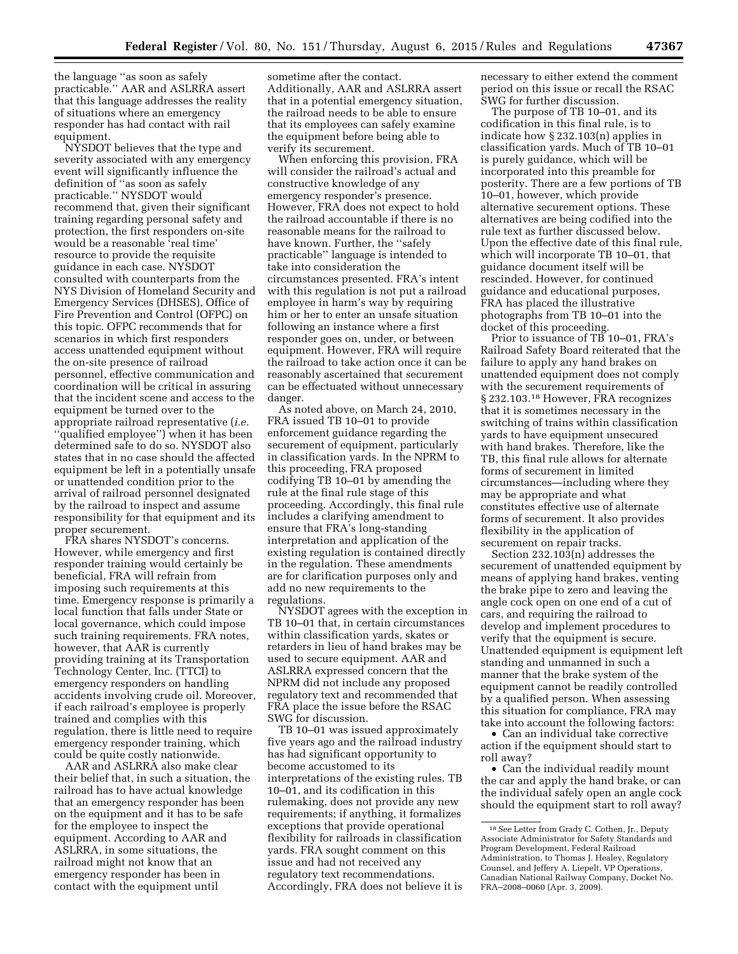the language ''as soon as safely practicable.'' AAR and ASLRRA assert that this language addresses the reality of situations where an emergency responder has had contact with rail equipment.

NYSDOT believes that the type and severity associated with any emergency event will significantly influence the definition of ''as soon as safely practicable.'' NYSDOT would recommend that, given their significant training regarding personal safety and protection, the first responders on-site would be a reasonable 'real time' resource to provide the requisite guidance in each case. NYSDOT consulted with counterparts from the NYS Division of Homeland Security and Emergency Services (DHSES), Office of Fire Prevention and Control (OFPC) on this topic. OFPC recommends that for scenarios in which first responders access unattended equipment without the on-site presence of railroad personnel, effective communication and coordination will be critical in assuring that the incident scene and access to the equipment be turned over to the appropriate railroad representative (*i.e.*  ''qualified employee'') when it has been determined safe to do so. NYSDOT also states that in no case should the affected equipment be left in a potentially unsafe or unattended condition prior to the arrival of railroad personnel designated by the railroad to inspect and assume responsibility for that equipment and its proper securement.

FRA shares NYSDOT's concerns. However, while emergency and first responder training would certainly be beneficial, FRA will refrain from imposing such requirements at this time. Emergency response is primarily a local function that falls under State or local governance, which could impose such training requirements. FRA notes, however, that AAR is currently providing training at its Transportation Technology Center, Inc. (TTCI) to emergency responders on handling accidents involving crude oil. Moreover, if each railroad's employee is properly trained and complies with this regulation, there is little need to require emergency responder training, which could be quite costly nationwide.

AAR and ASLRRA also make clear their belief that, in such a situation, the railroad has to have actual knowledge that an emergency responder has been on the equipment and it has to be safe for the employee to inspect the equipment. According to AAR and ASLRRA, in some situations, the railroad might not know that an emergency responder has been in contact with the equipment until

sometime after the contact. Additionally, AAR and ASLRRA assert that in a potential emergency situation, the railroad needs to be able to ensure that its employees can safely examine the equipment before being able to verify its securement.

When enforcing this provision, FRA will consider the railroad's actual and constructive knowledge of any emergency responder's presence. However, FRA does not expect to hold the railroad accountable if there is no reasonable means for the railroad to have known. Further, the ''safely practicable'' language is intended to take into consideration the circumstances presented. FRA's intent with this regulation is not put a railroad employee in harm's way by requiring him or her to enter an unsafe situation following an instance where a first responder goes on, under, or between equipment. However, FRA will require the railroad to take action once it can be reasonably ascertained that securement can be effectuated without unnecessary danger.

As noted above, on March 24, 2010, FRA issued TB 10–01 to provide enforcement guidance regarding the securement of equipment, particularly in classification yards. In the NPRM to this proceeding, FRA proposed codifying TB 10–01 by amending the rule at the final rule stage of this proceeding. Accordingly, this final rule includes a clarifying amendment to ensure that FRA's long-standing interpretation and application of the existing regulation is contained directly in the regulation. These amendments are for clarification purposes only and add no new requirements to the regulations.

NYSDOT agrees with the exception in TB 10–01 that, in certain circumstances within classification yards, skates or retarders in lieu of hand brakes may be used to secure equipment. AAR and ASLRRA expressed concern that the NPRM did not include any proposed regulatory text and recommended that FRA place the issue before the RSAC SWG for discussion.

TB 10–01 was issued approximately five years ago and the railroad industry has had significant opportunity to become accustomed to its interpretations of the existing rules. TB 10–01, and its codification in this rulemaking, does not provide any new requirements; if anything, it formalizes exceptions that provide operational flexibility for railroads in classification yards. FRA sought comment on this issue and had not received any regulatory text recommendations. Accordingly, FRA does not believe it is necessary to either extend the comment period on this issue or recall the RSAC SWG for further discussion.

The purpose of TB 10–01, and its codification in this final rule, is to indicate how § 232.103(n) applies in classification yards. Much of TB 10–01 is purely guidance, which will be incorporated into this preamble for posterity. There are a few portions of TB 10–01, however, which provide alternative securement options. These alternatives are being codified into the rule text as further discussed below. Upon the effective date of this final rule, which will incorporate TB 10–01, that guidance document itself will be rescinded. However, for continued guidance and educational purposes, FRA has placed the illustrative photographs from TB 10–01 into the docket of this proceeding.

Prior to issuance of TB 10–01, FRA's Railroad Safety Board reiterated that the failure to apply any hand brakes on unattended equipment does not comply with the securement requirements of § 232.103.18 However, FRA recognizes that it is sometimes necessary in the switching of trains within classification yards to have equipment unsecured with hand brakes. Therefore, like the TB, this final rule allows for alternate forms of securement in limited circumstances—including where they may be appropriate and what constitutes effective use of alternate forms of securement. It also provides flexibility in the application of securement on repair tracks.

Section 232.103(n) addresses the securement of unattended equipment by means of applying hand brakes, venting the brake pipe to zero and leaving the angle cock open on one end of a cut of cars, and requiring the railroad to develop and implement procedures to verify that the equipment is secure. Unattended equipment is equipment left standing and unmanned in such a manner that the brake system of the equipment cannot be readily controlled by a qualified person. When assessing this situation for compliance, FRA may take into account the following factors:

• Can an individual take corrective action if the equipment should start to roll away?

• Can the individual readily mount the car and apply the hand brake, or can the individual safely open an angle cock should the equipment start to roll away?

<sup>18</sup>*See* Letter from Grady C. Cothen, Jr., Deputy Associate Administrator for Safety Standards and Program Development, Federal Railroad Administration, to Thomas J. Healey, Regulatory Counsel, and Jeffery A. Liepelt, VP Operations, Canadian National Railway Company, Docket No. FRA–2008–0060 (Apr. 3, 2009).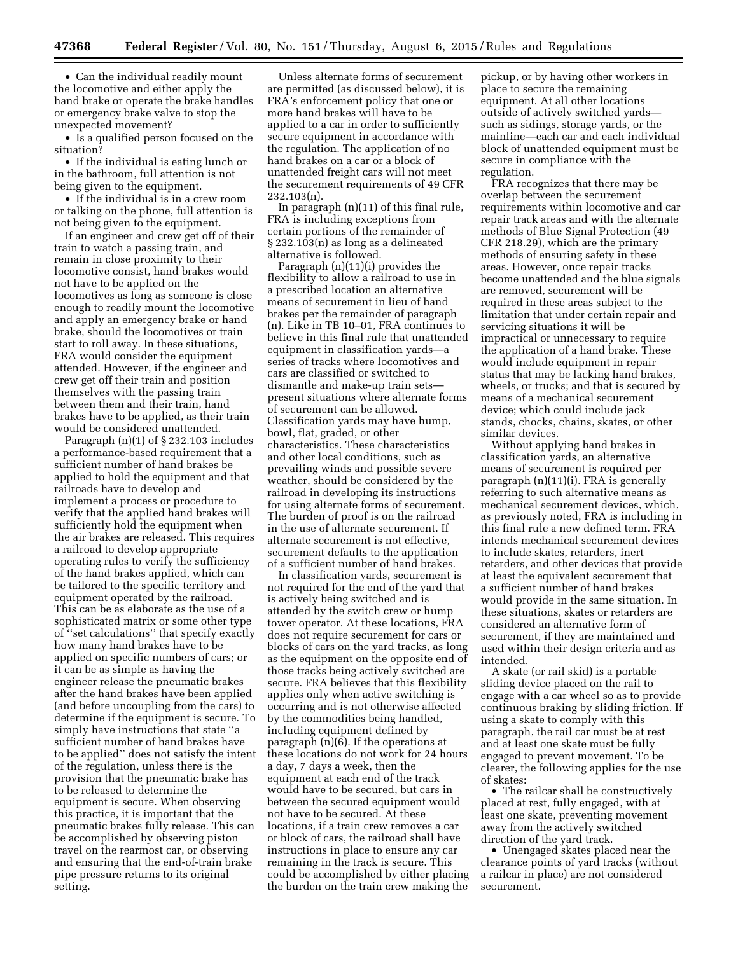• Can the individual readily mount the locomotive and either apply the hand brake or operate the brake handles or emergency brake valve to stop the unexpected movement?

• Is a qualified person focused on the situation?

• If the individual is eating lunch or in the bathroom, full attention is not being given to the equipment.

• If the individual is in a crew room or talking on the phone, full attention is not being given to the equipment.

If an engineer and crew get off of their train to watch a passing train, and remain in close proximity to their locomotive consist, hand brakes would not have to be applied on the locomotives as long as someone is close enough to readily mount the locomotive and apply an emergency brake or hand brake, should the locomotives or train start to roll away. In these situations, FRA would consider the equipment attended. However, if the engineer and crew get off their train and position themselves with the passing train between them and their train, hand brakes have to be applied, as their train would be considered unattended.

Paragraph (n)(1) of § 232.103 includes a performance-based requirement that a sufficient number of hand brakes be applied to hold the equipment and that railroads have to develop and implement a process or procedure to verify that the applied hand brakes will sufficiently hold the equipment when the air brakes are released. This requires a railroad to develop appropriate operating rules to verify the sufficiency of the hand brakes applied, which can be tailored to the specific territory and equipment operated by the railroad. This can be as elaborate as the use of a sophisticated matrix or some other type of ''set calculations'' that specify exactly how many hand brakes have to be applied on specific numbers of cars; or it can be as simple as having the engineer release the pneumatic brakes after the hand brakes have been applied (and before uncoupling from the cars) to determine if the equipment is secure. To simply have instructions that state ''a sufficient number of hand brakes have to be applied'' does not satisfy the intent of the regulation, unless there is the provision that the pneumatic brake has to be released to determine the equipment is secure. When observing this practice, it is important that the pneumatic brakes fully release. This can be accomplished by observing piston travel on the rearmost car, or observing and ensuring that the end-of-train brake pipe pressure returns to its original setting.

Unless alternate forms of securement are permitted (as discussed below), it is FRA's enforcement policy that one or more hand brakes will have to be applied to a car in order to sufficiently secure equipment in accordance with the regulation. The application of no hand brakes on a car or a block of unattended freight cars will not meet the securement requirements of 49 CFR 232.103(n).

In paragraph (n)(11) of this final rule, FRA is including exceptions from certain portions of the remainder of § 232.103(n) as long as a delineated alternative is followed.

Paragraph (n)(11)(i) provides the flexibility to allow a railroad to use in a prescribed location an alternative means of securement in lieu of hand brakes per the remainder of paragraph (n). Like in TB 10–01, FRA continues to believe in this final rule that unattended equipment in classification yards—a series of tracks where locomotives and cars are classified or switched to dismantle and make-up train sets present situations where alternate forms of securement can be allowed. Classification yards may have hump, bowl, flat, graded, or other characteristics. These characteristics and other local conditions, such as prevailing winds and possible severe weather, should be considered by the railroad in developing its instructions for using alternate forms of securement. The burden of proof is on the railroad in the use of alternate securement. If alternate securement is not effective, securement defaults to the application of a sufficient number of hand brakes.

In classification yards, securement is not required for the end of the yard that is actively being switched and is attended by the switch crew or hump tower operator. At these locations, FRA does not require securement for cars or blocks of cars on the yard tracks, as long as the equipment on the opposite end of those tracks being actively switched are secure. FRA believes that this flexibility applies only when active switching is occurring and is not otherwise affected by the commodities being handled, including equipment defined by paragraph (n)(6). If the operations at these locations do not work for 24 hours a day, 7 days a week, then the equipment at each end of the track would have to be secured, but cars in between the secured equipment would not have to be secured. At these locations, if a train crew removes a car or block of cars, the railroad shall have instructions in place to ensure any car remaining in the track is secure. This could be accomplished by either placing the burden on the train crew making the

pickup, or by having other workers in place to secure the remaining equipment. At all other locations outside of actively switched yards such as sidings, storage yards, or the mainline—each car and each individual block of unattended equipment must be secure in compliance with the regulation.

FRA recognizes that there may be overlap between the securement requirements within locomotive and car repair track areas and with the alternate methods of Blue Signal Protection (49 CFR 218.29), which are the primary methods of ensuring safety in these areas. However, once repair tracks become unattended and the blue signals are removed, securement will be required in these areas subject to the limitation that under certain repair and servicing situations it will be impractical or unnecessary to require the application of a hand brake. These would include equipment in repair status that may be lacking hand brakes, wheels, or trucks; and that is secured by means of a mechanical securement device; which could include jack stands, chocks, chains, skates, or other similar devices.

Without applying hand brakes in classification yards, an alternative means of securement is required per paragraph (n)(11)(i). FRA is generally referring to such alternative means as mechanical securement devices, which, as previously noted, FRA is including in this final rule a new defined term. FRA intends mechanical securement devices to include skates, retarders, inert retarders, and other devices that provide at least the equivalent securement that a sufficient number of hand brakes would provide in the same situation. In these situations, skates or retarders are considered an alternative form of securement, if they are maintained and used within their design criteria and as intended.

A skate (or rail skid) is a portable sliding device placed on the rail to engage with a car wheel so as to provide continuous braking by sliding friction. If using a skate to comply with this paragraph, the rail car must be at rest and at least one skate must be fully engaged to prevent movement. To be clearer, the following applies for the use of skates:

• The railcar shall be constructively placed at rest, fully engaged, with at least one skate, preventing movement away from the actively switched direction of the yard track.

• Unengaged skates placed near the clearance points of yard tracks (without a railcar in place) are not considered securement.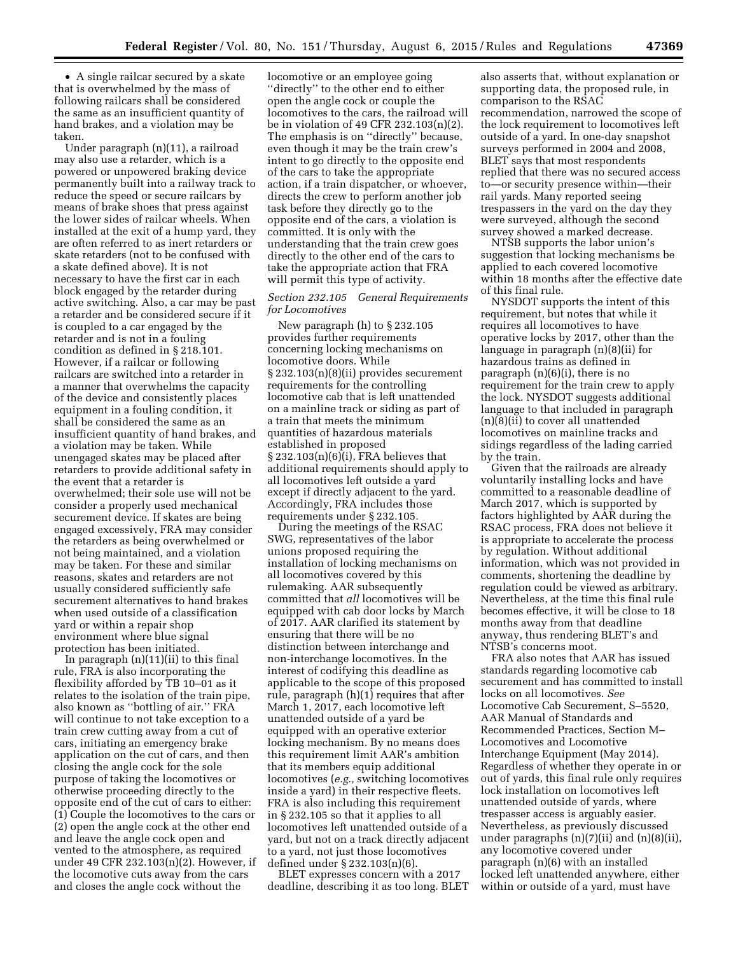• A single railcar secured by a skate that is overwhelmed by the mass of following railcars shall be considered the same as an insufficient quantity of hand brakes, and a violation may be taken.

Under paragraph (n)(11), a railroad may also use a retarder, which is a powered or unpowered braking device permanently built into a railway track to reduce the speed or secure railcars by means of brake shoes that press against the lower sides of railcar wheels. When installed at the exit of a hump yard, they are often referred to as inert retarders or skate retarders (not to be confused with a skate defined above). It is not necessary to have the first car in each block engaged by the retarder during active switching. Also, a car may be past a retarder and be considered secure if it is coupled to a car engaged by the retarder and is not in a fouling condition as defined in § 218.101. However, if a railcar or following railcars are switched into a retarder in a manner that overwhelms the capacity of the device and consistently places equipment in a fouling condition, it shall be considered the same as an insufficient quantity of hand brakes, and a violation may be taken. While unengaged skates may be placed after retarders to provide additional safety in the event that a retarder is overwhelmed; their sole use will not be consider a properly used mechanical securement device. If skates are being engaged excessively, FRA may consider the retarders as being overwhelmed or not being maintained, and a violation may be taken. For these and similar reasons, skates and retarders are not usually considered sufficiently safe securement alternatives to hand brakes when used outside of a classification yard or within a repair shop environment where blue signal protection has been initiated.

In paragraph  $(n)(11)(ii)$  to this final rule, FRA is also incorporating the flexibility afforded by TB 10–01 as it relates to the isolation of the train pipe, also known as ''bottling of air.'' FRA will continue to not take exception to a train crew cutting away from a cut of cars, initiating an emergency brake application on the cut of cars, and then closing the angle cock for the sole purpose of taking the locomotives or otherwise proceeding directly to the opposite end of the cut of cars to either: (1) Couple the locomotives to the cars or (2) open the angle cock at the other end and leave the angle cock open and vented to the atmosphere, as required under 49 CFR 232.103(n)(2). However, if the locomotive cuts away from the cars and closes the angle cock without the

locomotive or an employee going ''directly'' to the other end to either open the angle cock or couple the locomotives to the cars, the railroad will be in violation of 49 CFR 232.103(n)(2). The emphasis is on ''directly'' because, even though it may be the train crew's intent to go directly to the opposite end of the cars to take the appropriate action, if a train dispatcher, or whoever, directs the crew to perform another job task before they directly go to the opposite end of the cars, a violation is committed. It is only with the understanding that the train crew goes directly to the other end of the cars to take the appropriate action that FRA will permit this type of activity.

# *Section 232.105 General Requirements for Locomotives*

New paragraph (h) to § 232.105 provides further requirements concerning locking mechanisms on locomotive doors. While § 232.103(n)(8)(ii) provides securement requirements for the controlling locomotive cab that is left unattended on a mainline track or siding as part of a train that meets the minimum quantities of hazardous materials established in proposed § 232.103(n)(6)(i), FRA believes that additional requirements should apply to all locomotives left outside a yard except if directly adjacent to the yard. Accordingly, FRA includes those requirements under § 232.105.

During the meetings of the RSAC SWG, representatives of the labor unions proposed requiring the installation of locking mechanisms on all locomotives covered by this rulemaking. AAR subsequently committed that *all* locomotives will be equipped with cab door locks by March of 2017. AAR clarified its statement by ensuring that there will be no distinction between interchange and non-interchange locomotives. In the interest of codifying this deadline as applicable to the scope of this proposed rule, paragraph (h)(1) requires that after March 1, 2017, each locomotive left unattended outside of a yard be equipped with an operative exterior locking mechanism. By no means does this requirement limit AAR's ambition that its members equip additional locomotives (*e.g.,* switching locomotives inside a yard) in their respective fleets. FRA is also including this requirement in § 232.105 so that it applies to all locomotives left unattended outside of a yard, but not on a track directly adjacent to a yard, not just those locomotives defined under § 232.103(n)(6).

BLET expresses concern with a 2017 deadline, describing it as too long. BLET

also asserts that, without explanation or supporting data, the proposed rule, in comparison to the RSAC recommendation, narrowed the scope of the lock requirement to locomotives left outside of a yard. In one-day snapshot surveys performed in 2004 and 2008, BLET says that most respondents replied that there was no secured access to—or security presence within—their rail yards. Many reported seeing trespassers in the yard on the day they were surveyed, although the second survey showed a marked decrease.

NTSB supports the labor union's suggestion that locking mechanisms be applied to each covered locomotive within 18 months after the effective date of this final rule.

NYSDOT supports the intent of this requirement, but notes that while it requires all locomotives to have operative locks by 2017, other than the language in paragraph (n)(8)(ii) for hazardous trains as defined in paragraph (n)(6)(i), there is no requirement for the train crew to apply the lock. NYSDOT suggests additional language to that included in paragraph (n)(8)(ii) to cover all unattended locomotives on mainline tracks and sidings regardless of the lading carried by the train.

Given that the railroads are already voluntarily installing locks and have committed to a reasonable deadline of March 2017, which is supported by factors highlighted by AAR during the RSAC process, FRA does not believe it is appropriate to accelerate the process by regulation. Without additional information, which was not provided in comments, shortening the deadline by regulation could be viewed as arbitrary. Nevertheless, at the time this final rule becomes effective, it will be close to 18 months away from that deadline anyway, thus rendering BLET's and NTSB's concerns moot.

FRA also notes that AAR has issued standards regarding locomotive cab securement and has committed to install locks on all locomotives. *See*  Locomotive Cab Securement, S–5520, AAR Manual of Standards and Recommended Practices, Section M– Locomotives and Locomotive Interchange Equipment (May 2014). Regardless of whether they operate in or out of yards, this final rule only requires lock installation on locomotives left unattended outside of yards, where trespasser access is arguably easier. Nevertheless, as previously discussed under paragraphs (n)(7)(ii) and (n)(8)(ii), any locomotive covered under paragraph (n)(6) with an installed locked left unattended anywhere, either within or outside of a yard, must have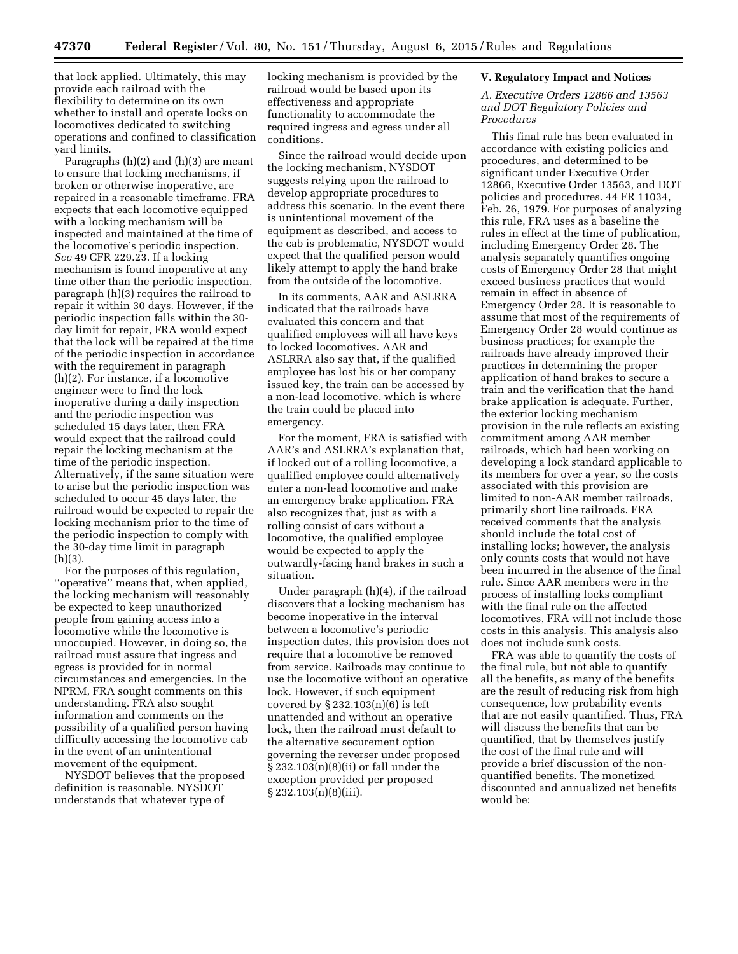that lock applied. Ultimately, this may provide each railroad with the flexibility to determine on its own whether to install and operate locks on locomotives dedicated to switching operations and confined to classification yard limits.

Paragraphs (h)(2) and (h)(3) are meant to ensure that locking mechanisms, if broken or otherwise inoperative, are repaired in a reasonable timeframe. FRA expects that each locomotive equipped with a locking mechanism will be inspected and maintained at the time of the locomotive's periodic inspection. *See* 49 CFR 229.23. If a locking mechanism is found inoperative at any time other than the periodic inspection, paragraph (h)(3) requires the railroad to repair it within 30 days. However, if the periodic inspection falls within the 30 day limit for repair, FRA would expect that the lock will be repaired at the time of the periodic inspection in accordance with the requirement in paragraph (h)(2). For instance, if a locomotive engineer were to find the lock inoperative during a daily inspection and the periodic inspection was scheduled 15 days later, then FRA would expect that the railroad could repair the locking mechanism at the time of the periodic inspection. Alternatively, if the same situation were to arise but the periodic inspection was scheduled to occur 45 days later, the railroad would be expected to repair the locking mechanism prior to the time of the periodic inspection to comply with the 30-day time limit in paragraph  $(h)(3)$ .

For the purposes of this regulation, ''operative'' means that, when applied, the locking mechanism will reasonably be expected to keep unauthorized people from gaining access into a locomotive while the locomotive is unoccupied. However, in doing so, the railroad must assure that ingress and egress is provided for in normal circumstances and emergencies. In the NPRM, FRA sought comments on this understanding. FRA also sought information and comments on the possibility of a qualified person having difficulty accessing the locomotive cab in the event of an unintentional movement of the equipment.

NYSDOT believes that the proposed definition is reasonable. NYSDOT understands that whatever type of

locking mechanism is provided by the railroad would be based upon its effectiveness and appropriate functionality to accommodate the required ingress and egress under all conditions.

Since the railroad would decide upon the locking mechanism, NYSDOT suggests relying upon the railroad to develop appropriate procedures to address this scenario. In the event there is unintentional movement of the equipment as described, and access to the cab is problematic, NYSDOT would expect that the qualified person would likely attempt to apply the hand brake from the outside of the locomotive.

In its comments, AAR and ASLRRA indicated that the railroads have evaluated this concern and that qualified employees will all have keys to locked locomotives. AAR and ASLRRA also say that, if the qualified employee has lost his or her company issued key, the train can be accessed by a non-lead locomotive, which is where the train could be placed into emergency.

For the moment, FRA is satisfied with AAR's and ASLRRA's explanation that, if locked out of a rolling locomotive, a qualified employee could alternatively enter a non-lead locomotive and make an emergency brake application. FRA also recognizes that, just as with a rolling consist of cars without a locomotive, the qualified employee would be expected to apply the outwardly-facing hand brakes in such a situation.

Under paragraph (h)(4), if the railroad discovers that a locking mechanism has become inoperative in the interval between a locomotive's periodic inspection dates, this provision does not require that a locomotive be removed from service. Railroads may continue to use the locomotive without an operative lock. However, if such equipment covered by § 232.103(n)(6) is left unattended and without an operative lock, then the railroad must default to the alternative securement option governing the reverser under proposed  $\S 232.103(n)(8)(ii)$  or fall under the exception provided per proposed  $\S 232.103(n)(8)(iii)$ .

### **V. Regulatory Impact and Notices**

*A. Executive Orders 12866 and 13563 and DOT Regulatory Policies and Procedures* 

This final rule has been evaluated in accordance with existing policies and procedures, and determined to be significant under Executive Order 12866, Executive Order 13563, and DOT policies and procedures. 44 FR 11034, Feb. 26, 1979. For purposes of analyzing this rule, FRA uses as a baseline the rules in effect at the time of publication, including Emergency Order 28. The analysis separately quantifies ongoing costs of Emergency Order 28 that might exceed business practices that would remain in effect in absence of Emergency Order 28. It is reasonable to assume that most of the requirements of Emergency Order 28 would continue as business practices; for example the railroads have already improved their practices in determining the proper application of hand brakes to secure a train and the verification that the hand brake application is adequate. Further, the exterior locking mechanism provision in the rule reflects an existing commitment among AAR member railroads, which had been working on developing a lock standard applicable to its members for over a year, so the costs associated with this provision are limited to non-AAR member railroads, primarily short line railroads. FRA received comments that the analysis should include the total cost of installing locks; however, the analysis only counts costs that would not have been incurred in the absence of the final rule. Since AAR members were in the process of installing locks compliant with the final rule on the affected locomotives, FRA will not include those costs in this analysis. This analysis also does not include sunk costs.

FRA was able to quantify the costs of the final rule, but not able to quantify all the benefits, as many of the benefits are the result of reducing risk from high consequence, low probability events that are not easily quantified. Thus, FRA will discuss the benefits that can be quantified, that by themselves justify the cost of the final rule and will provide a brief discussion of the nonquantified benefits. The monetized discounted and annualized net benefits would be: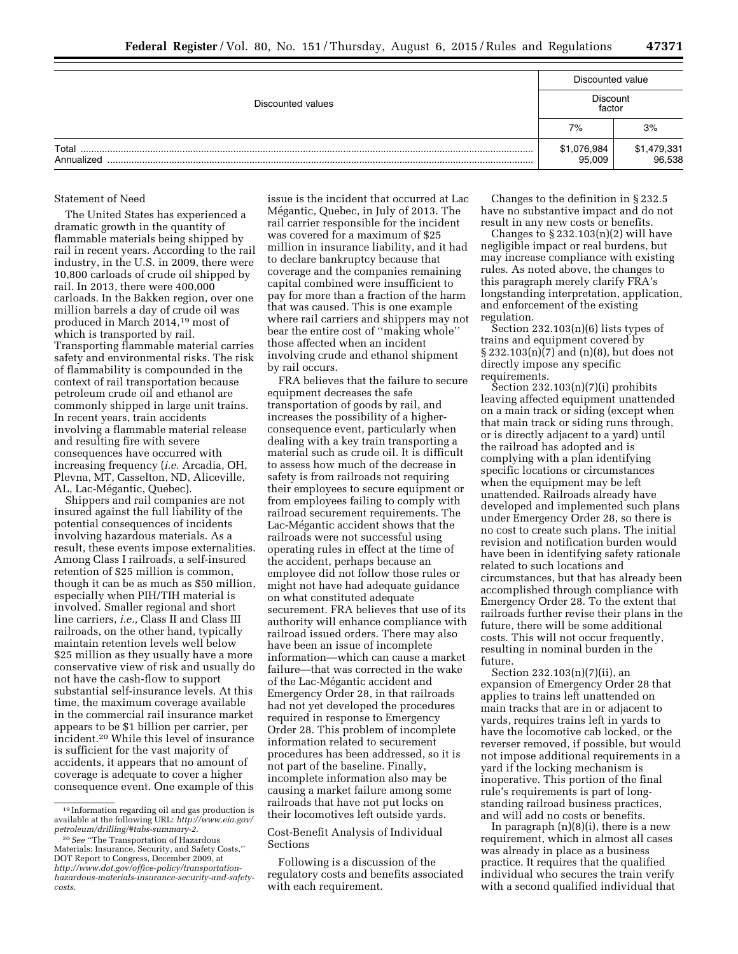|                     | Discounted value      |                       |  |  |
|---------------------|-----------------------|-----------------------|--|--|
| Discounted values   | Discount<br>factor    |                       |  |  |
|                     | 7%                    | 3%                    |  |  |
| Total<br>Annualized | \$1,076,984<br>95.009 | \$1,479,331<br>96,538 |  |  |

## Statement of Need

The United States has experienced a dramatic growth in the quantity of flammable materials being shipped by rail in recent years. According to the rail industry, in the U.S. in 2009, there were 10,800 carloads of crude oil shipped by rail. In 2013, there were 400,000 carloads. In the Bakken region, over one million barrels a day of crude oil was produced in March 2014,19 most of which is transported by rail. Transporting flammable material carries safety and environmental risks. The risk of flammability is compounded in the context of rail transportation because petroleum crude oil and ethanol are commonly shipped in large unit trains. In recent years, train accidents involving a flammable material release and resulting fire with severe consequences have occurred with increasing frequency (*i.e.* Arcadia, OH, Plevna, MT, Casselton, ND, Aliceville, AL, Lac-Mégantic, Quebec).

Shippers and rail companies are not insured against the full liability of the potential consequences of incidents involving hazardous materials. As a result, these events impose externalities. Among Class I railroads, a self-insured retention of \$25 million is common, though it can be as much as \$50 million, especially when PIH/TIH material is involved. Smaller regional and short line carriers, *i.e.,* Class II and Class III railroads, on the other hand, typically maintain retention levels well below \$25 million as they usually have a more conservative view of risk and usually do not have the cash-flow to support substantial self-insurance levels. At this time, the maximum coverage available in the commercial rail insurance market appears to be \$1 billion per carrier, per incident.20 While this level of insurance is sufficient for the vast majority of accidents, it appears that no amount of coverage is adequate to cover a higher consequence event. One example of this

issue is the incident that occurred at Lac Mégantic, Quebec, in July of 2013. The rail carrier responsible for the incident was covered for a maximum of \$25 million in insurance liability, and it had to declare bankruptcy because that coverage and the companies remaining capital combined were insufficient to pay for more than a fraction of the harm that was caused. This is one example where rail carriers and shippers may not bear the entire cost of ''making whole'' those affected when an incident involving crude and ethanol shipment by rail occurs.

FRA believes that the failure to secure equipment decreases the safe transportation of goods by rail, and increases the possibility of a higherconsequence event, particularly when dealing with a key train transporting a material such as crude oil. It is difficult to assess how much of the decrease in safety is from railroads not requiring their employees to secure equipment or from employees failing to comply with railroad securement requirements. The Lac-Mégantic accident shows that the railroads were not successful using operating rules in effect at the time of the accident, perhaps because an employee did not follow those rules or might not have had adequate guidance on what constituted adequate securement. FRA believes that use of its authority will enhance compliance with railroad issued orders. There may also have been an issue of incomplete information—which can cause a market failure—that was corrected in the wake of the Lac-Mégantic accident and Emergency Order 28, in that railroads had not yet developed the procedures required in response to Emergency Order 28. This problem of incomplete information related to securement procedures has been addressed, so it is not part of the baseline. Finally, incomplete information also may be causing a market failure among some railroads that have not put locks on their locomotives left outside yards.

## Cost-Benefit Analysis of Individual Sections

Following is a discussion of the regulatory costs and benefits associated with each requirement.

Changes to the definition in § 232.5 have no substantive impact and do not result in any new costs or benefits.

Changes to  $\S 232.103(n)(2)$  will have negligible impact or real burdens, but may increase compliance with existing rules. As noted above, the changes to this paragraph merely clarify FRA's longstanding interpretation, application, and enforcement of the existing regulation.

Section 232.103(n)(6) lists types of trains and equipment covered by § 232.103(n)(7) and (n)(8), but does not directly impose any specific requirements.

Section 232.103(n)(7)(i) prohibits leaving affected equipment unattended on a main track or siding (except when that main track or siding runs through, or is directly adjacent to a yard) until the railroad has adopted and is complying with a plan identifying specific locations or circumstances when the equipment may be left unattended. Railroads already have developed and implemented such plans under Emergency Order 28, so there is no cost to create such plans. The initial revision and notification burden would have been in identifying safety rationale related to such locations and circumstances, but that has already been accomplished through compliance with Emergency Order 28. To the extent that railroads further revise their plans in the future, there will be some additional costs. This will not occur frequently, resulting in nominal burden in the future.

Section 232.103(n)(7)(ii), an expansion of Emergency Order 28 that applies to trains left unattended on main tracks that are in or adjacent to yards, requires trains left in yards to have the locomotive cab locked, or the reverser removed, if possible, but would not impose additional requirements in a yard if the locking mechanism is inoperative. This portion of the final rule's requirements is part of longstanding railroad business practices, and will add no costs or benefits.

In paragraph (n)(8)(i), there is a new requirement, which in almost all cases was already in place as a business practice. It requires that the qualified individual who secures the train verify with a second qualified individual that

<sup>19</sup> Information regarding oil and gas production is available at the following URL: *[http://www.eia.gov/](http://www.eia.gov/petroleum/drilling/#tabs-summary-2) [petroleum/drilling/#tabs-summary-2.](http://www.eia.gov/petroleum/drilling/#tabs-summary-2)* 

<sup>20</sup>*See* ''The Transportation of Hazardous Materials: Insurance, Security, and Safety Costs,'' DOT Report to Congress, December 2009, at *http://www.dot.gov/office-policy/transportationhazardous-materials-insurance-security-and-safetycosts.*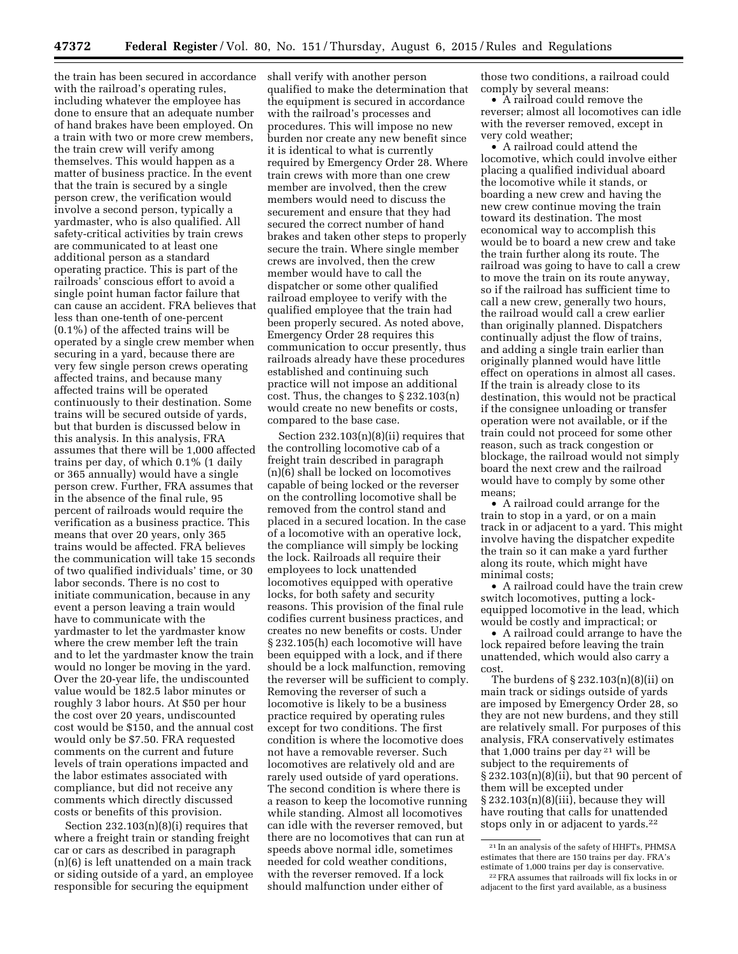the train has been secured in accordance with the railroad's operating rules, including whatever the employee has done to ensure that an adequate number of hand brakes have been employed. On a train with two or more crew members, the train crew will verify among themselves. This would happen as a matter of business practice. In the event that the train is secured by a single person crew, the verification would involve a second person, typically a yardmaster, who is also qualified. All safety-critical activities by train crews are communicated to at least one additional person as a standard operating practice. This is part of the railroads' conscious effort to avoid a single point human factor failure that can cause an accident. FRA believes that less than one-tenth of one-percent (0.1%) of the affected trains will be operated by a single crew member when securing in a yard, because there are very few single person crews operating affected trains, and because many affected trains will be operated continuously to their destination. Some trains will be secured outside of yards, but that burden is discussed below in this analysis. In this analysis, FRA assumes that there will be 1,000 affected trains per day, of which 0.1% (1 daily or 365 annually) would have a single person crew. Further, FRA assumes that in the absence of the final rule, 95 percent of railroads would require the verification as a business practice. This means that over 20 years, only 365 trains would be affected. FRA believes the communication will take 15 seconds of two qualified individuals' time, or 30 labor seconds. There is no cost to initiate communication, because in any event a person leaving a train would have to communicate with the yardmaster to let the yardmaster know where the crew member left the train and to let the yardmaster know the train would no longer be moving in the yard. Over the 20-year life, the undiscounted value would be 182.5 labor minutes or roughly 3 labor hours. At \$50 per hour the cost over 20 years, undiscounted cost would be \$150, and the annual cost would only be \$7.50. FRA requested comments on the current and future levels of train operations impacted and the labor estimates associated with compliance, but did not receive any comments which directly discussed costs or benefits of this provision.

Section 232.103(n)(8)(i) requires that where a freight train or standing freight car or cars as described in paragraph (n)(6) is left unattended on a main track or siding outside of a yard, an employee responsible for securing the equipment

shall verify with another person qualified to make the determination that the equipment is secured in accordance with the railroad's processes and procedures. This will impose no new burden nor create any new benefit since it is identical to what is currently required by Emergency Order 28. Where train crews with more than one crew member are involved, then the crew members would need to discuss the securement and ensure that they had secured the correct number of hand brakes and taken other steps to properly secure the train. Where single member crews are involved, then the crew member would have to call the dispatcher or some other qualified railroad employee to verify with the qualified employee that the train had been properly secured. As noted above, Emergency Order 28 requires this communication to occur presently, thus railroads already have these procedures established and continuing such practice will not impose an additional cost. Thus, the changes to § 232.103(n) would create no new benefits or costs, compared to the base case.

Section 232.103(n)(8)(ii) requires that the controlling locomotive cab of a freight train described in paragraph (n)(6) shall be locked on locomotives capable of being locked or the reverser on the controlling locomotive shall be removed from the control stand and placed in a secured location. In the case of a locomotive with an operative lock, the compliance will simply be locking the lock. Railroads all require their employees to lock unattended locomotives equipped with operative locks, for both safety and security reasons. This provision of the final rule codifies current business practices, and creates no new benefits or costs. Under § 232.105(h) each locomotive will have been equipped with a lock, and if there should be a lock malfunction, removing the reverser will be sufficient to comply. Removing the reverser of such a locomotive is likely to be a business practice required by operating rules except for two conditions. The first condition is where the locomotive does not have a removable reverser. Such locomotives are relatively old and are rarely used outside of yard operations. The second condition is where there is a reason to keep the locomotive running while standing. Almost all locomotives can idle with the reverser removed, but there are no locomotives that can run at speeds above normal idle, sometimes needed for cold weather conditions, with the reverser removed. If a lock should malfunction under either of

those two conditions, a railroad could comply by several means:

• A railroad could remove the reverser; almost all locomotives can idle with the reverser removed, except in very cold weather;

• A railroad could attend the locomotive, which could involve either placing a qualified individual aboard the locomotive while it stands, or boarding a new crew and having the new crew continue moving the train toward its destination. The most economical way to accomplish this would be to board a new crew and take the train further along its route. The railroad was going to have to call a crew to move the train on its route anyway, so if the railroad has sufficient time to call a new crew, generally two hours, the railroad would call a crew earlier than originally planned. Dispatchers continually adjust the flow of trains, and adding a single train earlier than originally planned would have little effect on operations in almost all cases. If the train is already close to its destination, this would not be practical if the consignee unloading or transfer operation were not available, or if the train could not proceed for some other reason, such as track congestion or blockage, the railroad would not simply board the next crew and the railroad would have to comply by some other means;

• A railroad could arrange for the train to stop in a yard, or on a main track in or adjacent to a yard. This might involve having the dispatcher expedite the train so it can make a yard further along its route, which might have minimal costs;

• A railroad could have the train crew switch locomotives, putting a lockequipped locomotive in the lead, which would be costly and impractical; or

• A railroad could arrange to have the lock repaired before leaving the train unattended, which would also carry a cost.

The burdens of § 232.103(n)(8)(ii) on main track or sidings outside of yards are imposed by Emergency Order 28, so they are not new burdens, and they still are relatively small. For purposes of this analysis, FRA conservatively estimates that 1,000 trains per day  $21$  will be subject to the requirements of § 232.103(n)(8)(ii), but that 90 percent of them will be excepted under § 232.103(n)(8)(iii), because they will have routing that calls for unattended stops only in or adjacent to yards.<sup>22</sup>

<sup>21</sup> In an analysis of the safety of HHFTs, PHMSA estimates that there are 150 trains per day. FRA's estimate of 1,000 trains per day is conservative. 22FRA assumes that railroads will fix locks in or

adjacent to the first yard available, as a business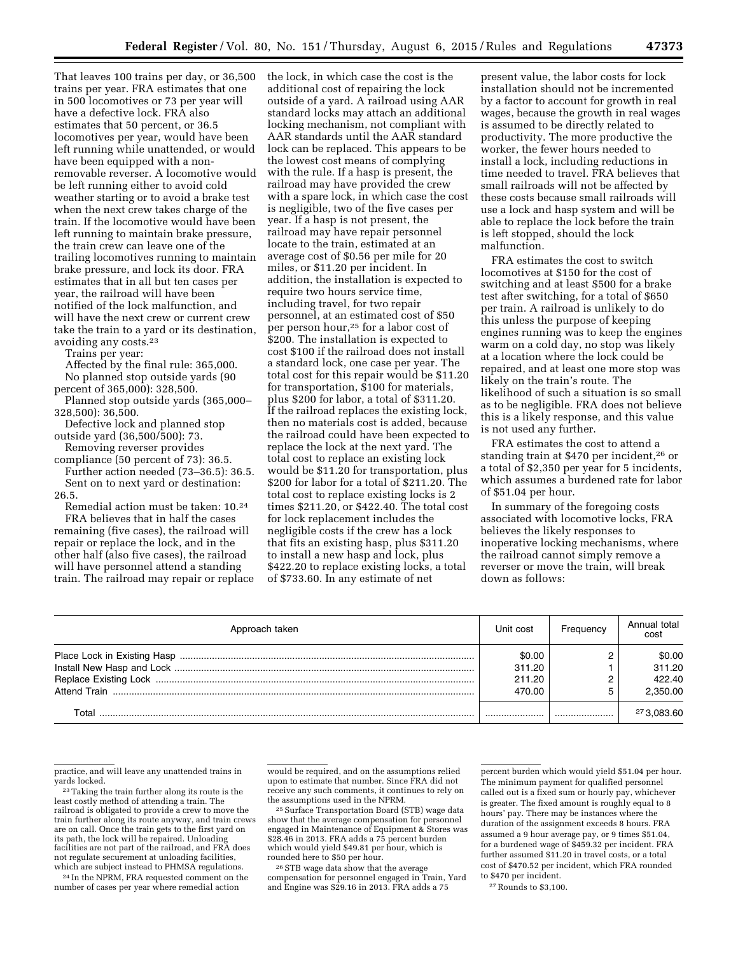That leaves 100 trains per day, or 36,500 trains per year. FRA estimates that one in 500 locomotives or 73 per year will have a defective lock. FRA also estimates that 50 percent, or 36.5 locomotives per year, would have been left running while unattended, or would have been equipped with a nonremovable reverser. A locomotive would be left running either to avoid cold weather starting or to avoid a brake test when the next crew takes charge of the train. If the locomotive would have been left running to maintain brake pressure, the train crew can leave one of the trailing locomotives running to maintain brake pressure, and lock its door. FRA estimates that in all but ten cases per year, the railroad will have been notified of the lock malfunction, and will have the next crew or current crew take the train to a yard or its destination, avoiding any costs.23

Trains per year:

Affected by the final rule: 365,000. No planned stop outside yards (90 percent of 365,000): 328,500.

Planned stop outside yards (365,000– 328,500): 36,500.

Defective lock and planned stop outside yard (36,500/500): 73.

Removing reverser provides

compliance (50 percent of 73): 36.5. Further action needed (73–36.5): 36.5.

Sent on to next yard or destination: 26.5.

Remedial action must be taken: 10.24 FRA believes that in half the cases

remaining (five cases), the railroad will repair or replace the lock, and in the other half (also five cases), the railroad will have personnel attend a standing train. The railroad may repair or replace the lock, in which case the cost is the additional cost of repairing the lock outside of a yard. A railroad using AAR standard locks may attach an additional locking mechanism, not compliant with AAR standards until the AAR standard lock can be replaced. This appears to be the lowest cost means of complying with the rule. If a hasp is present, the railroad may have provided the crew with a spare lock, in which case the cost is negligible, two of the five cases per year. If a hasp is not present, the railroad may have repair personnel locate to the train, estimated at an average cost of \$0.56 per mile for 20 miles, or \$11.20 per incident. In addition, the installation is expected to require two hours service time, including travel, for two repair personnel, at an estimated cost of \$50 per person hour,25 for a labor cost of \$200. The installation is expected to cost \$100 if the railroad does not install a standard lock, one case per year. The total cost for this repair would be \$11.20 for transportation, \$100 for materials, plus \$200 for labor, a total of \$311.20. If the railroad replaces the existing lock, then no materials cost is added, because the railroad could have been expected to replace the lock at the next yard. The total cost to replace an existing lock would be \$11.20 for transportation, plus \$200 for labor for a total of \$211.20. The total cost to replace existing locks is 2 times \$211.20, or \$422.40. The total cost for lock replacement includes the negligible costs if the crew has a lock that fits an existing hasp, plus \$311.20 to install a new hasp and lock, plus \$422.20 to replace existing locks, a total of \$733.60. In any estimate of net

present value, the labor costs for lock installation should not be incremented by a factor to account for growth in real wages, because the growth in real wages is assumed to be directly related to productivity. The more productive the worker, the fewer hours needed to install a lock, including reductions in time needed to travel. FRA believes that small railroads will not be affected by these costs because small railroads will use a lock and hasp system and will be able to replace the lock before the train is left stopped, should the lock malfunction.

FRA estimates the cost to switch locomotives at \$150 for the cost of switching and at least \$500 for a brake test after switching, for a total of \$650 per train. A railroad is unlikely to do this unless the purpose of keeping engines running was to keep the engines warm on a cold day, no stop was likely at a location where the lock could be repaired, and at least one more stop was likely on the train's route. The likelihood of such a situation is so small as to be negligible. FRA does not believe this is a likely response, and this value is not used any further.

FRA estimates the cost to attend a standing train at \$470 per incident,26 or a total of \$2,350 per year for 5 incidents, which assumes a burdened rate for labor of \$51.04 per hour.

In summary of the foregoing costs associated with locomotive locks, FRA believes the likely responses to inoperative locking mechanisms, where the railroad cannot simply remove a reverser or move the train, will break down as follows:

| Approach taken | Unit cost                            | Frequency | Annual total<br>cost                   |
|----------------|--------------------------------------|-----------|----------------------------------------|
|                | \$0.00<br>311.20<br>211.20<br>470.00 |           | \$0.00<br>311.20<br>422.40<br>2.350.00 |
| Total          |                                      |           | 273,083.60                             |

practice, and will leave any unattended trains in

<sup>23</sup> Taking the train further along its route is the least costly method of attending a train. The railroad is obligated to provide a crew to move the train further along its route anyway, and train crews are on call. Once the train gets to the first yard on its path, the lock will be repaired. Unloading facilities are not part of the railroad, and FRA does not regulate securement at unloading facilities, which are subject instead to PHMSA regulations.

24 In the NPRM, FRA requested comment on the number of cases per year where remedial action

would be required, and on the assumptions relied upon to estimate that number. Since FRA did not receive any such comments, it continues to rely on<br>the assumptions used in the NPRM.

<sup>25</sup> Surface Transportation Board (STB) wage data show that the average compensation for personnel engaged in Maintenance of Equipment & Stores was \$28.46 in 2013. FRA adds a 75 percent burden which would yield \$49.81 per hour, which is rounded here to \$50 per hour.

<sup>26</sup> STB wage data show that the average compensation for personnel engaged in Train, Yard and Engine was \$29.16 in 2013. FRA adds a 75

percent burden which would yield \$51.04 per hour. The minimum payment for qualified personnel called out is a fixed sum or hourly pay, whichever is greater. The fixed amount is roughly equal to 8 hours' pay. There may be instances where the duration of the assignment exceeds 8 hours. FRA assumed a 9 hour average pay, or 9 times \$51.04, for a burdened wage of \$459.32 per incident. FRA further assumed \$11.20 in travel costs, or a total cost of \$470.52 per incident, which FRA rounded to \$470 per incident.

27Rounds to \$3,100.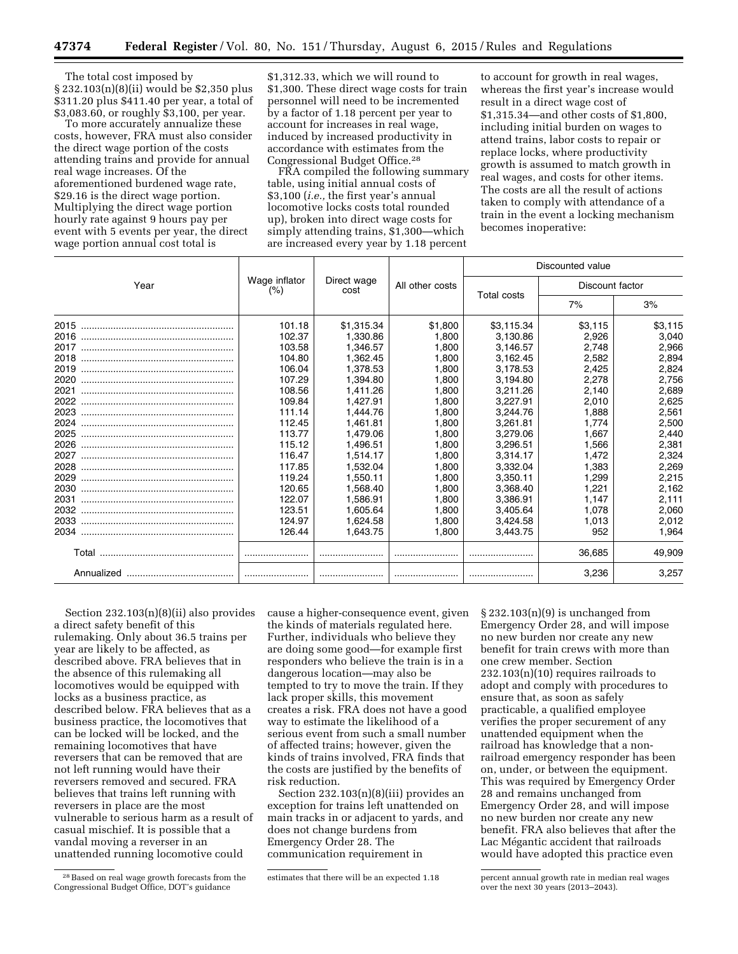The total cost imposed by § 232.103(n)(8)(ii) would be \$2,350 plus \$311.20 plus \$411.40 per year, a total of \$3,083.60, or roughly \$3,100, per year.

To more accurately annualize these costs, however, FRA must also consider the direct wage portion of the costs attending trains and provide for annual real wage increases. Of the aforementioned burdened wage rate, \$29.16 is the direct wage portion. Multiplying the direct wage portion hourly rate against 9 hours pay per event with 5 events per year, the direct wage portion annual cost total is

\$1,312.33, which we will round to \$1,300. These direct wage costs for train personnel will need to be incremented by a factor of 1.18 percent per year to account for increases in real wage, induced by increased productivity in accordance with estimates from the Congressional Budget Office.28

FRA compiled the following summary table, using initial annual costs of \$3,100 (*i.e.,* the first year's annual locomotive locks costs total rounded up), broken into direct wage costs for simply attending trains, \$1,300—which are increased every year by 1.18 percent

to account for growth in real wages, whereas the first year's increase would result in a direct wage cost of \$1,315.34—and other costs of \$1,800, including initial burden on wages to attend trains, labor costs to repair or replace locks, where productivity growth is assumed to match growth in real wages, and costs for other items. The costs are all the result of actions taken to comply with attendance of a train in the event a locking mechanism becomes inoperative:

|      |                       | Direct wage<br>cost |                 | Discounted value |                 |         |  |
|------|-----------------------|---------------------|-----------------|------------------|-----------------|---------|--|
| Year | Wage inflator<br>(% ) |                     | All other costs | Total costs      | Discount factor |         |  |
|      |                       |                     |                 |                  | 7%              | 3%      |  |
| 2015 | 101.18                | \$1,315.34          | \$1,800         | \$3,115.34       | \$3.115         | \$3,115 |  |
| 2016 | 102.37                | 1.330.86            | 1.800           | 3,130.86         | 2.926           | 3,040   |  |
| 2017 | 103.58                | 1.346.57            | 1,800           | 3,146.57         | 2.748           | 2,966   |  |
| 2018 | 104.80                | 1.362.45            | 1.800           | 3.162.45         | 2.582           | 2,894   |  |
| 2019 | 106.04                | 1,378.53            | 1.800           | 3.178.53         | 2.425           | 2,824   |  |
| 2020 | 107.29                | 1.394.80            | 1.800           | 3,194.80         | 2,278           | 2,756   |  |
| 2021 | 108.56                | 1,411.26            | 1.800           | 3,211.26         | 2.140           | 2,689   |  |
| 2022 | 109.84                | 1,427.91            | 1.800           | 3,227.91         | 2.010           | 2,625   |  |
| 2023 | 111.14                | 1.444.76            | 1.800           | 3,244.76         | 1.888           | 2,561   |  |
| 2024 | 112.45                | 1.461.81            | 1.800           | 3,261.81         | 1.774           | 2,500   |  |
| 2025 | 113.77                | 1.479.06            | 1.800           | 3,279.06         | 1.667           | 2,440   |  |
| 2026 | 115.12                | 1,496.51            | 1.800           | 3,296.51         | 1.566           | 2,381   |  |
| 2027 | 116.47                | 1,514.17            | 1.800           | 3,314.17         | 1.472           | 2,324   |  |
| 2028 | 117.85                | 1.532.04            | 1.800           | 3,332.04         | 1.383           | 2,269   |  |
| 2029 | 119.24                | 1.550.11            | 1.800           | 3,350.11         | 1.299           | 2,215   |  |
| 2030 | 120.65                | 1,568.40            | 1.800           | 3,368.40         | 1.221           | 2,162   |  |
| 2031 | 122.07                | 1.586.91            | 1.800           | 3,386.91         | 1.147           | 2,111   |  |
| 2032 | 123.51                | 1.605.64            | 1.800           | 3,405.64         | 1.078           | 2,060   |  |
|      | 124.97                | 1.624.58            | 1.800           | 3,424.58         | 1.013           | 2,012   |  |
|      | 126.44                | 1,643.75            | 1,800           | 3,443.75         | 952             | 1,964   |  |
|      |                       |                     |                 |                  | 36,685          | 49,909  |  |
|      |                       |                     |                 |                  | 3.236           | 3,257   |  |

Section 232.103(n)(8)(ii) also provides a direct safety benefit of this rulemaking. Only about 36.5 trains per year are likely to be affected, as described above. FRA believes that in the absence of this rulemaking all locomotives would be equipped with locks as a business practice, as described below. FRA believes that as a business practice, the locomotives that can be locked will be locked, and the remaining locomotives that have reversers that can be removed that are not left running would have their reversers removed and secured. FRA believes that trains left running with reversers in place are the most vulnerable to serious harm as a result of casual mischief. It is possible that a vandal moving a reverser in an unattended running locomotive could

cause a higher-consequence event, given the kinds of materials regulated here. Further, individuals who believe they are doing some good—for example first responders who believe the train is in a dangerous location—may also be tempted to try to move the train. If they lack proper skills, this movement creates a risk. FRA does not have a good way to estimate the likelihood of a serious event from such a small number of affected trains; however, given the kinds of trains involved, FRA finds that the costs are justified by the benefits of risk reduction.

Section 232.103(n)(8)(iii) provides an exception for trains left unattended on main tracks in or adjacent to yards, and does not change burdens from Emergency Order 28. The communication requirement in

 $\S 232.103(n)(9)$  is unchanged from Emergency Order 28, and will impose no new burden nor create any new benefit for train crews with more than one crew member. Section 232.103(n)(10) requires railroads to adopt and comply with procedures to ensure that, as soon as safely practicable, a qualified employee verifies the proper securement of any unattended equipment when the railroad has knowledge that a nonrailroad emergency responder has been on, under, or between the equipment. This was required by Emergency Order 28 and remains unchanged from Emergency Order 28, and will impose no new burden nor create any new benefit. FRA also believes that after the Lac Mégantic accident that railroads would have adopted this practice even

<sup>28</sup>Based on real wage growth forecasts from the Congressional Budget Office, DOT's guidance

estimates that there will be an expected 1.18 percent annual growth rate in median real wages over the next 30 years (2013–2043).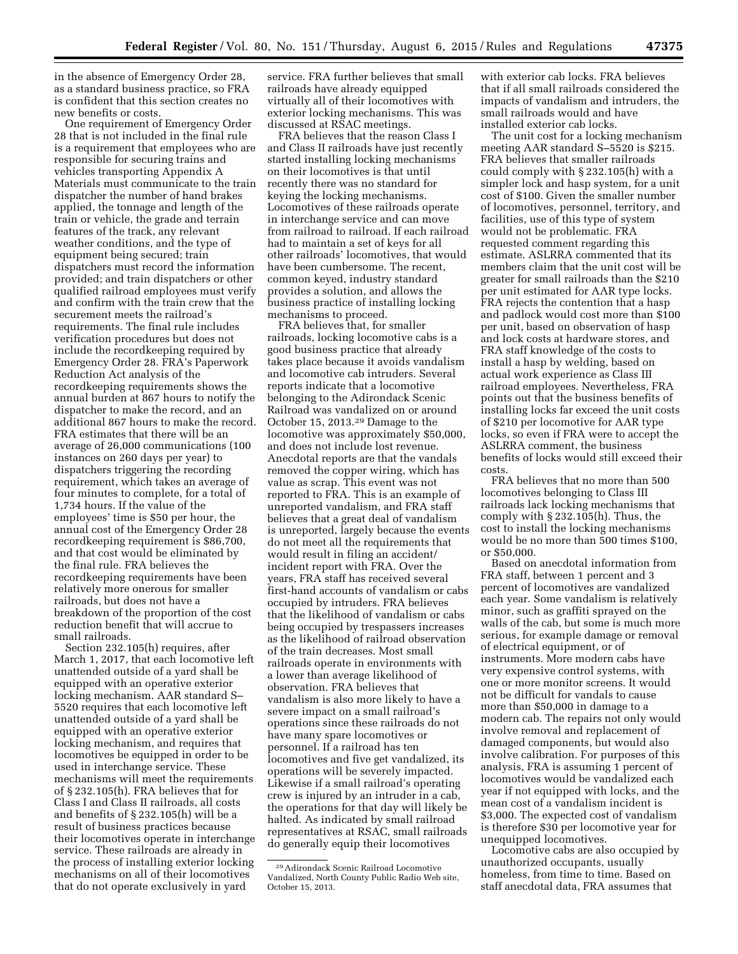in the absence of Emergency Order 28, as a standard business practice, so FRA is confident that this section creates no new benefits or costs.

One requirement of Emergency Order 28 that is not included in the final rule is a requirement that employees who are responsible for securing trains and vehicles transporting Appendix A Materials must communicate to the train dispatcher the number of hand brakes applied, the tonnage and length of the train or vehicle, the grade and terrain features of the track, any relevant weather conditions, and the type of equipment being secured; train dispatchers must record the information provided; and train dispatchers or other qualified railroad employees must verify and confirm with the train crew that the securement meets the railroad's requirements. The final rule includes verification procedures but does not include the recordkeeping required by Emergency Order 28. FRA's Paperwork Reduction Act analysis of the recordkeeping requirements shows the annual burden at 867 hours to notify the dispatcher to make the record, and an additional 867 hours to make the record. FRA estimates that there will be an average of 26,000 communications (100 instances on 260 days per year) to dispatchers triggering the recording requirement, which takes an average of four minutes to complete, for a total of 1,734 hours. If the value of the employees' time is \$50 per hour, the annual cost of the Emergency Order 28 recordkeeping requirement is \$86,700, and that cost would be eliminated by the final rule. FRA believes the recordkeeping requirements have been relatively more onerous for smaller railroads, but does not have a breakdown of the proportion of the cost reduction benefit that will accrue to small railroads.

Section 232.105(h) requires, after March 1, 2017, that each locomotive left unattended outside of a yard shall be equipped with an operative exterior locking mechanism. AAR standard S– 5520 requires that each locomotive left unattended outside of a yard shall be equipped with an operative exterior locking mechanism, and requires that locomotives be equipped in order to be used in interchange service. These mechanisms will meet the requirements of § 232.105(h). FRA believes that for Class I and Class II railroads, all costs and benefits of § 232.105(h) will be a result of business practices because their locomotives operate in interchange service. These railroads are already in the process of installing exterior locking mechanisms on all of their locomotives that do not operate exclusively in yard

service. FRA further believes that small railroads have already equipped virtually all of their locomotives with exterior locking mechanisms. This was discussed at RSAC meetings.

FRA believes that the reason Class I and Class II railroads have just recently started installing locking mechanisms on their locomotives is that until recently there was no standard for keying the locking mechanisms. Locomotives of these railroads operate in interchange service and can move from railroad to railroad. If each railroad had to maintain a set of keys for all other railroads' locomotives, that would have been cumbersome. The recent, common keyed, industry standard provides a solution, and allows the business practice of installing locking mechanisms to proceed.

FRA believes that, for smaller railroads, locking locomotive cabs is a good business practice that already takes place because it avoids vandalism and locomotive cab intruders. Several reports indicate that a locomotive belonging to the Adirondack Scenic Railroad was vandalized on or around October 15, 2013.29 Damage to the locomotive was approximately \$50,000, and does not include lost revenue. Anecdotal reports are that the vandals removed the copper wiring, which has value as scrap. This event was not reported to FRA. This is an example of unreported vandalism, and FRA staff believes that a great deal of vandalism is unreported, largely because the events do not meet all the requirements that would result in filing an accident/ incident report with FRA. Over the years, FRA staff has received several first-hand accounts of vandalism or cabs occupied by intruders. FRA believes that the likelihood of vandalism or cabs being occupied by trespassers increases as the likelihood of railroad observation of the train decreases. Most small railroads operate in environments with a lower than average likelihood of observation. FRA believes that vandalism is also more likely to have a severe impact on a small railroad's operations since these railroads do not have many spare locomotives or personnel. If a railroad has ten locomotives and five get vandalized, its operations will be severely impacted. Likewise if a small railroad's operating crew is injured by an intruder in a cab, the operations for that day will likely be halted. As indicated by small railroad representatives at RSAC, small railroads do generally equip their locomotives

with exterior cab locks. FRA believes that if all small railroads considered the impacts of vandalism and intruders, the small railroads would and have installed exterior cab locks.

The unit cost for a locking mechanism meeting AAR standard S–5520 is \$215. FRA believes that smaller railroads could comply with § 232.105(h) with a simpler lock and hasp system, for a unit cost of \$100. Given the smaller number of locomotives, personnel, territory, and facilities, use of this type of system would not be problematic. FRA requested comment regarding this estimate. ASLRRA commented that its members claim that the unit cost will be greater for small railroads than the \$210 per unit estimated for AAR type locks. FRA rejects the contention that a hasp and padlock would cost more than \$100 per unit, based on observation of hasp and lock costs at hardware stores, and FRA staff knowledge of the costs to install a hasp by welding, based on actual work experience as Class III railroad employees. Nevertheless, FRA points out that the business benefits of installing locks far exceed the unit costs of \$210 per locomotive for AAR type locks, so even if FRA were to accept the ASLRRA comment, the business benefits of locks would still exceed their costs.

FRA believes that no more than 500 locomotives belonging to Class III railroads lack locking mechanisms that comply with § 232.105(h). Thus, the cost to install the locking mechanisms would be no more than 500 times \$100, or \$50,000.

Based on anecdotal information from FRA staff, between 1 percent and 3 percent of locomotives are vandalized each year. Some vandalism is relatively minor, such as graffiti sprayed on the walls of the cab, but some is much more serious, for example damage or removal of electrical equipment, or of instruments. More modern cabs have very expensive control systems, with one or more monitor screens. It would not be difficult for vandals to cause more than \$50,000 in damage to a modern cab. The repairs not only would involve removal and replacement of damaged components, but would also involve calibration. For purposes of this analysis, FRA is assuming 1 percent of locomotives would be vandalized each year if not equipped with locks, and the mean cost of a vandalism incident is \$3,000. The expected cost of vandalism is therefore \$30 per locomotive year for unequipped locomotives.

Locomotive cabs are also occupied by unauthorized occupants, usually homeless, from time to time. Based on staff anecdotal data, FRA assumes that

<sup>29</sup>Adirondack Scenic Railroad Locomotive Vandalized, North County Public Radio Web site, October 15, 2013.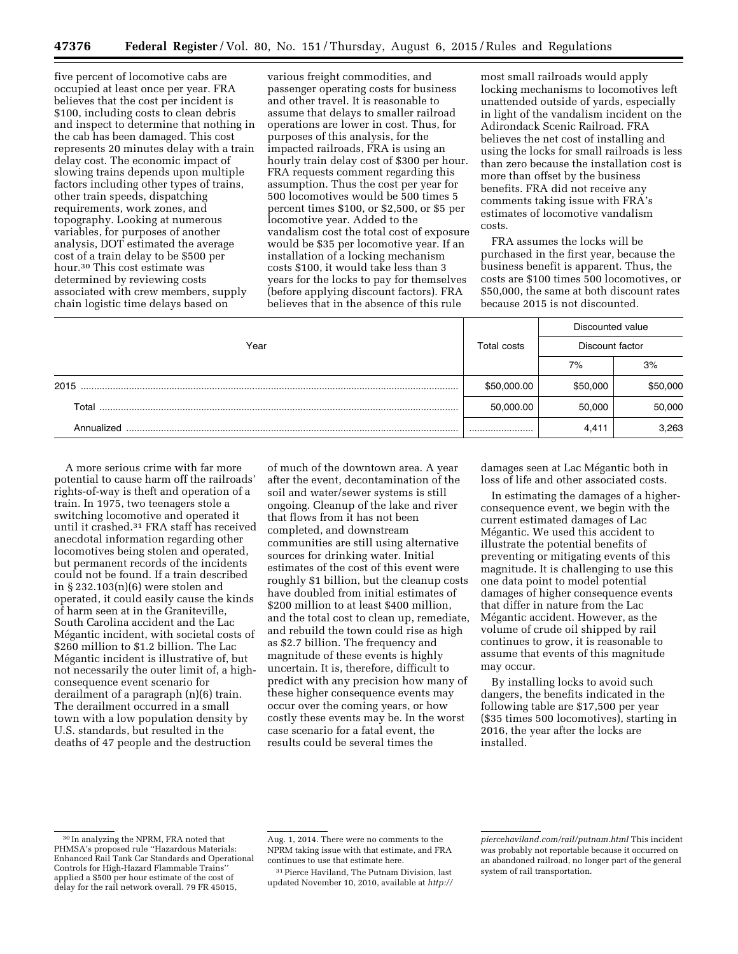five percent of locomotive cabs are occupied at least once per year. FRA believes that the cost per incident is \$100, including costs to clean debris and inspect to determine that nothing in the cab has been damaged. This cost represents 20 minutes delay with a train delay cost. The economic impact of slowing trains depends upon multiple factors including other types of trains, other train speeds, dispatching requirements, work zones, and topography. Looking at numerous variables, for purposes of another analysis, DOT estimated the average cost of a train delay to be \$500 per hour.30 This cost estimate was determined by reviewing costs associated with crew members, supply chain logistic time delays based on

various freight commodities, and passenger operating costs for business and other travel. It is reasonable to assume that delays to smaller railroad operations are lower in cost. Thus, for purposes of this analysis, for the impacted railroads, FRA is using an hourly train delay cost of \$300 per hour. FRA requests comment regarding this assumption. Thus the cost per year for 500 locomotives would be 500 times 5 percent times \$100, or \$2,500, or \$5 per locomotive year. Added to the vandalism cost the total cost of exposure would be \$35 per locomotive year. If an installation of a locking mechanism costs \$100, it would take less than 3 years for the locks to pay for themselves (before applying discount factors). FRA believes that in the absence of this rule

most small railroads would apply locking mechanisms to locomotives left unattended outside of yards, especially in light of the vandalism incident on the Adirondack Scenic Railroad. FRA believes the net cost of installing and using the locks for small railroads is less than zero because the installation cost is more than offset by the business benefits. FRA did not receive any comments taking issue with FRA's estimates of locomotive vandalism costs.

FRA assumes the locks will be purchased in the first year, because the business benefit is apparent. Thus, the costs are \$100 times 500 locomotives, or \$50,000, the same at both discount rates because 2015 is not discounted.

|            |             | Discounted value<br>Discount factor |          |  |  |
|------------|-------------|-------------------------------------|----------|--|--|
| Year       | Total costs |                                     |          |  |  |
|            |             | 7%                                  | 3%       |  |  |
| 2015       | \$50,000.00 | \$50,000                            | \$50,000 |  |  |
| Total      | 50,000.00   | 50,000                              | 50,000   |  |  |
| Annualized |             | 4.411                               | 3.263    |  |  |

A more serious crime with far more potential to cause harm off the railroads' rights-of-way is theft and operation of a train. In 1975, two teenagers stole a switching locomotive and operated it until it crashed.31 FRA staff has received anecdotal information regarding other locomotives being stolen and operated, but permanent records of the incidents could not be found. If a train described in § 232.103(n)(6) were stolen and operated, it could easily cause the kinds of harm seen at in the Graniteville, South Carolina accident and the Lac Mégantic incident, with societal costs of \$260 million to \$1.2 billion. The Lac Mégantic incident is illustrative of, but not necessarily the outer limit of, a highconsequence event scenario for derailment of a paragraph (n)(6) train. The derailment occurred in a small town with a low population density by U.S. standards, but resulted in the deaths of 47 people and the destruction

of much of the downtown area. A year after the event, decontamination of the soil and water/sewer systems is still ongoing. Cleanup of the lake and river that flows from it has not been completed, and downstream communities are still using alternative sources for drinking water. Initial estimates of the cost of this event were roughly \$1 billion, but the cleanup costs have doubled from initial estimates of \$200 million to at least \$400 million, and the total cost to clean up, remediate, and rebuild the town could rise as high as \$2.7 billion. The frequency and magnitude of these events is highly uncertain. It is, therefore, difficult to predict with any precision how many of these higher consequence events may occur over the coming years, or how costly these events may be. In the worst case scenario for a fatal event, the results could be several times the

damages seen at Lac Mégantic both in loss of life and other associated costs.

In estimating the damages of a higherconsequence event, we begin with the current estimated damages of Lac Mégantic. We used this accident to illustrate the potential benefits of preventing or mitigating events of this magnitude. It is challenging to use this one data point to model potential damages of higher consequence events that differ in nature from the Lac Mégantic accident. However, as the volume of crude oil shipped by rail continues to grow, it is reasonable to assume that events of this magnitude may occur.

By installing locks to avoid such dangers, the benefits indicated in the following table are \$17,500 per year (\$35 times 500 locomotives), starting in 2016, the year after the locks are installed.

<sup>30</sup> In analyzing the NPRM, FRA noted that PHMSA's proposed rule ''Hazardous Materials: Enhanced Rail Tank Car Standards and Operational Controls for High-Hazard Flammable Trains'' applied a \$500 per hour estimate of the cost of delay for the rail network overall. 79 FR 45015,

Aug. 1, 2014. There were no comments to the NPRM taking issue with that estimate, and FRA continues to use that estimate here.

<sup>31</sup>Pierce Haviland, The Putnam Division, last updated November 10, 2010, available at *[http://](http://piercehaviland.com/rail/putnam.html)*

*[piercehaviland.com/rail/putnam.html](http://piercehaviland.com/rail/putnam.html)* This incident was probably not reportable because it occurred on an abandoned railroad, no longer part of the general system of rail transportation.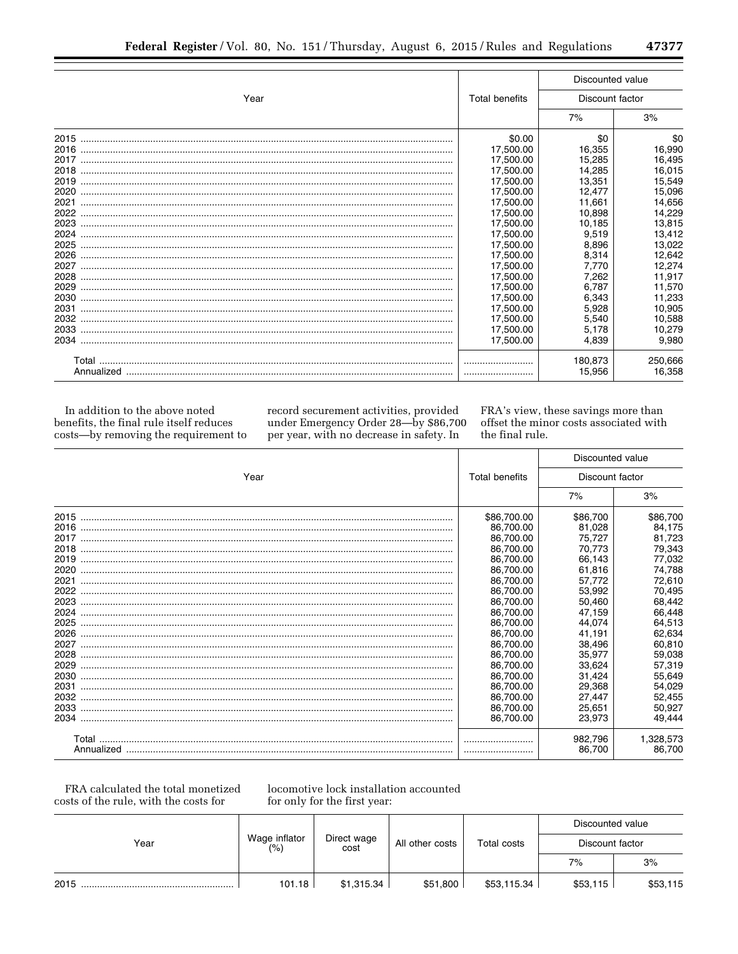|      |                | Discounted value  |                   |  |  |
|------|----------------|-------------------|-------------------|--|--|
| Year | Total benefits | Discount factor   |                   |  |  |
|      |                | 7%                | 3%                |  |  |
| 2015 | \$0.00         | \$0               | \$0               |  |  |
| 2016 | 17,500.00      | 16,355            | 16,990            |  |  |
| 2017 | 17,500.00      | 15,285            | 16,495            |  |  |
| 2018 | 17,500.00      | 14,285            | 16,015            |  |  |
| 2019 | 17,500.00      | 13,351            | 15,549            |  |  |
| 2020 | 17,500.00      | 12.477            | 15,096            |  |  |
| 2021 | 17,500.00      | 11,661            | 14,656            |  |  |
| 2022 | 17,500.00      | 10,898            | 14,229            |  |  |
| 2023 | 17,500.00      | 10,185            | 13,815            |  |  |
| 2024 | 17,500.00      | 9,519             | 13,412            |  |  |
| 2025 | 17,500.00      | 8.896             | 13,022            |  |  |
| 2026 | 17,500.00      | 8,314             | 12,642            |  |  |
| 2027 | 17,500.00      | 7.770             | 12,274            |  |  |
| 2028 | 17,500.00      | 7.262             | 11,917            |  |  |
| 2029 | 17,500.00      | 6.787             | 11,570            |  |  |
| 2030 | 17,500.00      | 6.343             | 11,233            |  |  |
| 2031 | 17,500.00      | 5,928             | 10,905            |  |  |
| 2032 | 17,500.00      | 5.540             | 10,588            |  |  |
| 2033 | 17,500.00      | 5,178             | 10,279            |  |  |
|      | 17,500.00      | 4.839             | 9,980             |  |  |
|      |                | 180.873<br>15,956 | 250,666<br>16,358 |  |  |

In addition to the above noted benefits, the final rule itself reduces costs-by removing the requirement to record securement activities, provided under Emergency Order 28-by \$86,700 per year, with no decrease in safety. In

FRA's view, these savings more than offset the minor costs associated with the final rule.

|      |                | Discounted value<br>Discount factor |           |  |
|------|----------------|-------------------------------------|-----------|--|
| Year | Total benefits |                                     |           |  |
|      |                | 7%                                  | 3%        |  |
| 2015 | \$86,700.00    | \$86,700                            | \$86,700  |  |
|      | 86,700.00      | 81.028                              | 84,175    |  |
|      | 86,700.00      | 75,727                              | 81,723    |  |
|      | 86.700.00      | 70.773                              | 79,343    |  |
|      | 86,700.00      | 66,143                              | 77,032    |  |
|      | 86,700.00      | 61,816                              | 74,788    |  |
| 2021 | 86,700.00      | 57,772                              | 72,610    |  |
| 2022 | 86,700.00      | 53,992                              | 70,495    |  |
|      | 86,700.00      | 50,460                              | 68,442    |  |
|      | 86,700.00      | 47,159                              | 66,448    |  |
| 2025 | 86,700.00      | 44,074                              | 64,513    |  |
| 2026 | 86,700.00      | 41,191                              | 62,634    |  |
| 2027 | 86.700.00      | 38,496                              | 60,810    |  |
|      | 86,700.00      | 35,977                              | 59,038    |  |
| 2029 | 86.700.00      | 33.624                              | 57,319    |  |
|      | 86,700.00      | 31,424                              | 55,649    |  |
|      | 86,700.00      | 29,368                              | 54,029    |  |
|      | 86,700.00      | 27,447                              | 52,455    |  |
|      | 86,700.00      | 25,651                              | 50,927    |  |
|      | 86,700.00      | 23,973                              | 49,444    |  |
|      |                | 982,796                             | 1,328,573 |  |
|      |                | 86,700                              | 86.700    |  |

FRA calculated the total monetized costs of the rule, with the costs for

locomotive lock installation accounted for only for the first year:

| Year |                         |                     |                 |             | Discounted value |          |  |
|------|-------------------------|---------------------|-----------------|-------------|------------------|----------|--|
|      | Wage inflator<br>$(\%)$ | Direct wage<br>cost | All other costs | Total costs | Discount factor  |          |  |
|      |                         |                     |                 |             | 7%               | 3%       |  |
| 2015 | 101.18                  | \$1,315.34          | \$51,800        | \$53,115.34 | \$53,115         | \$53,115 |  |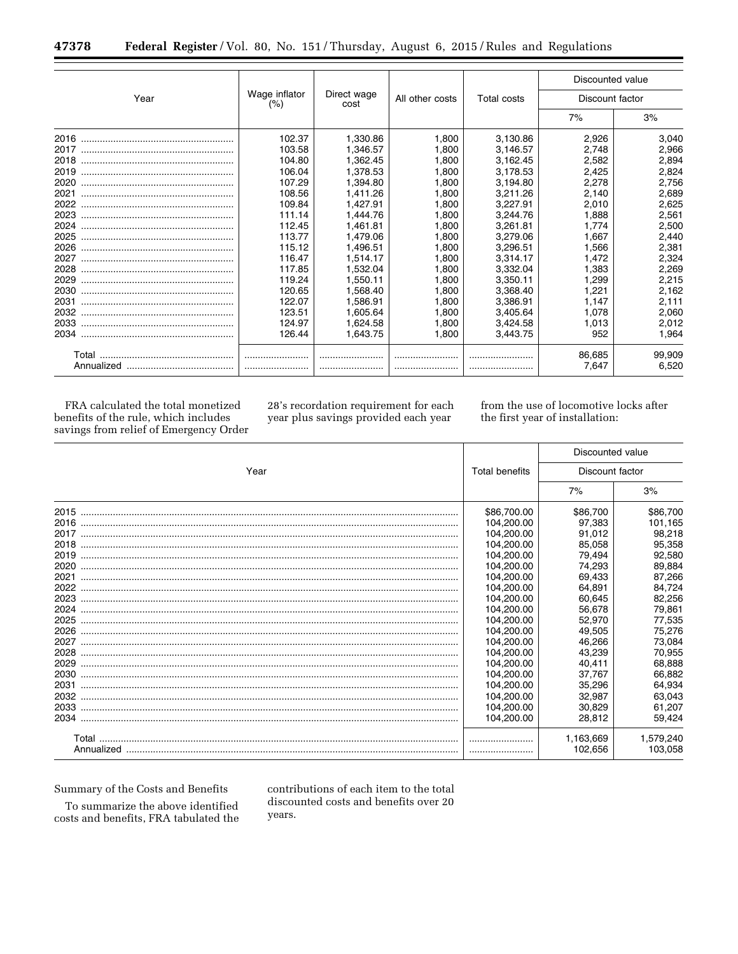| 47378 |  | <b>Federal Register</b> /Vol. 80, No. 151/Thursday, August 6, 2015/Rules and Regulations |  |  |  |  |  |  |  |  |  |
|-------|--|------------------------------------------------------------------------------------------|--|--|--|--|--|--|--|--|--|
|-------|--|------------------------------------------------------------------------------------------|--|--|--|--|--|--|--|--|--|

|      |                      |                     |                 |                    | Discounted value |        |  |
|------|----------------------|---------------------|-----------------|--------------------|------------------|--------|--|
| Year | Wage inflator<br>(%) | Direct wage<br>cost | All other costs | <b>Total costs</b> | Discount factor  |        |  |
|      |                      |                     |                 |                    | 7%               | 3%     |  |
| 2016 | 102.37               | 1,330.86            | 1.800           | 3,130.86           | 2,926            | 3.040  |  |
| 2017 | 103.58               | 1,346.57            | 1.800           | 3,146.57           | 2.748            | 2,966  |  |
| 2018 | 104.80               | 1,362.45            | 1.800           | 3,162.45           | 2.582            | 2,894  |  |
| 2019 | 106.04               | 1.378.53            | 1.800           | 3,178.53           | 2,425            | 2,824  |  |
| 2020 | 107.29               | 1.394.80            | 1.800           | 3,194.80           | 2,278            | 2,756  |  |
| 2021 | 108.56               | 1.411.26            | 1.800           | 3,211.26           | 2.140            | 2,689  |  |
| 2022 | 109.84               | 1.427.91            | 1.800           | 3.227.91           | 2.010            | 2,625  |  |
| 2023 | 111.14               | 1.444.76            | 1.800           | 3.244.76           | 1.888            | 2,561  |  |
| 2024 | 112.45               | 1.461.81            | 1.800           | 3,261.81           | 1.774            | 2.500  |  |
| 2025 | 113.77               | 1,479.06            | 1.800           | 3,279.06           | 1.667            | 2,440  |  |
| 2026 | 115.12               | 1,496.51            | 1.800           | 3,296.51           | 1.566            | 2,381  |  |
| 2027 | 116.47               | 1,514.17            | 1.800           | 3,314.17           | 1.472            | 2,324  |  |
| 2028 | 117.85               | 1.532.04            | 1.800           | 3,332.04           | 1.383            | 2,269  |  |
| 2029 | 119.24               | 1.550.11            | 1.800           | 3,350.11           | 1.299            | 2,215  |  |
| 2030 | 120.65               | 1.568.40            | 1.800           | 3.368.40           | 1.221            | 2,162  |  |
| 2031 | 122.07               | 1.586.91            | 1.800           | 3,386.91           | 1.147            | 2,111  |  |
| 2032 | 123.51               | 1.605.64            | 1.800           | 3,405.64           | 1.078            | 2,060  |  |
|      | 124.97               | 1.624.58            | 1.800           | 3,424.58           | 1.013            | 2,012  |  |
|      | 126.44               | 1,643.75            | 1,800           | 3,443.75           | 952              | 1,964  |  |
|      |                      |                     |                 |                    | 86,685           | 99,909 |  |
|      |                      |                     |                 |                    | 7.647            | 6,520  |  |

FRA calculated the total monetized benefits of the rule, which includes savings from relief of Emergency Order

28's recordation requirement for each year plus savings provided each year

from the use of locomotive locks after the first year of installation:

|      |                | Discounted value<br>Discount factor |           |  |
|------|----------------|-------------------------------------|-----------|--|
| Year | Total benefits |                                     |           |  |
|      |                | 7%                                  | 3%        |  |
| 2015 | \$86,700.00    | \$86,700                            | \$86,700  |  |
| 2016 | 104,200.00     | 97.383                              | 101,165   |  |
| 2017 | 104,200.00     | 91,012                              | 98,218    |  |
|      | 104,200.00     | 85,058                              | 95,358    |  |
|      | 104,200.00     | 79,494                              | 92,580    |  |
| 2020 | 104,200.00     | 74,293                              | 89,884    |  |
| 2021 | 104,200.00     | 69,433                              | 87,266    |  |
| 2022 | 104,200.00     | 64,891                              | 84,724    |  |
|      | 104,200.00     | 60.645                              | 82,256    |  |
| 2024 | 104,200.00     | 56,678                              | 79,861    |  |
| 2025 | 104,200.00     | 52,970                              | 77,535    |  |
| 2026 | 104,200.00     | 49,505                              | 75,276    |  |
| 2027 | 104,200.00     | 46,266                              | 73,084    |  |
|      | 104,200.00     | 43,239                              | 70,955    |  |
| 2029 | 104,200.00     | 40,411                              | 68,888    |  |
| 2030 | 104,200.00     | 37,767                              | 66,882    |  |
| 2031 | 104,200.00     | 35,296                              | 64,934    |  |
| 2032 | 104,200.00     | 32,987                              | 63,043    |  |
|      | 104,200.00     | 30,829                              | 61,207    |  |
| 2034 | 104,200.00     | 28,812                              | 59,424    |  |
|      |                | 1,163,669                           | 1.579.240 |  |
|      |                | 102,656                             | 103,058   |  |

Summary of the Costs and Benefits

To summarize the above identified costs and benefits, FRA tabulated the contributions of each item to the total discounted costs and benefits over 20 years.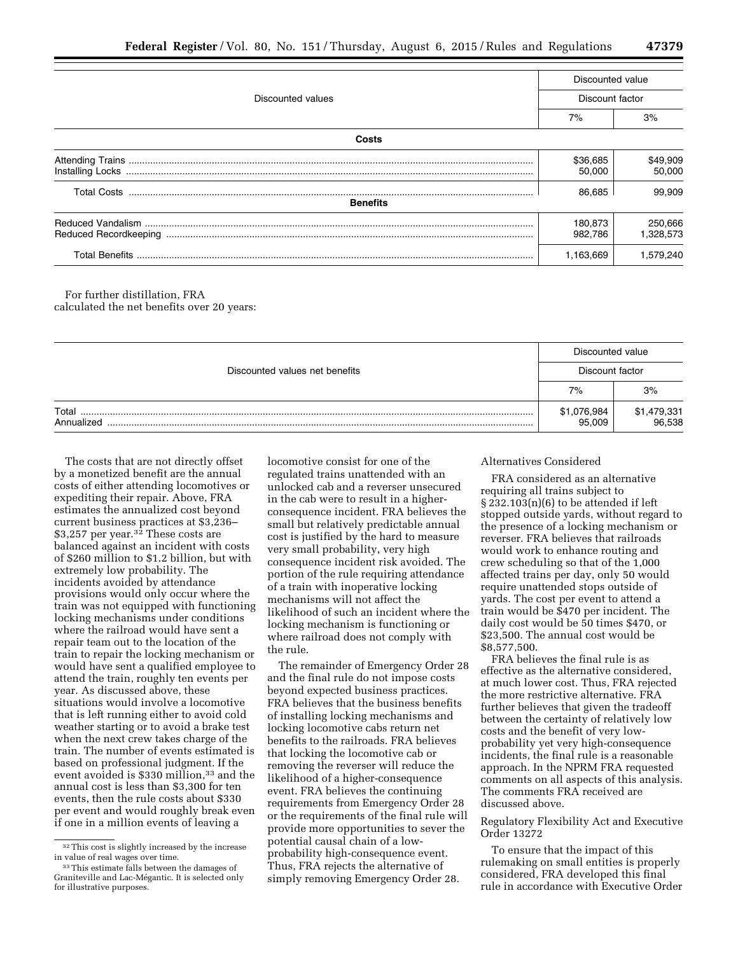|                                       | Discounted value   |                      |  |  |  |  |
|---------------------------------------|--------------------|----------------------|--|--|--|--|
| Discounted values                     |                    | Discount factor      |  |  |  |  |
|                                       | 7%                 | 3%                   |  |  |  |  |
| Costs                                 |                    |                      |  |  |  |  |
|                                       | \$36,685<br>50,000 | \$49,909<br>50,000   |  |  |  |  |
| <b>Total Costs</b><br><b>Benefits</b> | 86,685             | 99.909               |  |  |  |  |
|                                       | 180,873<br>982.786 | 250,666<br>1,328,573 |  |  |  |  |
|                                       | 1,163,669          | 1.579.240            |  |  |  |  |

For further distillation, FRA calculated the net benefits over 20 years:

|                                |                       | Discounted value      |  |  |
|--------------------------------|-----------------------|-----------------------|--|--|
| Discounted values net benefits | Discount factor       |                       |  |  |
|                                | 7%                    | 3%                    |  |  |
| Total<br>Annualized            | \$1,076,984<br>95,009 | \$1,479,331<br>96,538 |  |  |

The costs that are not directly offset by a monetized benefit are the annual costs of either attending locomotives or expediting their repair. Above, FRA estimates the annualized cost beyond current business practices at \$3,236– \$3,257 per year.32 These costs are balanced against an incident with costs of \$260 million to \$1.2 billion, but with extremely low probability. The incidents avoided by attendance provisions would only occur where the train was not equipped with functioning locking mechanisms under conditions where the railroad would have sent a repair team out to the location of the train to repair the locking mechanism or would have sent a qualified employee to attend the train, roughly ten events per year. As discussed above, these situations would involve a locomotive that is left running either to avoid cold weather starting or to avoid a brake test when the next crew takes charge of the train. The number of events estimated is based on professional judgment. If the event avoided is \$330 million,<sup>33</sup> and the annual cost is less than \$3,300 for ten events, then the rule costs about \$330 per event and would roughly break even if one in a million events of leaving a

locomotive consist for one of the regulated trains unattended with an unlocked cab and a reverser unsecured in the cab were to result in a higherconsequence incident. FRA believes the small but relatively predictable annual cost is justified by the hard to measure very small probability, very high consequence incident risk avoided. The portion of the rule requiring attendance of a train with inoperative locking mechanisms will not affect the likelihood of such an incident where the locking mechanism is functioning or where railroad does not comply with the rule.

The remainder of Emergency Order 28 and the final rule do not impose costs beyond expected business practices. FRA believes that the business benefits of installing locking mechanisms and locking locomotive cabs return net benefits to the railroads. FRA believes that locking the locomotive cab or removing the reverser will reduce the likelihood of a higher-consequence event. FRA believes the continuing requirements from Emergency Order 28 or the requirements of the final rule will provide more opportunities to sever the potential causal chain of a lowprobability high-consequence event. Thus, FRA rejects the alternative of simply removing Emergency Order 28.

### Alternatives Considered

FRA considered as an alternative requiring all trains subject to § 232.103(n)(6) to be attended if left stopped outside yards, without regard to the presence of a locking mechanism or reverser. FRA believes that railroads would work to enhance routing and crew scheduling so that of the 1,000 affected trains per day, only 50 would require unattended stops outside of yards. The cost per event to attend a train would be \$470 per incident. The daily cost would be 50 times \$470, or \$23,500. The annual cost would be \$8,577,500.

FRA believes the final rule is as effective as the alternative considered, at much lower cost. Thus, FRA rejected the more restrictive alternative. FRA further believes that given the tradeoff between the certainty of relatively low costs and the benefit of very lowprobability yet very high-consequence incidents, the final rule is a reasonable approach. In the NPRM FRA requested comments on all aspects of this analysis. The comments FRA received are discussed above.

## Regulatory Flexibility Act and Executive Order 13272

To ensure that the impact of this rulemaking on small entities is properly considered, FRA developed this final rule in accordance with Executive Order

<sup>32</sup>This cost is slightly increased by the increase in value of real wages over time.

<sup>&</sup>lt;sup>33</sup>This estimate falls between the damages of Graniteville and Lac-Mégantic. It is selected only for illustrative purposes.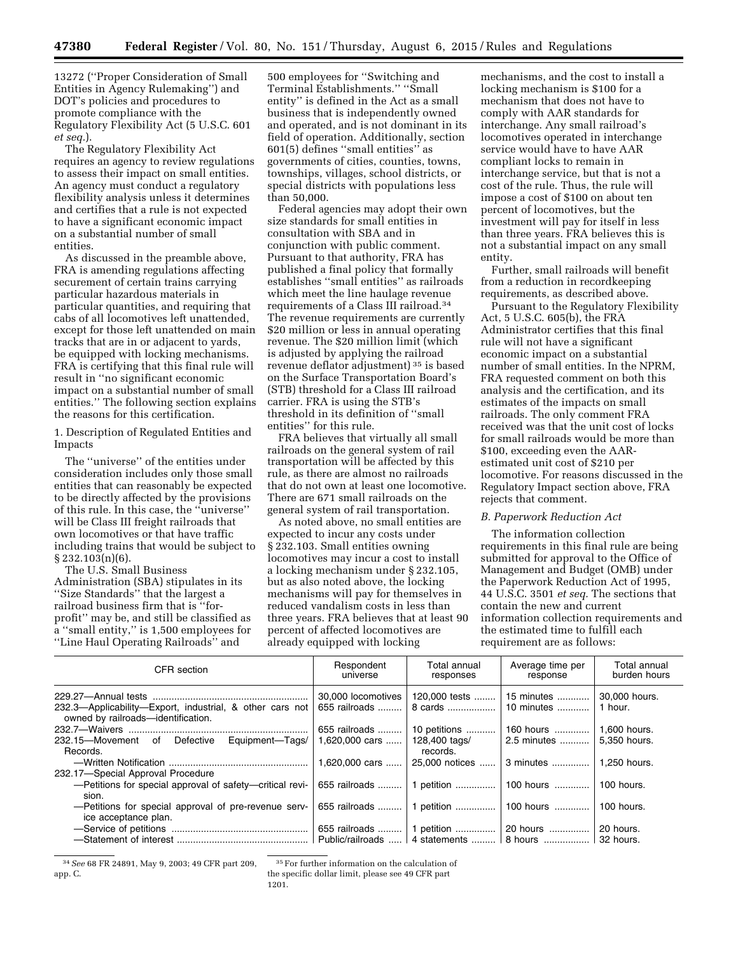13272 (''Proper Consideration of Small Entities in Agency Rulemaking'') and DOT's policies and procedures to promote compliance with the Regulatory Flexibility Act (5 U.S.C. 601 *et seq.*).

The Regulatory Flexibility Act requires an agency to review regulations to assess their impact on small entities. An agency must conduct a regulatory flexibility analysis unless it determines and certifies that a rule is not expected to have a significant economic impact on a substantial number of small entities.

As discussed in the preamble above, FRA is amending regulations affecting securement of certain trains carrying particular hazardous materials in particular quantities, and requiring that cabs of all locomotives left unattended, except for those left unattended on main tracks that are in or adjacent to yards, be equipped with locking mechanisms. FRA is certifying that this final rule will result in ''no significant economic impact on a substantial number of small entities.'' The following section explains the reasons for this certification.

1. Description of Regulated Entities and Impacts

The ''universe'' of the entities under consideration includes only those small entities that can reasonably be expected to be directly affected by the provisions of this rule. In this case, the ''universe'' will be Class III freight railroads that own locomotives or that have traffic including trains that would be subject to § 232.103(n)(6).

The U.S. Small Business Administration (SBA) stipulates in its ''Size Standards'' that the largest a railroad business firm that is ''forprofit'' may be, and still be classified as a ''small entity,'' is 1,500 employees for ''Line Haul Operating Railroads'' and

500 employees for ''Switching and Terminal Establishments.'' ''Small entity'' is defined in the Act as a small business that is independently owned and operated, and is not dominant in its field of operation. Additionally, section 601(5) defines ''small entities'' as governments of cities, counties, towns, townships, villages, school districts, or special districts with populations less than 50,000.

Federal agencies may adopt their own size standards for small entities in consultation with SBA and in conjunction with public comment. Pursuant to that authority, FRA has published a final policy that formally establishes ''small entities'' as railroads which meet the line haulage revenue requirements of a Class III railroad.34 The revenue requirements are currently \$20 million or less in annual operating revenue. The \$20 million limit (which is adjusted by applying the railroad revenue deflator adjustment) 35 is based on the Surface Transportation Board's (STB) threshold for a Class III railroad carrier. FRA is using the STB's threshold in its definition of ''small entities'' for this rule.

FRA believes that virtually all small railroads on the general system of rail transportation will be affected by this rule, as there are almost no railroads that do not own at least one locomotive. There are 671 small railroads on the general system of rail transportation.

As noted above, no small entities are expected to incur any costs under § 232.103. Small entities owning locomotives may incur a cost to install a locking mechanism under § 232.105, but as also noted above, the locking mechanisms will pay for themselves in reduced vandalism costs in less than three years. FRA believes that at least 90 percent of affected locomotives are already equipped with locking

mechanisms, and the cost to install a locking mechanism is \$100 for a mechanism that does not have to comply with AAR standards for interchange. Any small railroad's locomotives operated in interchange service would have to have AAR compliant locks to remain in interchange service, but that is not a cost of the rule. Thus, the rule will impose a cost of \$100 on about ten percent of locomotives, but the investment will pay for itself in less than three years. FRA believes this is not a substantial impact on any small entity.

Further, small railroads will benefit from a reduction in recordkeeping requirements, as described above.

Pursuant to the Regulatory Flexibility Act, 5 U.S.C. 605(b), the FRA Administrator certifies that this final rule will not have a significant economic impact on a substantial number of small entities. In the NPRM, FRA requested comment on both this analysis and the certification, and its estimates of the impacts on small railroads. The only comment FRA received was that the unit cost of locks for small railroads would be more than \$100, exceeding even the AARestimated unit cost of \$210 per locomotive. For reasons discussed in the Regulatory Impact section above, FRA rejects that comment.

## *B. Paperwork Reduction Act*

The information collection requirements in this final rule are being submitted for approval to the Office of Management and Budget (OMB) under the Paperwork Reduction Act of 1995, 44 U.S.C. 3501 *et seq.* The sections that contain the new and current information collection requirements and the estimated time to fulfill each requirement are as follows:

| CFR section                                                                                    | Respondent<br>universe              | Total annual<br>responses                              | Average time per<br>response | Total annual<br>burden hours |
|------------------------------------------------------------------------------------------------|-------------------------------------|--------------------------------------------------------|------------------------------|------------------------------|
| 232.3-Applicability-Export, industrial, & other cars not<br>owned by railroads-identification. | 30,000 locomotives<br>655 railroads | 120,000 tests<br>8 cards                               | 15 minutes<br>10 minutes     | 30,000 hours.<br>1 hour.     |
|                                                                                                | 655 railroads                       | 10 petitions                                           | 160 hours                    | 1.600 hours.                 |
| 232.15-Movement of Defective Equipment-Tags/<br>Records.                                       | 1.620.000 cars                      | 128,400 tags/<br>records.                              | 2.5 minutes                  | 5.350 hours.                 |
|                                                                                                | 1,620,000 cars                      | 25,000 notices                                         | 3 minutes                    | 1.250 hours.                 |
| 232.17-Special Approval Procedure                                                              |                                     |                                                        |                              |                              |
| -Petitions for special approval of safety-critical revi-                                       |                                     | 655 railroads    1 petition    100 hours    100 hours. |                              |                              |
| sion.                                                                                          |                                     |                                                        |                              |                              |
| -Petitions for special approval of pre-revenue serv-<br>ice acceptance plan.                   |                                     | 655 railroads    1 petition    100 hours               |                              | 100 hours.                   |
|                                                                                                |                                     | 655 railroads    1 petition    20 hours                |                              | 20 hours.                    |
|                                                                                                |                                     |                                                        |                              |                              |
|                                                                                                |                                     |                                                        |                              | 32 hours.                    |

<sup>34</sup>*See* 68 FR 24891, May 9, 2003; 49 CFR part 209, app. C.

35For further information on the calculation of

the specific dollar limit, please see 49 CFR part

<sup>1201.</sup>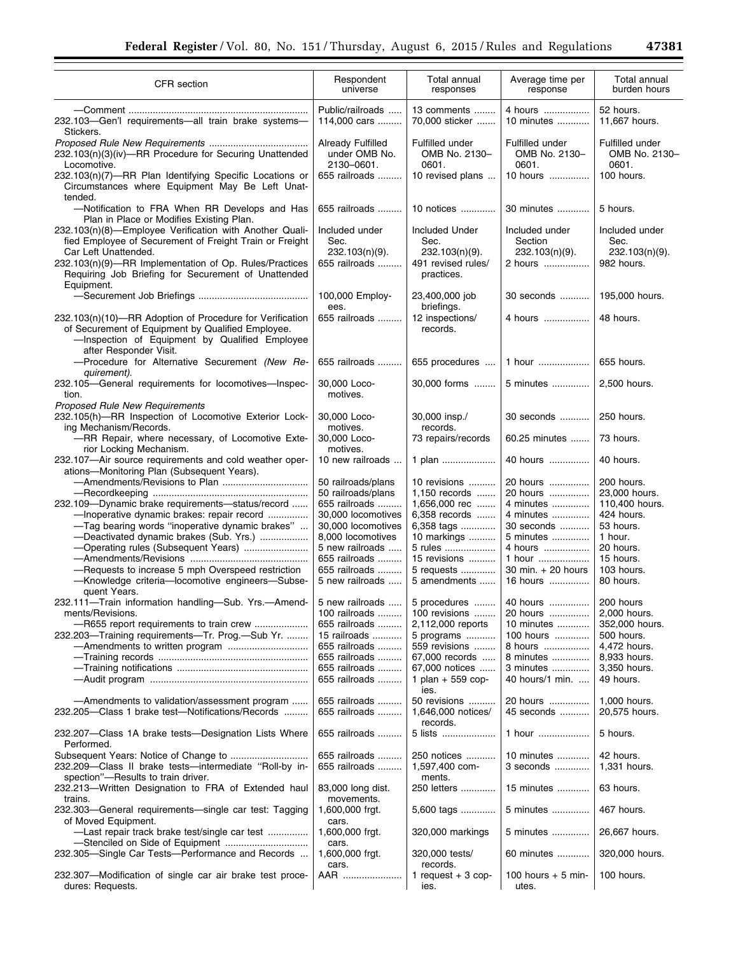i.

| <b>CFR</b> section                                                                                                                                                                        | Respondent<br>universe                           | Total annual<br>responses                          | Average time per<br>response                   | Total annual<br>burden hours              |
|-------------------------------------------------------------------------------------------------------------------------------------------------------------------------------------------|--------------------------------------------------|----------------------------------------------------|------------------------------------------------|-------------------------------------------|
|                                                                                                                                                                                           |                                                  |                                                    |                                                |                                           |
| 232.103-Gen'l requirements-all train brake systems-<br>Stickers.                                                                                                                          | Public/railroads<br>114,000 cars                 | 13 comments<br>70,000 sticker                      | 4 hours<br>10 minutes                          | 52 hours.<br>11,667 hours.                |
| 232.103(n)(3)(iv)-RR Procedure for Securing Unattended<br>Locomotive.                                                                                                                     | Already Fulfilled<br>under OMB No.<br>2130-0601. | Fulfilled under<br>OMB No. 2130-<br>0601.          | Fulfilled under<br>OMB No. 2130-<br>0601.      | Fulfilled under<br>OMB No. 2130-<br>0601. |
| 232.103(n)(7)-RR Plan Identifying Specific Locations or<br>Circumstances where Equipment May Be Left Unat-                                                                                | 655 railroads                                    | 10 revised plans                                   | 10 hours                                       | 100 hours.                                |
| tended.<br>-Notification to FRA When RR Develops and Has<br>Plan in Place or Modifies Existing Plan.                                                                                      | 655 railroads                                    | 10 notices                                         | 30 minutes                                     | 5 hours.                                  |
| 232.103(n)(8)-Employee Verification with Another Quali-<br>fied Employee of Securement of Freight Train or Freight<br>Car Left Unattended.                                                | Included under<br>Sec.<br>$232.103(n)(9)$ .      | <b>Included Under</b><br>Sec.<br>$232.103(n)(9)$ . | Included under<br>Section<br>$232.103(n)(9)$ . | Included under<br>Sec.<br>232.103(n)(9).  |
| 232.103(n)(9)-RR Implementation of Op. Rules/Practices<br>Requiring Job Briefing for Securement of Unattended<br>Equipment.                                                               | 655 railroads                                    | 491 revised rules/<br>practices.                   | 2 hours                                        | 982 hours.                                |
|                                                                                                                                                                                           | 100,000 Employ-<br>ees.                          | 23,400,000 job<br>briefings.                       | 30 seconds                                     | 195,000 hours.                            |
| 232.103(n)(10)-RR Adoption of Procedure for Verification<br>of Securement of Equipment by Qualified Employee.<br>-Inspection of Equipment by Qualified Employee<br>after Responder Visit. | 655 railroads                                    | 12 inspections/<br>records.                        | 4 hours                                        | 48 hours.                                 |
| -Procedure for Alternative Securement (New Re-<br>quirement).                                                                                                                             | 655 railroads                                    | 655 procedures                                     | 1 hour                                         | 655 hours.                                |
| 232.105-General requirements for locomotives-Inspec-<br>tion.<br>Proposed Rule New Requirements                                                                                           | 30,000 Loco-<br>motives.                         | 30,000 forms                                       | 5 minutes                                      | 2,500 hours.                              |
| 232.105(h)-RR Inspection of Locomotive Exterior Lock-<br>ing Mechanism/Records.                                                                                                           | 30,000 Loco-<br>motives.                         | 30,000 insp./<br>records.                          | 30 seconds                                     | 250 hours.                                |
| -RR Repair, where necessary, of Locomotive Exte-<br>rior Locking Mechanism.                                                                                                               | 30,000 Loco-<br>motives.                         | 73 repairs/records                                 | 60.25 minutes                                  | 73 hours.                                 |
| 232.107-Air source requirements and cold weather oper-<br>ations-Monitoring Plan (Subsequent Years).                                                                                      | 10 new railroads                                 | 1 plan                                             | 40 hours                                       | 40 hours.                                 |
|                                                                                                                                                                                           | 50 railroads/plans                               | 10 revisions                                       | 20 hours                                       | 200 hours.                                |
|                                                                                                                                                                                           | 50 railroads/plans                               | 1,150 records                                      | 20 hours                                       | 23,000 hours.                             |
| 232.109-Dynamic brake requirements-status/record                                                                                                                                          | 655 railroads                                    | 1,656,000 rec                                      | 4 minutes                                      | 110,400 hours.                            |
| -Inoperative dynamic brakes: repair record                                                                                                                                                | 30,000 locomotives                               | 6,358 records                                      | 4 minutes                                      | 424 hours.                                |
| -Tag bearing words "inoperative dynamic brakes"                                                                                                                                           | 30,000 locomotives                               | 6,358 tags                                         | 30 seconds                                     | 53 hours.                                 |
| -Deactivated dynamic brakes (Sub. Yrs.)                                                                                                                                                   | 8,000 locomotives                                | 10 markings                                        | 5 minutes                                      | 1 hour.                                   |
|                                                                                                                                                                                           |                                                  |                                                    |                                                | 20 hours.                                 |
| -Operating rules (Subsequent Years)                                                                                                                                                       | 5 new railroads                                  | 5 rules                                            | 4 hours                                        |                                           |
|                                                                                                                                                                                           | 655 railroads                                    | 15 revisions                                       | 1 hour                                         | 15 hours.                                 |
| -Requests to increase 5 mph Overspeed restriction                                                                                                                                         | 655 railroads                                    | 5 requests                                         | 30 min. + 20 hours                             | 103 hours.                                |
| -Knowledge criteria-locomotive engineers-Subse-<br>quent Years.                                                                                                                           | 5 new railroads                                  | 5 amendments                                       | 16 hours                                       | 80 hours.                                 |
| 232.111-Train information handling-Sub. Yrs.-Amend-                                                                                                                                       | 5 new railroads                                  |                                                    | 5 procedures    40 hours                       | 200 hours                                 |
| ments/Revisions.                                                                                                                                                                          | 100 railroads                                    | 100 revisions                                      | 20 hours                                       | 2,000 hours.                              |
| -R655 report requirements to train crew                                                                                                                                                   | 655 railroads                                    | 2,112,000 reports                                  | 10 minutes                                     | 352,000 hours.                            |
| 232.203-Training requirements-Tr. Prog.-Sub Yr.                                                                                                                                           | 15 railroads                                     | 5 programs                                         | 100 hours                                      | 500 hours.                                |
|                                                                                                                                                                                           | 655 railroads                                    | 559 revisions                                      | 8 hours                                        | 4,472 hours.                              |
|                                                                                                                                                                                           | 655 railroads                                    | 67,000 records                                     | 8 minutes                                      | 8,933 hours.                              |
|                                                                                                                                                                                           | 655 railroads                                    | 67,000 notices                                     | 3 minutes                                      | 3,350 hours.                              |
|                                                                                                                                                                                           | 655 railroads                                    | 1 plan $+$ 559 cop-<br>ies.                        | 40 hours/1 min.                                | 49 hours.                                 |
| -Amendments to validation/assessment program<br>232.205–Class 1 brake test–Notifications/Records                                                                                          | 655 railroads<br>655 railroads                   | 50 revisions<br>1,646,000 notices/<br>records.     | 20 hours<br>45 seconds                         | 1,000 hours.<br>20,575 hours.             |
| 232.207–Class 1A brake tests–Designation Lists Where<br>Performed.                                                                                                                        | 655 railroads                                    | 5 lists                                            | 1 hour                                         | 5 hours.                                  |
| 232.209–Class II brake tests–intermediate "Roll-by in-<br>spection"-Results to train driver.                                                                                              | 655 railroads<br>655 railroads                   | 250 notices<br>1,597,400 com-<br>ments.            | 10 minutes<br>3 seconds                        | 42 hours.<br>1,331 hours.                 |
| 232.213-Written Designation to FRA of Extended haul<br>trains.                                                                                                                            | 83,000 long dist.<br>movements.                  | 250 letters                                        | 15 minutes                                     | 63 hours.                                 |
| 232.303-General requirements-single car test: Tagging<br>of Moved Equipment.                                                                                                              | 1,600,000 frgt.<br>cars.                         | 5,600 tags                                         | 5 minutes                                      | 467 hours.                                |
| -Last repair track brake test/single car test                                                                                                                                             | 1,600,000 frgt.<br>cars.                         | 320,000 markings                                   | 5 minutes                                      | 26,667 hours.                             |
| 232.305-Single Car Tests-Performance and Records                                                                                                                                          | 1,600,000 frgt.<br>cars.                         | 320,000 tests/<br>records.                         | 60 minutes                                     | 320,000 hours.                            |
| 232.307—Modification of single car air brake test proce-<br>dures: Requests.                                                                                                              | AAR                                              | 1 request $+3$ cop-<br>ies.                        | 100 hours $+5$ min-<br>utes.                   | 100 hours.                                |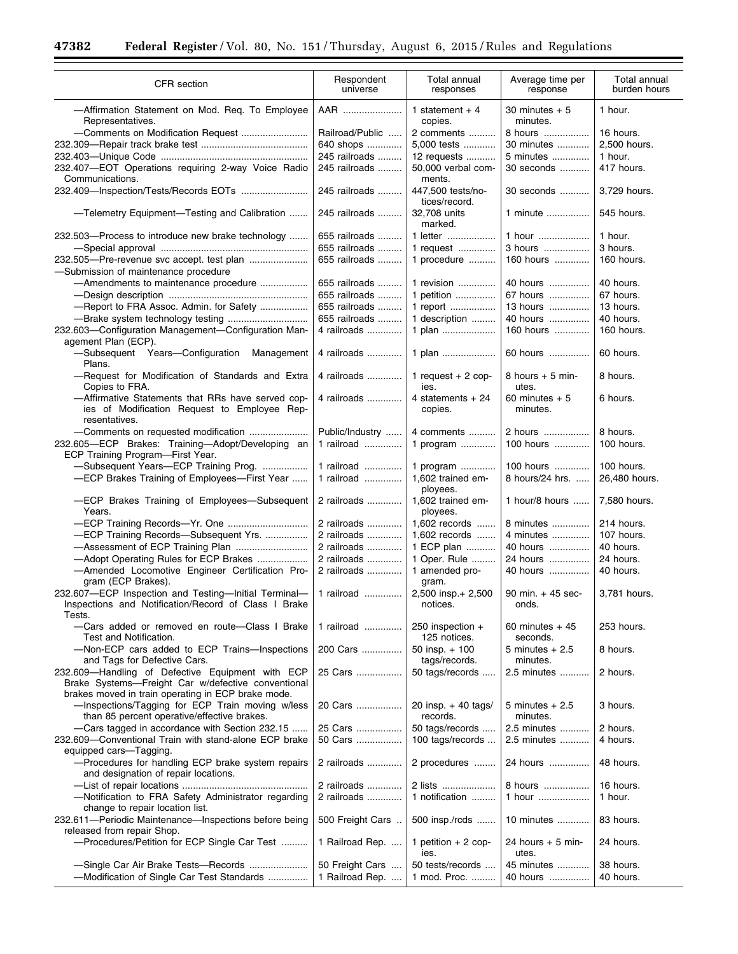÷.

 $\equiv$ 

| CFR section                                                                                                                                           | Respondent<br>universe             | Total annual<br>responses                 | Average time per<br>response   | Total annual<br>burden hours |
|-------------------------------------------------------------------------------------------------------------------------------------------------------|------------------------------------|-------------------------------------------|--------------------------------|------------------------------|
| -Affirmation Statement on Mod. Reg. To Employee<br>Representatives.                                                                                   | AAR                                | 1 statement $+4$<br>copies.               | $30$ minutes $+5$<br>minutes.  | 1 hour.                      |
| -Comments on Modification Request                                                                                                                     | Railroad/Public                    | 2 comments                                | 8 hours                        | 16 hours.                    |
|                                                                                                                                                       | 640 shops                          | 5,000 tests                               | 30 minutes                     | 2,500 hours.                 |
|                                                                                                                                                       | 245 railroads                      | 12 requests                               | 5 minutes                      | 1 hour.                      |
| 232.407-EOT Operations requiring 2-way Voice Radio<br>Communications.                                                                                 | 245 railroads                      | 50,000 verbal com-<br>ments.              | 30 seconds                     | 417 hours.                   |
|                                                                                                                                                       | 245 railroads                      | 447,500 tests/no-<br>tices/record.        | 30 seconds                     | 3,729 hours.                 |
| -Telemetry Equipment-Testing and Calibration                                                                                                          | 245 railroads                      | 32,708 units<br>marked.                   | 1 minute                       | 545 hours.                   |
| 232.503-Process to introduce new brake technology                                                                                                     | 655 railroads<br>655 railroads     | 1 letter<br>1 request                     | 1 hour<br>3 hours              | 1 hour.<br>3 hours.          |
| 232.505-Pre-revenue svc accept. test plan                                                                                                             | 655 railroads                      | 1 procedure                               | 160 hours                      | 160 hours.                   |
| -Submission of maintenance procedure                                                                                                                  |                                    |                                           |                                |                              |
|                                                                                                                                                       |                                    |                                           |                                |                              |
| -Amendments to maintenance procedure                                                                                                                  | 655 railroads                      | 1 revision                                | 40 hours                       | 40 hours.                    |
|                                                                                                                                                       | 655 railroads                      | 1 petition                                | 67 hours                       | 67 hours.                    |
| -Report to FRA Assoc. Admin. for Safety                                                                                                               | 655 railroads                      | 1 report                                  | 13 hours                       | 13 hours.                    |
|                                                                                                                                                       | 655 railroads                      | 1 description                             | 40 hours                       | 40 hours.                    |
| 232.603-Configuration Management-Configuration Man-<br>agement Plan (ECP).                                                                            | 4 railroads                        | 1 plan                                    | 160 hours                      | 160 hours.                   |
| -Subsequent Years-Configuration<br>Management<br>Plans.                                                                                               | 4 railroads                        | 1 plan                                    | 60 hours                       | 60 hours.                    |
| -Request for Modification of Standards and Extra<br>Copies to FRA.                                                                                    | 4 railroads                        | 1 request $+2$ cop-<br>ies.               | 8 hours $+5$ min-<br>utes.     | 8 hours.                     |
| -Affirmative Statements that RRs have served cop-<br>ies of Modification Request to Employee Rep-<br>resentatives.                                    | 4 railroads                        | 4 statements $+24$<br>copies.             | 60 minutes $+5$<br>minutes.    | 6 hours.                     |
|                                                                                                                                                       | Public/Industry                    | 4 comments                                | 2 hours                        | 8 hours.                     |
| 232.605-ECP Brakes: Training-Adopt/Developing an<br>ECP Training Program-First Year.                                                                  | 1 railroad                         | 1 program                                 | 100 hours                      | 100 hours.                   |
| -Subsequent Years-ECP Training Prog.                                                                                                                  | 1 railroad                         | 1 program                                 | 100 hours                      | 100 hours.                   |
| -ECP Brakes Training of Employees-First Year                                                                                                          | 1 railroad                         | 1,602 trained em-                         | 8 hours/24 hrs.                | 26,480 hours.                |
| -ECP Brakes Training of Employees-Subsequent<br>Years.                                                                                                | 2 railroads                        | ployees.<br>1,602 trained em-<br>ployees. | 1 hour/8 hours                 | 7,580 hours.                 |
| -ECP Training Records-Yr. One                                                                                                                         | 2 railroads                        | 1,602 records                             | 8 minutes                      | 214 hours.                   |
| -ECP Training Records-Subsequent Yrs.                                                                                                                 | 2 railroads                        | 1.602 records                             | 4 minutes                      | 107 hours.                   |
| -Assessment of ECP Training Plan                                                                                                                      | 2 railroads                        | 1 ECP plan                                | 40 hours                       | 40 hours.                    |
|                                                                                                                                                       |                                    |                                           |                                |                              |
| -Adopt Operating Rules for ECP Brakes                                                                                                                 | 2 railroads                        | 1 Oper. Rule                              | 24 hours                       | 24 hours.                    |
| -Amended Locomotive Engineer Certification Pro-<br>gram (ECP Brakes).                                                                                 | 2 railroads                        | 1 amended pro-<br>gram.                   | 40 hours                       | 40 hours.                    |
| 232.607-ECP Inspection and Testing-Initial Terminal-<br>Inspections and Notification/Record of Class I Brake<br>Tests.                                | 1 railroad                         | 2,500 insp.+ 2,500<br>notices.            | $90$ min. $+45$ sec-<br>onds.  | 3,781 hours.                 |
| --Cars added or removed en route--Class I Brake<br>Test and Notification.                                                                             | 1 railroad                         | 250 inspection $+$<br>125 notices.        | 60 minutes + 45<br>seconds.    | 253 hours.                   |
| -Non-ECP cars added to ECP Trains-Inspections<br>and Tags for Defective Cars.                                                                         | 200 Cars                           | 50 insp. $+100$<br>tags/records.          | 5 minutes + 2.5<br>minutes.    | 8 hours.                     |
| 232.609-Handling of Defective Equipment with ECP<br>Brake Systems-Freight Car w/defective conventional                                                | 25 Cars                            | 50 tags/records                           | 2.5 minutes                    | 2 hours.                     |
| brakes moved in train operating in ECP brake mode.<br>-Inspections/Tagging for ECP Train moving w/less<br>than 85 percent operative/effective brakes. | 20 Cars                            | 20 insp. $+$ 40 tags/<br>records.         | $5$ minutes $+2.5$<br>minutes. | 3 hours.                     |
| -Cars tagged in accordance with Section 232.15                                                                                                        | 25 Cars                            | 50 tags/records                           | 2.5 minutes                    | 2 hours.                     |
| 232.609-Conventional Train with stand-alone ECP brake<br>equipped cars-Tagging.                                                                       | 50 Cars                            | 100 tags/records                          | 2.5 minutes                    | 4 hours.                     |
| -Procedures for handling ECP brake system repairs<br>and designation of repair locations.                                                             | 2 railroads                        | 2 procedures                              | 24 hours                       | 48 hours.                    |
| -Notification to FRA Safety Administrator regarding                                                                                                   | 2 railroads<br>2 railroads         | 2 lists<br>1 notification                 | 8 hours<br>1 hour              | 16 hours.<br>1 hour.         |
| change to repair location list.<br>232.611-Periodic Maintenance-Inspections before being                                                              | 500 Freight Cars                   | 500 insp./rcds                            | 10 minutes                     | 83 hours.                    |
| released from repair Shop.<br>-Procedures/Petition for ECP Single Car Test                                                                            | 1 Railroad Rep.                    | 1 petition $+2$ cop-<br>ies.              | 24 hours + 5 min-<br>utes.     | 24 hours.                    |
| -Single Car Air Brake Tests-Records<br>-Modification of Single Car Test Standards                                                                     | 50 Freight Cars<br>1 Railroad Rep. | 50 tests/records<br>1 mod. Proc.          | 45 minutes<br>40 hours         | 38 hours.<br>40 hours.       |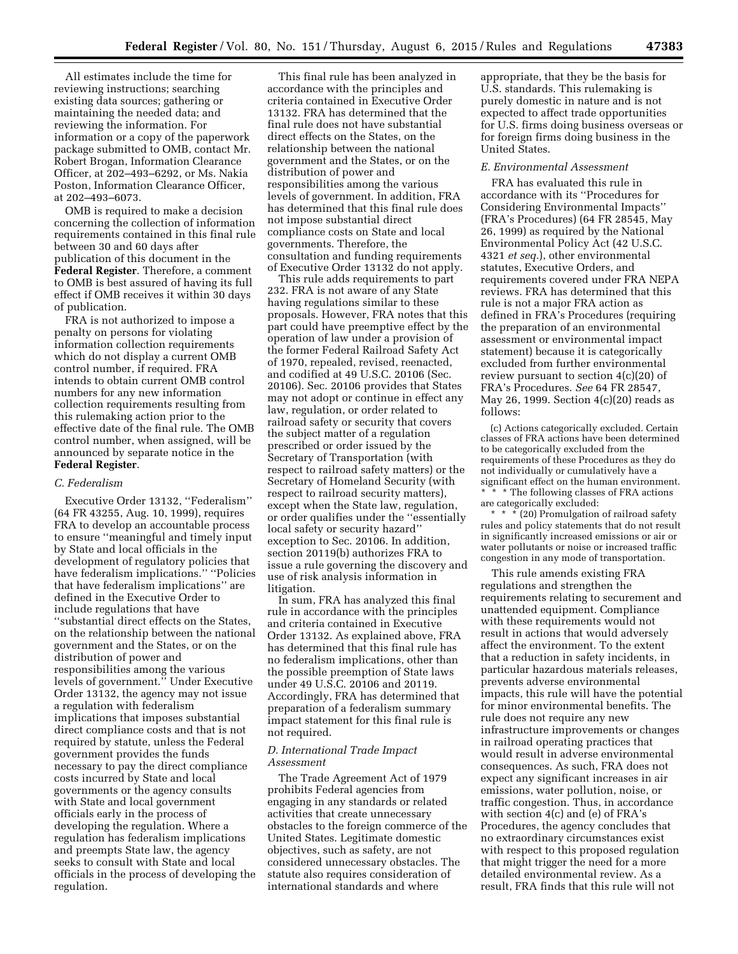All estimates include the time for reviewing instructions; searching existing data sources; gathering or maintaining the needed data; and reviewing the information. For information or a copy of the paperwork package submitted to OMB, contact Mr. Robert Brogan, Information Clearance Officer, at 202–493–6292, or Ms. Nakia Poston, Information Clearance Officer, at 202–493–6073.

OMB is required to make a decision concerning the collection of information requirements contained in this final rule between 30 and 60 days after publication of this document in the **Federal Register**. Therefore, a comment to OMB is best assured of having its full effect if OMB receives it within 30 days of publication.

FRA is not authorized to impose a penalty on persons for violating information collection requirements which do not display a current OMB control number, if required. FRA intends to obtain current OMB control numbers for any new information collection requirements resulting from this rulemaking action prior to the effective date of the final rule. The OMB control number, when assigned, will be announced by separate notice in the **Federal Register**.

#### *C. Federalism*

Executive Order 13132, ''Federalism'' (64 FR 43255, Aug. 10, 1999), requires FRA to develop an accountable process to ensure ''meaningful and timely input by State and local officials in the development of regulatory policies that have federalism implications.'' ''Policies that have federalism implications'' are defined in the Executive Order to include regulations that have ''substantial direct effects on the States, on the relationship between the national government and the States, or on the distribution of power and responsibilities among the various levels of government.'' Under Executive Order 13132, the agency may not issue a regulation with federalism implications that imposes substantial direct compliance costs and that is not required by statute, unless the Federal government provides the funds necessary to pay the direct compliance costs incurred by State and local governments or the agency consults with State and local government officials early in the process of developing the regulation. Where a regulation has federalism implications and preempts State law, the agency seeks to consult with State and local officials in the process of developing the regulation.

This final rule has been analyzed in accordance with the principles and criteria contained in Executive Order 13132. FRA has determined that the final rule does not have substantial direct effects on the States, on the relationship between the national government and the States, or on the distribution of power and responsibilities among the various levels of government. In addition, FRA has determined that this final rule does not impose substantial direct compliance costs on State and local governments. Therefore, the consultation and funding requirements of Executive Order 13132 do not apply.

This rule adds requirements to part 232. FRA is not aware of any State having regulations similar to these proposals. However, FRA notes that this part could have preemptive effect by the operation of law under a provision of the former Federal Railroad Safety Act of 1970, repealed, revised, reenacted, and codified at 49 U.S.C. 20106 (Sec. 20106). Sec. 20106 provides that States may not adopt or continue in effect any law, regulation, or order related to railroad safety or security that covers the subject matter of a regulation prescribed or order issued by the Secretary of Transportation (with respect to railroad safety matters) or the Secretary of Homeland Security (with respect to railroad security matters), except when the State law, regulation, or order qualifies under the ''essentially local safety or security hazard'' exception to Sec. 20106. In addition, section 20119(b) authorizes FRA to issue a rule governing the discovery and use of risk analysis information in litigation.

In sum, FRA has analyzed this final rule in accordance with the principles and criteria contained in Executive Order 13132. As explained above, FRA has determined that this final rule has no federalism implications, other than the possible preemption of State laws under 49 U.S.C. 20106 and 20119. Accordingly, FRA has determined that preparation of a federalism summary impact statement for this final rule is not required.

## *D. International Trade Impact Assessment*

The Trade Agreement Act of 1979 prohibits Federal agencies from engaging in any standards or related activities that create unnecessary obstacles to the foreign commerce of the United States. Legitimate domestic objectives, such as safety, are not considered unnecessary obstacles. The statute also requires consideration of international standards and where

appropriate, that they be the basis for U.S. standards. This rulemaking is purely domestic in nature and is not expected to affect trade opportunities for U.S. firms doing business overseas or for foreign firms doing business in the United States.

### *E. Environmental Assessment*

FRA has evaluated this rule in accordance with its ''Procedures for Considering Environmental Impacts'' (FRA's Procedures) (64 FR 28545, May 26, 1999) as required by the National Environmental Policy Act (42 U.S.C. 4321 *et seq.*), other environmental statutes, Executive Orders, and requirements covered under FRA NEPA reviews. FRA has determined that this rule is not a major FRA action as defined in FRA's Procedures (requiring the preparation of an environmental assessment or environmental impact statement) because it is categorically excluded from further environmental review pursuant to section 4(c)(20) of FRA's Procedures. *See* 64 FR 28547, May 26, 1999. Section  $4(c)(20)$  reads as follows:

(c) Actions categorically excluded. Certain classes of FRA actions have been determined to be categorically excluded from the requirements of these Procedures as they do not individually or cumulatively have a significant effect on the human environment. \* \* \* The following classes of FRA actions are categorically excluded:

\* \* \* (20) Promulgation of railroad safety rules and policy statements that do not result in significantly increased emissions or air or water pollutants or noise or increased traffic congestion in any mode of transportation.

This rule amends existing FRA regulations and strengthen the requirements relating to securement and unattended equipment. Compliance with these requirements would not result in actions that would adversely affect the environment. To the extent that a reduction in safety incidents, in particular hazardous materials releases, prevents adverse environmental impacts, this rule will have the potential for minor environmental benefits. The rule does not require any new infrastructure improvements or changes in railroad operating practices that would result in adverse environmental consequences. As such, FRA does not expect any significant increases in air emissions, water pollution, noise, or traffic congestion. Thus, in accordance with section 4(c) and (e) of FRA's Procedures, the agency concludes that no extraordinary circumstances exist with respect to this proposed regulation that might trigger the need for a more detailed environmental review. As a result, FRA finds that this rule will not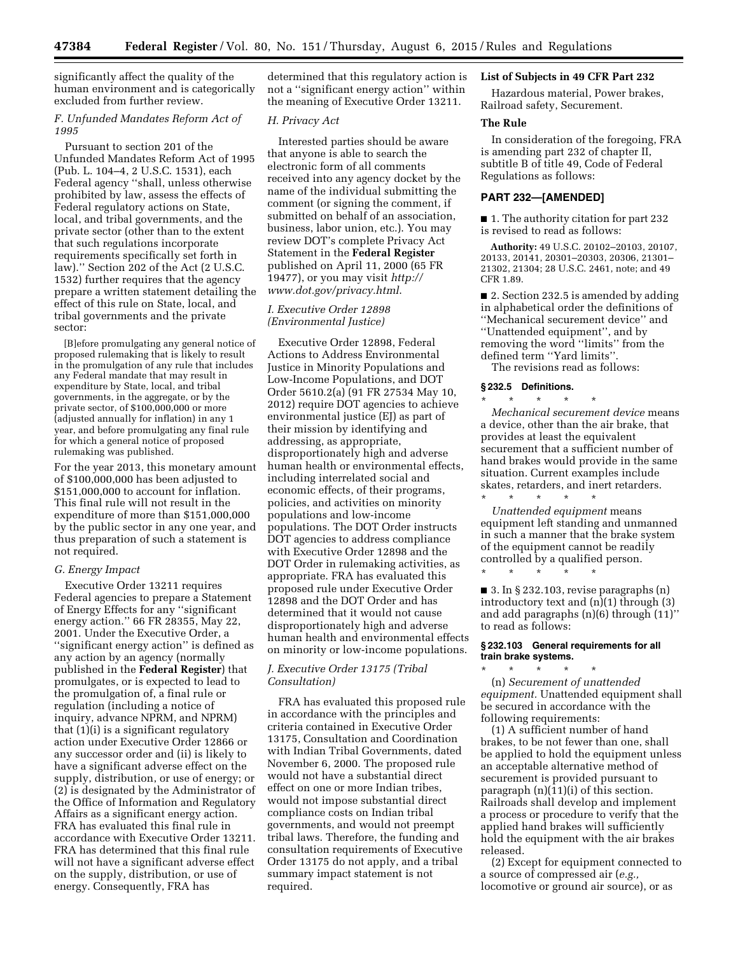significantly affect the quality of the human environment and is categorically excluded from further review.

### *F. Unfunded Mandates Reform Act of 1995*

Pursuant to section 201 of the Unfunded Mandates Reform Act of 1995 (Pub. L. 104–4, 2 U.S.C. 1531), each Federal agency ''shall, unless otherwise prohibited by law, assess the effects of Federal regulatory actions on State, local, and tribal governments, and the private sector (other than to the extent that such regulations incorporate requirements specifically set forth in law).'' Section 202 of the Act (2 U.S.C. 1532) further requires that the agency prepare a written statement detailing the effect of this rule on State, local, and tribal governments and the private sector:

[B]efore promulgating any general notice of proposed rulemaking that is likely to result in the promulgation of any rule that includes any Federal mandate that may result in expenditure by State, local, and tribal governments, in the aggregate, or by the private sector, of \$100,000,000 or more (adjusted annually for inflation) in any 1 year, and before promulgating any final rule for which a general notice of proposed rulemaking was published.

For the year 2013, this monetary amount of \$100,000,000 has been adjusted to \$151,000,000 to account for inflation. This final rule will not result in the expenditure of more than \$151,000,000 by the public sector in any one year, and thus preparation of such a statement is not required.

### *G. Energy Impact*

Executive Order 13211 requires Federal agencies to prepare a Statement of Energy Effects for any ''significant energy action.'' 66 FR 28355, May 22, 2001. Under the Executive Order, a ''significant energy action'' is defined as any action by an agency (normally published in the **Federal Register**) that promulgates, or is expected to lead to the promulgation of, a final rule or regulation (including a notice of inquiry, advance NPRM, and NPRM) that (1)(i) is a significant regulatory action under Executive Order 12866 or any successor order and (ii) is likely to have a significant adverse effect on the supply, distribution, or use of energy; or (2) is designated by the Administrator of the Office of Information and Regulatory Affairs as a significant energy action. FRA has evaluated this final rule in accordance with Executive Order 13211. FRA has determined that this final rule will not have a significant adverse effect on the supply, distribution, or use of energy. Consequently, FRA has

determined that this regulatory action is not a ''significant energy action'' within the meaning of Executive Order 13211.

## *H. Privacy Act*

Interested parties should be aware that anyone is able to search the electronic form of all comments received into any agency docket by the name of the individual submitting the comment (or signing the comment, if submitted on behalf of an association, business, labor union, etc.). You may review DOT's complete Privacy Act Statement in the **Federal Register**  published on April 11, 2000 (65 FR 19477), or you may visit *[http://](http://www.dot.gov/privacy.html) [www.dot.gov/privacy.html](http://www.dot.gov/privacy.html)*.

## *I. Executive Order 12898 (Environmental Justice)*

Executive Order 12898, Federal Actions to Address Environmental Justice in Minority Populations and Low-Income Populations, and DOT Order 5610.2(a) (91 FR 27534 May 10, 2012) require DOT agencies to achieve environmental justice (EJ) as part of their mission by identifying and addressing, as appropriate, disproportionately high and adverse human health or environmental effects, including interrelated social and economic effects, of their programs, policies, and activities on minority populations and low-income populations. The DOT Order instructs DOT agencies to address compliance with Executive Order 12898 and the DOT Order in rulemaking activities, as appropriate. FRA has evaluated this proposed rule under Executive Order 12898 and the DOT Order and has determined that it would not cause disproportionately high and adverse human health and environmental effects on minority or low-income populations.

## *J. Executive Order 13175 (Tribal Consultation)*

FRA has evaluated this proposed rule in accordance with the principles and criteria contained in Executive Order 13175, Consultation and Coordination with Indian Tribal Governments, dated November 6, 2000. The proposed rule would not have a substantial direct effect on one or more Indian tribes, would not impose substantial direct compliance costs on Indian tribal governments, and would not preempt tribal laws. Therefore, the funding and consultation requirements of Executive Order 13175 do not apply, and a tribal summary impact statement is not required.

## **List of Subjects in 49 CFR Part 232**

Hazardous material, Power brakes, Railroad safety, Securement.

### **The Rule**

In consideration of the foregoing, FRA is amending part 232 of chapter II, subtitle B of title 49, Code of Federal Regulations as follows:

## **PART 232—[AMENDED]**

■ 1. The authority citation for part 232 is revised to read as follows:

**Authority:** 49 U.S.C. 20102–20103, 20107, 20133, 20141, 20301–20303, 20306, 21301– 21302, 21304; 28 U.S.C. 2461, note; and 49 CFR 1.89.

■ 2. Section 232.5 is amended by adding in alphabetical order the definitions of ''Mechanical securement device'' and ''Unattended equipment'', and by removing the word ''limits'' from the defined term ''Yard limits''.

The revisions read as follows:

### **§ 232.5 Definitions.**

\* \* \* \* \* *Mechanical securement device* means a device, other than the air brake, that provides at least the equivalent securement that a sufficient number of hand brakes would provide in the same situation. Current examples include skates, retarders, and inert retarders. \* \* \* \* \*

*Unattended equipment* means equipment left standing and unmanned in such a manner that the brake system of the equipment cannot be readily controlled by a qualified person.

■ 3. In § 232.103, revise paragraphs (n) introductory text and (n)(1) through (3) and add paragraphs (n)(6) through (11)'' to read as follows:

### **§ 232.103 General requirements for all train brake systems.**

\* \* \* \* \*

\* \* \* \* \* (n) *Securement of unattended equipment.* Unattended equipment shall be secured in accordance with the following requirements:

(1) A sufficient number of hand brakes, to be not fewer than one, shall be applied to hold the equipment unless an acceptable alternative method of securement is provided pursuant to paragraph (n)(11)(i) of this section. Railroads shall develop and implement a process or procedure to verify that the applied hand brakes will sufficiently hold the equipment with the air brakes released.

(2) Except for equipment connected to a source of compressed air (*e.g.,*  locomotive or ground air source), or as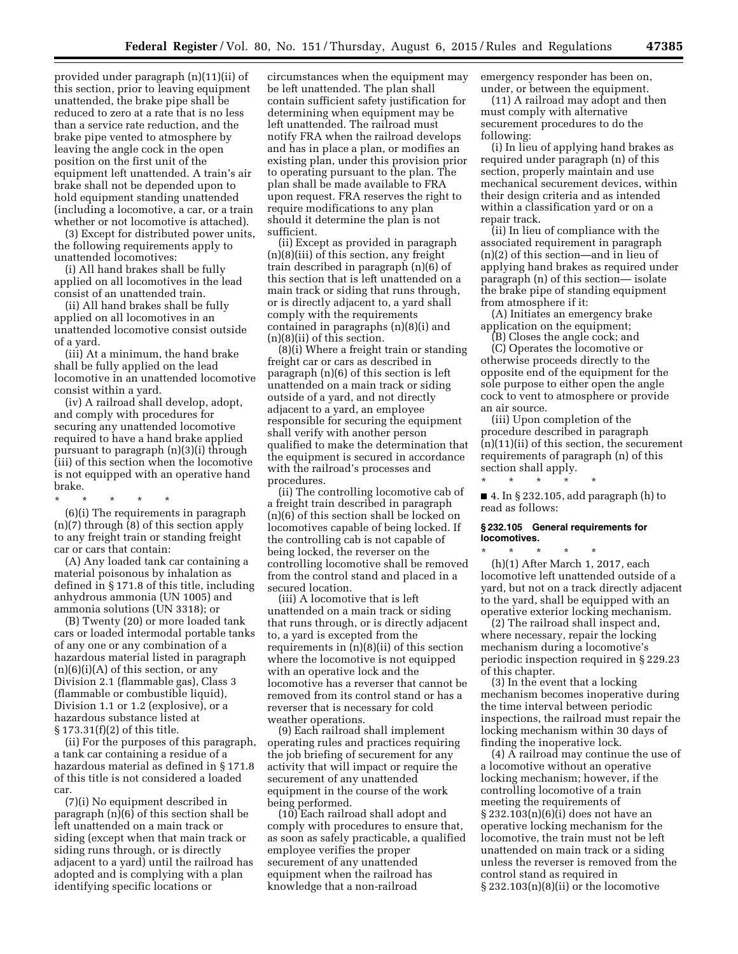provided under paragraph (n)(11)(ii) of this section, prior to leaving equipment unattended, the brake pipe shall be reduced to zero at a rate that is no less than a service rate reduction, and the brake pipe vented to atmosphere by leaving the angle cock in the open position on the first unit of the equipment left unattended. A train's air brake shall not be depended upon to hold equipment standing unattended (including a locomotive, a car, or a train whether or not locomotive is attached).

(3) Except for distributed power units, the following requirements apply to unattended locomotives:

(i) All hand brakes shall be fully applied on all locomotives in the lead consist of an unattended train.

(ii) All hand brakes shall be fully applied on all locomotives in an unattended locomotive consist outside of a yard.

(iii) At a minimum, the hand brake shall be fully applied on the lead locomotive in an unattended locomotive consist within a yard.

(iv) A railroad shall develop, adopt, and comply with procedures for securing any unattended locomotive required to have a hand brake applied pursuant to paragraph (n)(3)(i) through (iii) of this section when the locomotive is not equipped with an operative hand brake.

\* \* \* \* \* (6)(i) The requirements in paragraph

(n)(7) through (8) of this section apply to any freight train or standing freight car or cars that contain:

(A) Any loaded tank car containing a material poisonous by inhalation as defined in § 171.8 of this title, including anhydrous ammonia (UN 1005) and ammonia solutions (UN 3318); or

(B) Twenty (20) or more loaded tank cars or loaded intermodal portable tanks of any one or any combination of a hazardous material listed in paragraph  $(n)(6)(i)(A)$  of this section, or any Division 2.1 (flammable gas), Class 3 (flammable or combustible liquid), Division 1.1 or 1.2 (explosive), or a hazardous substance listed at § 173.31(f)(2) of this title.

(ii) For the purposes of this paragraph, a tank car containing a residue of a hazardous material as defined in § 171.8 of this title is not considered a loaded car.

(7)(i) No equipment described in paragraph (n)(6) of this section shall be left unattended on a main track or siding (except when that main track or siding runs through, or is directly adjacent to a yard) until the railroad has adopted and is complying with a plan identifying specific locations or

circumstances when the equipment may be left unattended. The plan shall contain sufficient safety justification for determining when equipment may be left unattended. The railroad must notify FRA when the railroad develops and has in place a plan, or modifies an existing plan, under this provision prior to operating pursuant to the plan. The plan shall be made available to FRA upon request. FRA reserves the right to require modifications to any plan should it determine the plan is not sufficient.

(ii) Except as provided in paragraph (n)(8)(iii) of this section, any freight train described in paragraph (n)(6) of this section that is left unattended on a main track or siding that runs through, or is directly adjacent to, a yard shall comply with the requirements contained in paragraphs (n)(8)(i) and (n)(8)(ii) of this section.

(8)(i) Where a freight train or standing freight car or cars as described in paragraph (n)(6) of this section is left unattended on a main track or siding outside of a yard, and not directly adjacent to a yard, an employee responsible for securing the equipment shall verify with another person qualified to make the determination that the equipment is secured in accordance with the railroad's processes and procedures.

(ii) The controlling locomotive cab of a freight train described in paragraph (n)(6) of this section shall be locked on locomotives capable of being locked. If the controlling cab is not capable of being locked, the reverser on the controlling locomotive shall be removed from the control stand and placed in a secured location.

(iii) A locomotive that is left unattended on a main track or siding that runs through, or is directly adjacent to, a yard is excepted from the requirements in (n)(8)(ii) of this section where the locomotive is not equipped with an operative lock and the locomotive has a reverser that cannot be removed from its control stand or has a reverser that is necessary for cold weather operations.

(9) Each railroad shall implement operating rules and practices requiring the job briefing of securement for any activity that will impact or require the securement of any unattended equipment in the course of the work being performed.

(10) Each railroad shall adopt and comply with procedures to ensure that, as soon as safely practicable, a qualified employee verifies the proper securement of any unattended equipment when the railroad has knowledge that a non-railroad

emergency responder has been on, under, or between the equipment.

(11) A railroad may adopt and then must comply with alternative securement procedures to do the following:

(i) In lieu of applying hand brakes as required under paragraph (n) of this section, properly maintain and use mechanical securement devices, within their design criteria and as intended within a classification yard or on a repair track.

(ii) In lieu of compliance with the associated requirement in paragraph (n)(2) of this section—and in lieu of applying hand brakes as required under paragraph (n) of this section— isolate the brake pipe of standing equipment from atmosphere if it:

(A) Initiates an emergency brake application on the equipment;

(B) Closes the angle cock; and

(C) Operates the locomotive or otherwise proceeds directly to the opposite end of the equipment for the sole purpose to either open the angle cock to vent to atmosphere or provide an air source.

(iii) Upon completion of the procedure described in paragraph (n)(11)(ii) of this section, the securement requirements of paragraph (n) of this section shall apply.

■ 4. In § 232.105, add paragraph (h) to read as follows:

### **§ 232.105 General requirements for locomotives.**

\* \* \* \* \*

\* \* \* \* \* (h)(1) After March 1, 2017, each locomotive left unattended outside of a yard, but not on a track directly adjacent to the yard, shall be equipped with an operative exterior locking mechanism.

(2) The railroad shall inspect and, where necessary, repair the locking mechanism during a locomotive's periodic inspection required in § 229.23 of this chapter.

(3) In the event that a locking mechanism becomes inoperative during the time interval between periodic inspections, the railroad must repair the locking mechanism within 30 days of finding the inoperative lock.

(4) A railroad may continue the use of a locomotive without an operative locking mechanism; however, if the controlling locomotive of a train meeting the requirements of § 232.103(n)(6)(i) does not have an operative locking mechanism for the locomotive, the train must not be left unattended on main track or a siding unless the reverser is removed from the control stand as required in  $\S 232.103(n)(8)(ii)$  or the locomotive